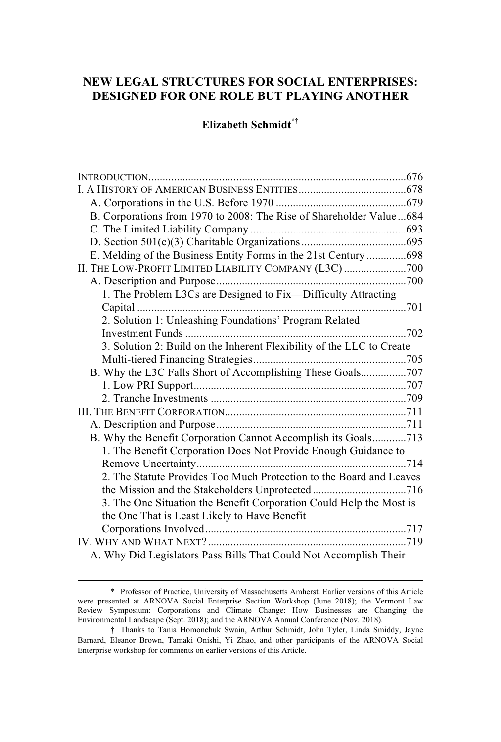# **NEW LEGAL STRUCTURES FOR SOCIAL ENTERPRISES: DESIGNED FOR ONE ROLE BUT PLAYING ANOTHER**

# **Elizabeth Schmidt\*†**

| B. Corporations from 1970 to 2008: The Rise of Shareholder Value684   |  |
|-----------------------------------------------------------------------|--|
|                                                                       |  |
|                                                                       |  |
| E. Melding of the Business Entity Forms in the 21st Century698        |  |
| II. THE LOW-PROFIT LIMITED LIABILITY COMPANY (L3C)700                 |  |
|                                                                       |  |
| 1. The Problem L3Cs are Designed to Fix-Difficulty Attracting         |  |
|                                                                       |  |
| 2. Solution 1: Unleashing Foundations' Program Related                |  |
|                                                                       |  |
| 3. Solution 2: Build on the Inherent Flexibility of the LLC to Create |  |
|                                                                       |  |
| B. Why the L3C Falls Short of Accomplishing These Goals707            |  |
|                                                                       |  |
|                                                                       |  |
|                                                                       |  |
|                                                                       |  |
| B. Why the Benefit Corporation Cannot Accomplish its Goals713         |  |
| 1. The Benefit Corporation Does Not Provide Enough Guidance to        |  |
|                                                                       |  |
| 2. The Statute Provides Too Much Protection to the Board and Leaves   |  |
|                                                                       |  |
| 3. The One Situation the Benefit Corporation Could Help the Most is   |  |
| the One That is Least Likely to Have Benefit                          |  |
|                                                                       |  |
|                                                                       |  |
| A. Why Did Legislators Pass Bills That Could Not Accomplish Their     |  |

<sup>\*</sup> Professor of Practice, University of Massachusetts Amherst. Earlier versions of this Article were presented at ARNOVA Social Enterprise Section Workshop (June 2018); the Vermont Law Review Symposium: Corporations and Climate Change: How Businesses are Changing the Environmental Landscape (Sept. 2018); and the ARNOVA Annual Conference (Nov. 2018).

<sup>†</sup> Thanks to Tania Homonchuk Swain, Arthur Schmidt, John Tyler, Linda Smiddy, Jayne Barnard, Eleanor Brown, Tamaki Onishi, Yi Zhao, and other participants of the ARNOVA Social Enterprise workshop for comments on earlier versions of this Article.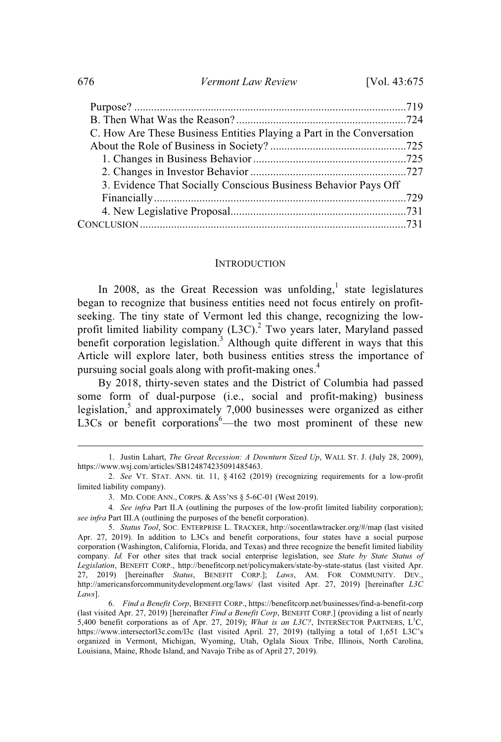| C. How Are These Business Entities Playing a Part in the Conversation |  |
|-----------------------------------------------------------------------|--|
|                                                                       |  |
|                                                                       |  |
|                                                                       |  |
| 3. Evidence That Socially Conscious Business Behavior Pays Off        |  |
|                                                                       |  |
|                                                                       |  |
|                                                                       |  |
|                                                                       |  |

#### INTRODUCTION

In 2008, as the Great Recession was unfolding,<sup>1</sup> state legislatures began to recognize that business entities need not focus entirely on profitseeking. The tiny state of Vermont led this change, recognizing the lowprofit limited liability company (L3C).<sup>2</sup> Two years later, Maryland passed benefit corporation legislation.<sup>3</sup> Although quite different in ways that this Article will explore later, both business entities stress the importance of pursuing social goals along with profit-making ones.<sup>4</sup>

By 2018, thirty-seven states and the District of Columbia had passed some form of dual-purpose (i.e., social and profit-making) business legislation, 5 and approximately 7,000 businesses were organized as either L3Cs or benefit corporations<sup>6</sup>—the two most prominent of these new

<sup>1.</sup> Justin Lahart, *The Great Recession: A Downturn Sized Up*, WALL ST. J. (July 28, 2009), https://www.wsj.com/articles/SB124874235091485463.

<sup>2.</sup> *See* VT. STAT. ANN. tit. 11, § 4162 (2019) (recognizing requirements for a low-profit limited liability company).

<sup>3.</sup> MD. CODE ANN., CORPS. & ASS'NS § 5-6C-01 (West 2019).

<sup>4</sup>*. See infra* Part II.A (outlining the purposes of the low-profit limited liability corporation); *see infra* Part III.A (outlining the purposes of the benefit corporation).

<sup>5.</sup> *Status Tool*, SOC. ENTERPRISE L. TRACKER, http://socentlawtracker.org/#/map (last visited Apr. 27, 2019). In addition to L3Cs and benefit corporations, four states have a social purpose corporation (Washington, California, Florida, and Texas) and three recognize the benefit limited liability company. *Id.* For other sites that track social enterprise legislation, see *State by State Status of Legislation*, BENEFIT CORP., http://benefitcorp.net/policymakers/state-by-state-status (last visited Apr. 27, 2019) [hereinafter *Status*, BENEFIT CORP.]; *Laws*, AM. FOR COMMUNITY. DEV., http://americansforcommunitydevelopment.org/laws/ (last visited Apr. 27, 2019) [hereinafter *L3C Laws*].

<sup>6.</sup> *Find a Benefit Corp*, BENEFIT CORP., https://benefitcorp.net/businesses/find-a-benefit-corp (last visited Apr. 27, 2019) [hereinafter *Find a Benefit Corp*, BENEFIT CORP.] (providing a list of nearly 5,400 benefit corporations as of Apr. 27, 2019); *What is an L3C?*, INTERSECTOR PARTNERS, L <sup>3</sup>C, https://www.intersectorl3c.com/l3c (last visited April. 27, 2019) (tallying a total of 1,651 L3C's organized in Vermont, Michigan, Wyoming, Utah, Oglala Sioux Tribe, Illinois, North Carolina, Louisiana, Maine, Rhode Island, and Navajo Tribe as of April 27, 2019).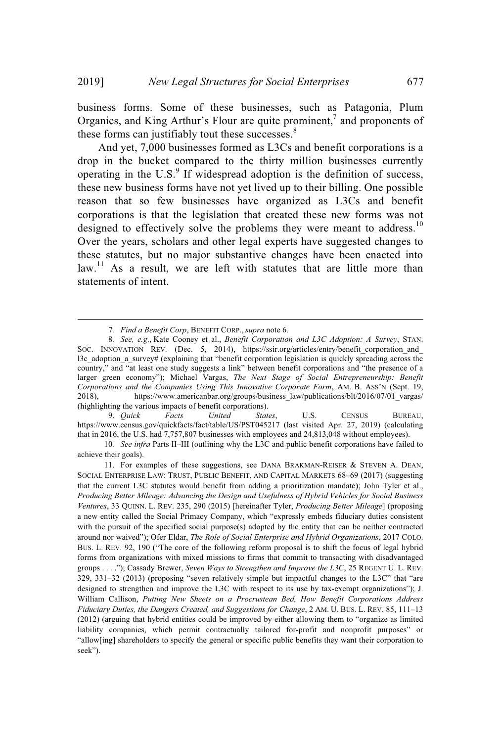business forms. Some of these businesses, such as Patagonia, Plum Organics, and King Arthur's Flour are quite prominent, $^7$  and proponents of these forms can justifiably tout these successes.<sup>8</sup>

And yet, 7,000 businesses formed as L3Cs and benefit corporations is a drop in the bucket compared to the thirty million businesses currently operating in the U.S. $9$  If widespread adoption is the definition of success, these new business forms have not yet lived up to their billing. One possible reason that so few businesses have organized as L3Cs and benefit corporations is that the legislation that created these new forms was not designed to effectively solve the problems they were meant to address.<sup>10</sup> Over the years, scholars and other legal experts have suggested changes to these statutes, but no major substantive changes have been enacted into  $\lambda$ law.<sup>11</sup> As a result, we are left with statutes that are little more than statements of intent.

9. *Quick Facts United States*, U.S. CENSUS BUREAU, https://www.census.gov/quickfacts/fact/table/US/PST045217 (last visited Apr. 27, 2019) (calculating that in 2016, the U.S. had 7,757,807 businesses with employees and 24,813,048 without employees).

10*. See infra* Parts II–III (outlining why the L3C and public benefit corporations have failed to achieve their goals).

<sup>7</sup>*. Find a Benefit Corp*, BENEFIT CORP., *supra* note 6.

<sup>8</sup>*. See, e.g*., Kate Cooney et al., *Benefit Corporation and L3C Adoption: A Survey*, STAN. SOC. INNOVATION REV. (Dec. 5, 2014), https://ssir.org/articles/entry/benefit corporation and l3c\_adoption\_a\_survey# (explaining that "benefit corporation legislation is quickly spreading across the country," and "at least one study suggests a link" between benefit corporations and "the presence of a larger green economy"); Michael Vargas, *The Next Stage of Social Entrepreneurship: Benefit Corporations and the Companies Using This Innovative Corporate Form*, AM. B. ASS'N (Sept. 19, 2018), https://www.americanbar.org/groups/business\_law/publications/blt/2016/07/01\_vargas/ (highlighting the various impacts of benefit corporations).<br>9. *Ouick Facts United State* 

<sup>11.</sup> For examples of these suggestions, see DANA BRAKMAN-REISER & STEVEN A. DEAN, SOCIAL ENTERPRISE LAW: TRUST, PUBLIC BENEFIT, AND CAPITAL MARKETS 68–69 (2017) (suggesting that the current L3C statutes would benefit from adding a prioritization mandate); John Tyler et al., *Producing Better Mileage: Advancing the Design and Usefulness of Hybrid Vehicles for Social Business Ventures*, 33 QUINN. L. REV. 235, 290 (2015) [hereinafter Tyler, *Producing Better Mileage*] (proposing a new entity called the Social Primacy Company, which "expressly embeds fiduciary duties consistent with the pursuit of the specified social purpose(s) adopted by the entity that can be neither contracted around nor waived"); Ofer Eldar, *The Role of Social Enterprise and Hybrid Organizations*, 2017 COLO. BUS. L. REV. 92, 190 ("The core of the following reform proposal is to shift the focus of legal hybrid forms from organizations with mixed missions to firms that commit to transacting with disadvantaged groups . . . ."); Cassady Brewer, *Seven Ways to Strengthen and Improve the L3C*, 25 REGENT U. L. REV. 329, 331–32 (2013) (proposing "seven relatively simple but impactful changes to the L3C" that "are designed to strengthen and improve the L3C with respect to its use by tax-exempt organizations"); J. William Callison, *Putting New Sheets on a Procrustean Bed, How Benefit Corporations Address Fiduciary Duties, the Dangers Created, and Suggestions for Change*, 2 AM. U. BUS. L. REV. 85, 111–13 (2012) (arguing that hybrid entities could be improved by either allowing them to "organize as limited liability companies, which permit contractually tailored for-profit and nonprofit purposes" or "allow[ing] shareholders to specify the general or specific public benefits they want their corporation to seek").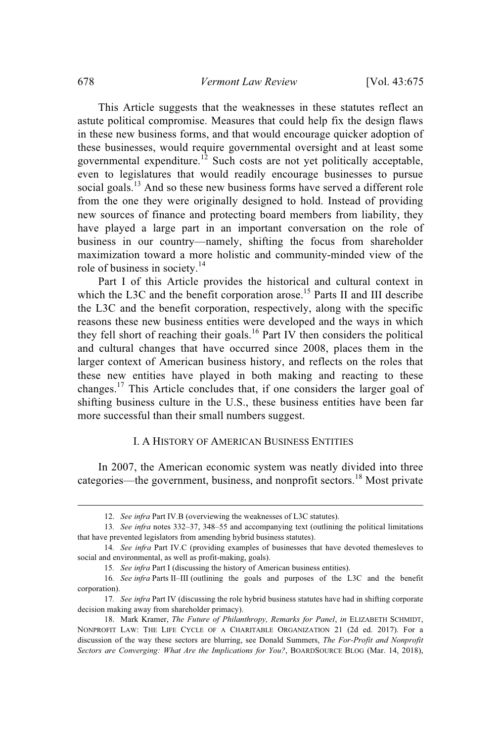This Article suggests that the weaknesses in these statutes reflect an astute political compromise. Measures that could help fix the design flaws in these new business forms, and that would encourage quicker adoption of these businesses, would require governmental oversight and at least some governmental expenditure.<sup>12</sup> Such costs are not yet politically acceptable, even to legislatures that would readily encourage businesses to pursue social goals.<sup>13</sup> And so these new business forms have served a different role from the one they were originally designed to hold. Instead of providing new sources of finance and protecting board members from liability, they have played a large part in an important conversation on the role of business in our country—namely, shifting the focus from shareholder maximization toward a more holistic and community-minded view of the role of business in society.<sup>14</sup>

Part I of this Article provides the historical and cultural context in which the L3C and the benefit corporation arose.<sup>15</sup> Parts II and III describe the L3C and the benefit corporation, respectively, along with the specific reasons these new business entities were developed and the ways in which they fell short of reaching their goals. <sup>16</sup> Part IV then considers the political and cultural changes that have occurred since 2008, places them in the larger context of American business history, and reflects on the roles that these new entities have played in both making and reacting to these changes. <sup>17</sup> This Article concludes that, if one considers the larger goal of shifting business culture in the U.S., these business entities have been far more successful than their small numbers suggest.

## I. A HISTORY OF AMERICAN BUSINESS ENTITIES

In 2007, the American economic system was neatly divided into three categories—the government, business, and nonprofit sectors.<sup>18</sup> Most private

<sup>12.</sup> *See infra* Part IV.B (overviewing the weaknesses of L3C statutes).

<sup>13</sup>*. See infra* notes 332–37, 348–55 and accompanying text (outlining the political limitations that have prevented legislators from amending hybrid business statutes).

<sup>14</sup>*. See infra* Part IV.C (providing examples of businesses that have devoted themesleves to social and environmental, as well as profit-making, goals).

<sup>15</sup>*. See infra* Part I (discussing the history of American business entities).

<sup>16</sup>*. See infra* Parts II–III (outlining the goals and purposes of the L3C and the benefit corporation).

<sup>17</sup>*. See infra* Part IV (discussing the role hybrid business statutes have had in shifting corporate decision making away from shareholder primacy).

<sup>18.</sup> Mark Kramer, *The Future of Philanthropy, Remarks for Panel*, *in* ELIZABETH SCHMIDT, NONPROFIT LAW: THE LIFE CYCLE OF A CHARITABLE ORGANIZATION 21 (2d ed. 2017). For a discussion of the way these sectors are blurring, see Donald Summers, *The For-Profit and Nonprofit Sectors are Converging: What Are the Implications for You?*, BOARDSOURCE BLOG (Mar. 14, 2018),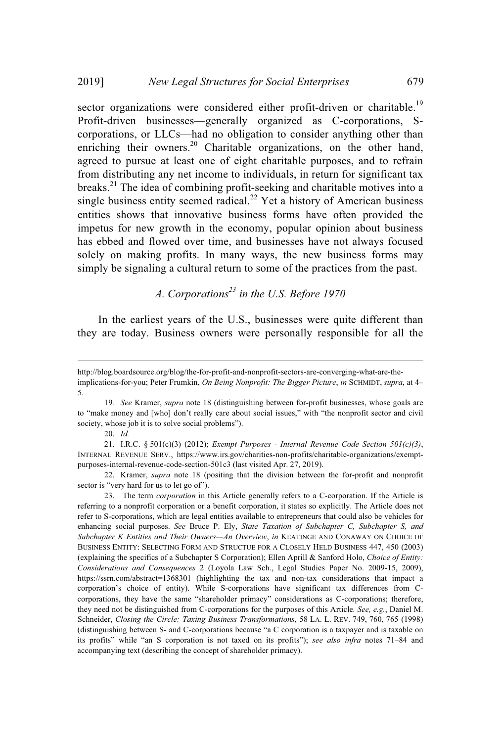sector organizations were considered either profit-driven or charitable.<sup>19</sup> Profit-driven businesses—generally organized as C-corporations, Scorporations, or LLCs—had no obligation to consider anything other than enriching their owners.<sup>20</sup> Charitable organizations, on the other hand, agreed to pursue at least one of eight charitable purposes, and to refrain from distributing any net income to individuals, in return for significant tax breaks.<sup>21</sup> The idea of combining profit-seeking and charitable motives into a single business entity seemed radical.<sup>22</sup> Yet a history of American business entities shows that innovative business forms have often provided the impetus for new growth in the economy, popular opinion about business has ebbed and flowed over time, and businesses have not always focused solely on making profits. In many ways, the new business forms may simply be signaling a cultural return to some of the practices from the past.

# *A. Corporations <sup>23</sup> in the U.S. Before 1970*

In the earliest years of the U.S., businesses were quite different than they are today. Business owners were personally responsible for all the

22. Kramer, *supra* note 18 (positing that the division between the for-profit and nonprofit sector is "very hard for us to let go of").

http://blog.boardsource.org/blog/the-for-profit-and-nonprofit-sectors-are-converging-what-are-theimplications-for-you; Peter Frumkin, *On Being Nonprofit: The Bigger Picture*, *in* SCHMIDT, *supra*, at 4– 5.

<sup>19</sup>*. See* Kramer, *supra* note 18 (distinguishing between for-profit businesses, whose goals are to "make money and [who] don't really care about social issues," with "the nonprofit sector and civil society, whose job it is to solve social problems").

<sup>20.</sup> *Id.*

<sup>21.</sup> I.R.C. § 501(c)(3) (2012); *Exempt Purposes - Internal Revenue Code Section 501(c)(3)*, INTERNAL REVENUE SERV., https://www.irs.gov/charities-non-profits/charitable-organizations/exemptpurposes-internal-revenue-code-section-501c3 (last visited Apr. 27, 2019).

<sup>23.</sup> The term *corporation* in this Article generally refers to a C-corporation. If the Article is referring to a nonprofit corporation or a benefit corporation, it states so explicitly. The Article does not refer to S-corporations, which are legal entities available to entrepreneurs that could also be vehicles for enhancing social purposes. *See* Bruce P. Ely, *State Taxation of Subchapter C, Subchapter S, and Subchapter K Entities and Their Owners—An Overview*, *in* KEATINGE AND CONAWAY ON CHOICE OF BUSINESS ENTITY: SELECTING FORM AND STRUCTUE FOR A CLOSELY HELD BUSINESS 447, 450 (2003) (explaining the specifics of a Subchapter S Corporation); Ellen Aprill & Sanford Holo, *Choice of Entity: Considerations and Consequences* 2 (Loyola Law Sch., Legal Studies Paper No. 2009-15, 2009), https://ssrn.com/abstract=1368301 (highlighting the tax and non-tax considerations that impact a corporation's choice of entity). While S-corporations have significant tax differences from Ccorporations, they have the same "shareholder primacy" considerations as C-corporations; therefore, they need not be distinguished from C-corporations for the purposes of this Article*. See, e.g.*, Daniel M. Schneider, *Closing the Circle: Taxing Business Transformations*, 58 LA. L. REV. 749, 760, 765 (1998) (distinguishing between S- and C-corporations because "a C corporation is a taxpayer and is taxable on its profits" while "an S corporation is not taxed on its profits"); *see also infra* notes 71–84 and accompanying text (describing the concept of shareholder primacy).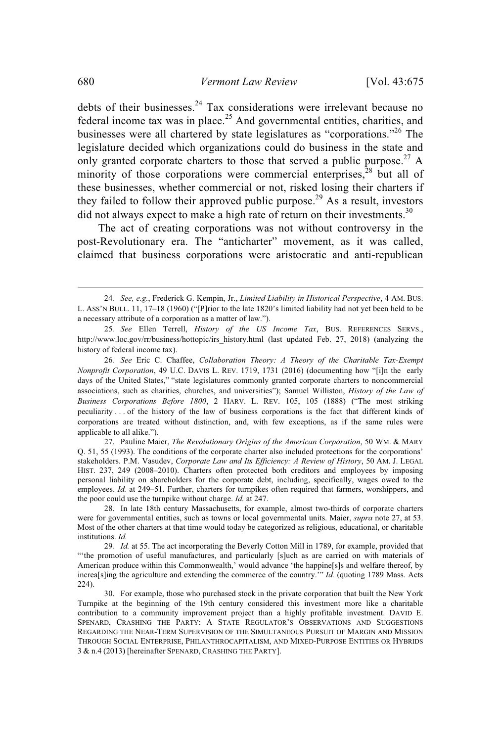debts of their businesses.<sup>24</sup> Tax considerations were irrelevant because no federal income tax was in place.<sup>25</sup> And governmental entities, charities, and businesses were all chartered by state legislatures as "corporations."<sup>26</sup> The legislature decided which organizations could do business in the state and only granted corporate charters to those that served a public purpose.<sup>27</sup> A minority of those corporations were commercial enterprises,<sup>28</sup> but all of these businesses, whether commercial or not, risked losing their charters if they failed to follow their approved public purpose.<sup>29</sup> As a result, investors did not always expect to make a high rate of return on their investments.<sup>30</sup>

The act of creating corporations was not without controversy in the post-Revolutionary era. The "anticharter" movement, as it was called, claimed that business corporations were aristocratic and anti-republican

<sup>24</sup>*. See, e.g.*, Frederick G. Kempin, Jr., *Limited Liability in Historical Perspective*, 4 AM. BUS. L. ASS'N BULL. 11, 17–18 (1960) ("[P]rior to the late 1820's limited liability had not yet been held to be a necessary attribute of a corporation as a matter of law.").

<sup>25</sup>*. See* Ellen Terrell, *History of the US Income Tax*, BUS. REFERENCES SERVS., http://www.loc.gov/rr/business/hottopic/irs\_history.html (last updated Feb. 27, 2018) (analyzing the history of federal income tax).

<sup>26</sup>*. See* Eric C. Chaffee, *Collaboration Theory: A Theory of the Charitable Tax-Exempt Nonprofit Corporation*, 49 U.C. DAVIS L. REV. 1719, 1731 (2016) (documenting how "[i]n the early days of the United States," "state legislatures commonly granted corporate charters to noncommercial associations, such as charities, churches, and universities"); Samuel Williston, *History of the Law of Business Corporations Before 1800*, 2 HARV. L. REV. 105, 105 (1888) ("The most striking peculiarity . . . of the history of the law of business corporations is the fact that different kinds of corporations are treated without distinction, and, with few exceptions, as if the same rules were applicable to all alike.").

<sup>27.</sup> Pauline Maier, *The Revolutionary Origins of the American Corporation*, 50 WM. & MARY Q. 51, 55 (1993). The conditions of the corporate charter also included protections for the corporations' stakeholders. P.M. Vasudev, *Corporate Law and Its Efficiency: A Review of History*, 50 AM. J. LEGAL HIST. 237, 249 (2008–2010). Charters often protected both creditors and employees by imposing personal liability on shareholders for the corporate debt, including, specifically, wages owed to the employees. *Id.* at 249–51. Further, charters for turnpikes often required that farmers, worshippers, and the poor could use the turnpike without charge. *Id.* at 247.

<sup>28.</sup> In late 18th century Massachusetts, for example, almost two-thirds of corporate charters were for governmental entities, such as towns or local governmental units. Maier, *supra* note 27, at 53. Most of the other charters at that time would today be categorized as religious, educational, or charitable institutions. *Id.*

<sup>29</sup>*. Id.* at 55. The act incorporating the Beverly Cotton Mill in 1789, for example, provided that "'the promotion of useful manufactures, and particularly [s]uch as are carried on with materials of American produce within this Commonwealth,' would advance 'the happine[s]s and welfare thereof, by increa[s]ing the agriculture and extending the commerce of the country.'" *Id.* (quoting 1789 Mass. Acts 224).

<sup>30.</sup> For example, those who purchased stock in the private corporation that built the New York Turnpike at the beginning of the 19th century considered this investment more like a charitable contribution to a community improvement project than a highly profitable investment. DAVID E. SPENARD, CRASHING THE PARTY: A STATE REGULATOR'S OBSERVATIONS AND SUGGESTIONS REGARDING THE NEAR-TERM SUPERVISION OF THE SIMULTANEOUS PURSUIT OF MARGIN AND MISSION THROUGH SOCIAL ENTERPRISE, PHILANTHROCAPITALISM, AND MIXED-PURPOSE ENTITIES OR HYBRIDS 3 & n.4 (2013) [hereinafter SPENARD, CRASHING THE PARTY].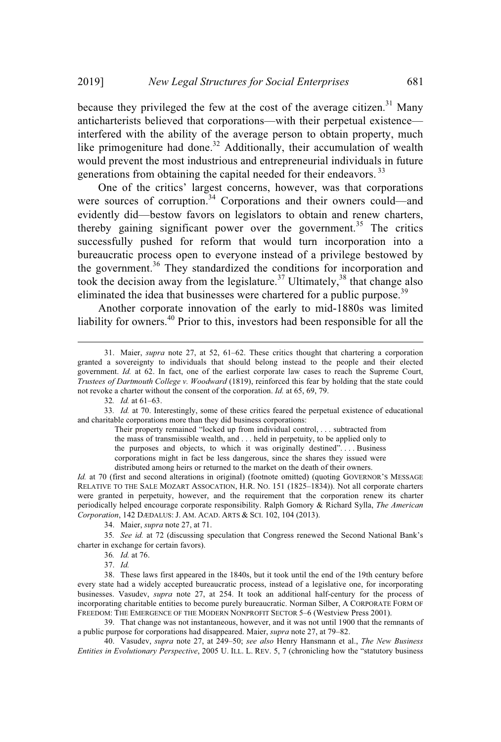because they privileged the few at the cost of the average citizen.<sup>31</sup> Many anticharterists believed that corporations—with their perpetual existence interfered with the ability of the average person to obtain property, much like primogeniture had done.<sup>32</sup> Additionally, their accumulation of wealth would prevent the most industrious and entrepreneurial individuals in future generations from obtaining the capital needed for their endeavors.<sup>33</sup>

One of the critics' largest concerns, however, was that corporations were sources of corruption.<sup>34</sup> Corporations and their owners could—and evidently did—bestow favors on legislators to obtain and renew charters, thereby gaining significant power over the government.<sup>35</sup> The critics successfully pushed for reform that would turn incorporation into a bureaucratic process open to everyone instead of a privilege bestowed by the government.<sup>36</sup> They standardized the conditions for incorporation and took the decision away from the legislature.<sup>37</sup> Ultimately,<sup>38</sup> that change also eliminated the idea that businesses were chartered for a public purpose.<sup>39</sup>

Another corporate innovation of the early to mid-1880s was limited liability for owners.<sup>40</sup> Prior to this, investors had been responsible for all the

Their property remained "locked up from individual control, . . . subtracted from the mass of transmissible wealth, and . . . held in perpetuity, to be applied only to the purposes and objects, to which it was originally destined". . . . Business corporations might in fact be less dangerous, since the shares they issued were distributed among heirs or returned to the market on the death of their owners.

*Id.* at 70 (first and second alterations in original) (footnote omitted) (quoting GOVERNOR'S MESSAGE RELATIVE TO THE SALE MOZART ASSOCATION, H.R. NO. 151 (1825–1834)). Not all corporate charters were granted in perpetuity, however, and the requirement that the corporation renew its charter periodically helped encourage corporate responsibility. Ralph Gomory & Richard Sylla, *The American Corporation*, 142 DÆDALUS: J. AM. ACAD. ARTS & SCI. 102, 104 (2013).

34. Maier, *supra* note 27, at 71.

35*. See id.* at 72 (discussing speculation that Congress renewed the Second National Bank's charter in exchange for certain favors).

37. *Id.*

38. These laws first appeared in the 1840s, but it took until the end of the 19th century before every state had a widely accepted bureaucratic process, instead of a legislative one, for incorporating businesses. Vasudev, *supra* note 27, at 254. It took an additional half-century for the process of incorporating charitable entities to become purely bureaucratic. Norman Silber, A CORPORATE FORM OF FREEDOM: THE EMERGENCE OF THE MODERN NONPROFIT SECTOR 5–6 (Westview Press 2001).

39. That change was not instantaneous, however, and it was not until 1900 that the remnants of a public purpose for corporations had disappeared. Maier, *supra* note 27, at 79–82.

40. Vasudev, *supra* note 27, at 249–50; *see also* Henry Hansmann et al., *The New Business Entities in Evolutionary Perspective*, 2005 U. ILL. L. REV. 5, 7 (chronicling how the "statutory business

<sup>31.</sup> Maier, *supra* note 27, at 52, 61–62. These critics thought that chartering a corporation granted a sovereignty to individuals that should belong instead to the people and their elected government. *Id.* at 62. In fact, one of the earliest corporate law cases to reach the Supreme Court, *Trustees of Dartmouth College v. Woodward* (1819), reinforced this fear by holding that the state could not revoke a charter without the consent of the corporation. *Id.* at 65, 69, 79.

<sup>32</sup>*. Id.* at 61–63.

<sup>33</sup>*. Id.* at 70. Interestingly, some of these critics feared the perpetual existence of educational and charitable corporations more than they did business corporations:

<sup>36</sup>*. Id.* at 76.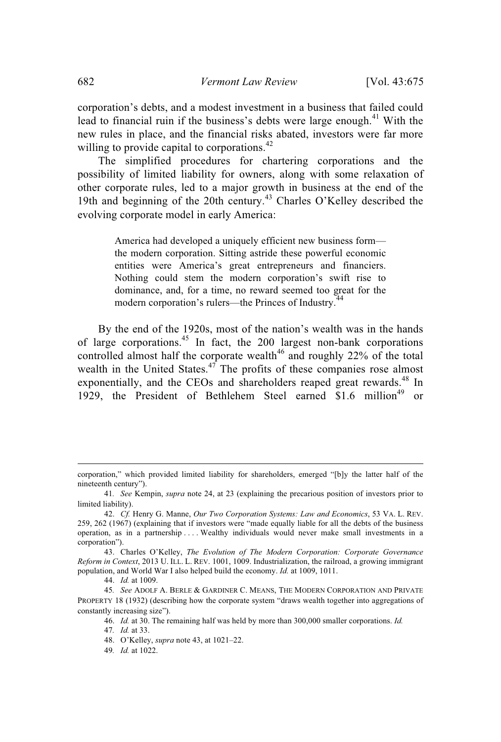corporation's debts, and a modest investment in a business that failed could lead to financial ruin if the business's debts were large enough. $41$  With the new rules in place, and the financial risks abated, investors were far more willing to provide capital to corporations.<sup>42</sup>

The simplified procedures for chartering corporations and the possibility of limited liability for owners, along with some relaxation of other corporate rules, led to a major growth in business at the end of the 19th and beginning of the 20th century. <sup>43</sup> Charles O'Kelley described the evolving corporate model in early America:

> America had developed a uniquely efficient new business form the modern corporation. Sitting astride these powerful economic entities were America's great entrepreneurs and financiers. Nothing could stem the modern corporation's swift rise to dominance, and, for a time, no reward seemed too great for the modern corporation's rulers—the Princes of Industry.<sup>44</sup>

By the end of the 1920s, most of the nation's wealth was in the hands of large corporations. <sup>45</sup> In fact, the 200 largest non-bank corporations controlled almost half the corporate wealth<sup>46</sup> and roughly 22% of the total wealth in the United States. $47$  The profits of these companies rose almost exponentially, and the CEOs and shareholders reaped great rewards.<sup>48</sup> In 1929, the President of Bethlehem Steel earned \$1.6 million<sup>49</sup> or

49*. Id.* at 1022.

corporation," which provided limited liability for shareholders, emerged "[b]y the latter half of the nineteenth century").

<sup>41</sup>*. See* Kempin, *supra* note 24, at 23 (explaining the precarious position of investors prior to limited liability).

<sup>42.</sup> *Cf.* Henry G. Manne, *Our Two Corporation Systems: Law and Economics*, 53 VA. L. REV. 259, 262 (1967) (explaining that if investors were "made equally liable for all the debts of the business operation, as in a partnership . . . . Wealthy individuals would never make small investments in a corporation").

<sup>43.</sup> Charles O'Kelley, *The Evolution of The Modern Corporation: Corporate Governance Reform in Context*, 2013 U. ILL. L. REV. 1001, 1009. Industrialization, the railroad, a growing immigrant population, and World War I also helped build the economy. *Id.* at 1009, 1011.

<sup>44.</sup> *Id.* at 1009.

<sup>45</sup>*. See* ADOLF A. BERLE & GARDINER C. MEANS, THE MODERN CORPORATION AND PRIVATE PROPERTY 18 (1932) (describing how the corporate system "draws wealth together into aggregations of constantly increasing size").

<sup>46.</sup> *Id.* at 30. The remaining half was held by more than 300,000 smaller corporations. *Id.*

<sup>47</sup>*. Id.* at 33.

<sup>48.</sup> O'Kelley, *supra* note 43, at 1021–22.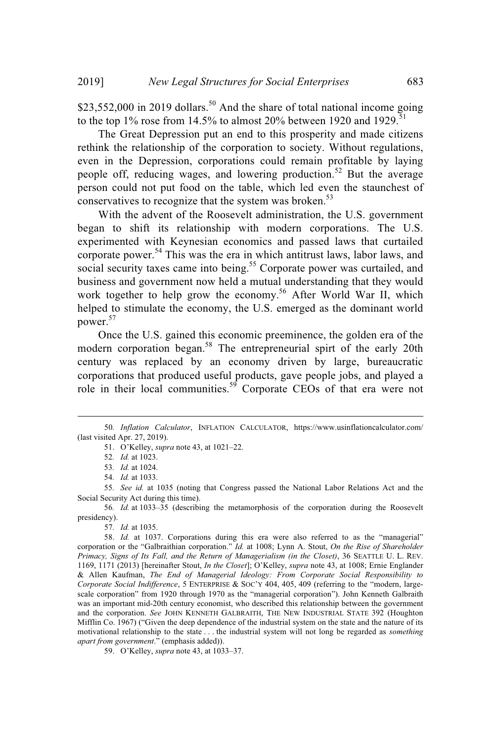\$23,552,000 in 2019 dollars.<sup>50</sup> And the share of total national income going to the top 1% rose from 14.5% to almost 20% between 1920 and 1929.<sup>51</sup>

The Great Depression put an end to this prosperity and made citizens rethink the relationship of the corporation to society. Without regulations, even in the Depression, corporations could remain profitable by laying people off, reducing wages, and lowering production.<sup>52</sup> But the average person could not put food on the table, which led even the staunchest of conservatives to recognize that the system was broken.<sup>53</sup>

With the advent of the Roosevelt administration, the U.S. government began to shift its relationship with modern corporations. The U.S. experimented with Keynesian economics and passed laws that curtailed corporate power.<sup>54</sup> This was the era in which antitrust laws, labor laws, and social security taxes came into being.<sup>55</sup> Corporate power was curtailed, and business and government now held a mutual understanding that they would work together to help grow the economy. <sup>56</sup> After World War II, which helped to stimulate the economy, the U.S. emerged as the dominant world power. 57

Once the U.S. gained this economic preeminence, the golden era of the modern corporation began.<sup>58</sup> The entrepreneurial spirt of the early 20th century was replaced by an economy driven by large, bureaucratic corporations that produced useful products, gave people jobs, and played a role in their local communities. <sup>59</sup> Corporate CEOs of that era were not

56*. Id.* at 1033–35 (describing the metamorphosis of the corporation during the Roosevelt presidency).

57*. Id.* at 1035.

58. *Id.* at 1037. Corporations during this era were also referred to as the "managerial" corporation or the "Galbraithian corporation." *Id.* at 1008; Lynn A. Stout, *On the Rise of Shareholder Primacy, Signs of Its Fall, and the Return of Managerialism (in the Closet)*, 36 SEATTLE U. L. REV. 1169, 1171 (2013) [hereinafter Stout, *In the Closet*]; O'Kelley, *supra* note 43, at 1008; Ernie Englander & Allen Kaufman, *The End of Managerial Ideology: From Corporate Social Responsibility to Corporate Social Indifference*, 5 ENTERPRISE & SOC'Y 404, 405, 409 (referring to the "modern, largescale corporation" from 1920 through 1970 as the "managerial corporation"). John Kenneth Galbraith was an important mid-20th century economist, who described this relationship between the government and the corporation. *See* JOHN KENNETH GALBRAITH, THE NEW INDUSTRIAL STATE 392 (Houghton Mifflin Co. 1967) ("Given the deep dependence of the industrial system on the state and the nature of its motivational relationship to the state . . . the industrial system will not long be regarded as *something apart from government*." (emphasis added)).

59. O'Kelley, *supra* note 43, at 1033–37.

<sup>50</sup>*. Inflation Calculator*, INFLATION CALCULATOR, https://www.usinflationcalculator.com/ (last visited Apr. 27, 2019).

<sup>51.</sup> O'Kelley, *supra* note 43, at 1021–22.

<sup>52</sup>*. Id.* at 1023.

<sup>53</sup>*. Id.* at 1024.

<sup>54</sup>*. Id.* at 1033.

<sup>55</sup>*. See id.* at 1035 (noting that Congress passed the National Labor Relations Act and the Social Security Act during this time).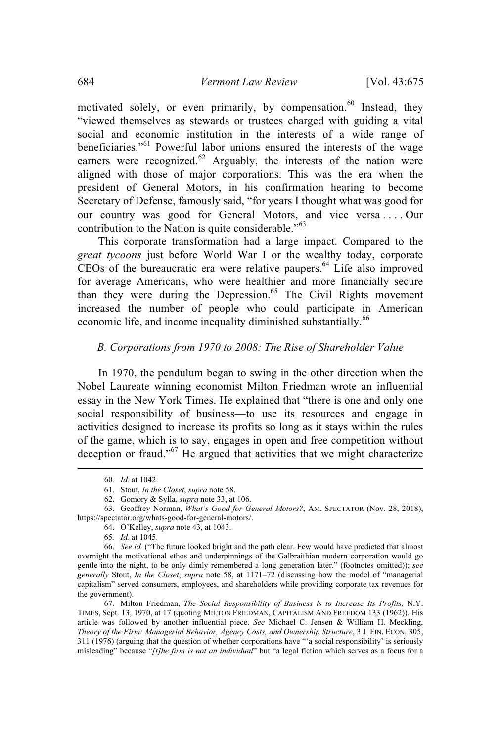motivated solely, or even primarily, by compensation.<sup>60</sup> Instead, they "viewed themselves as stewards or trustees charged with guiding a vital social and economic institution in the interests of a wide range of beneficiaries."<sup>61</sup> Powerful labor unions ensured the interests of the wage earners were recognized. $62$  Arguably, the interests of the nation were aligned with those of major corporations. This was the era when the president of General Motors, in his confirmation hearing to become Secretary of Defense, famously said, "for years I thought what was good for our country was good for General Motors, and vice versa ... Our contribution to the Nation is quite considerable."<sup>63</sup>

This corporate transformation had a large impact. Compared to the *great tycoons* just before World War I or the wealthy today, corporate CEOs of the bureaucratic era were relative paupers. <sup>64</sup> Life also improved for average Americans, who were healthier and more financially secure than they were during the Depression.<sup>65</sup> The Civil Rights movement increased the number of people who could participate in American economic life, and income inequality diminished substantially.<sup>66</sup>

### *B. Corporations from 1970 to 2008: The Rise of Shareholder Value*

In 1970, the pendulum began to swing in the other direction when the Nobel Laureate winning economist Milton Friedman wrote an influential essay in the New York Times. He explained that "there is one and only one social responsibility of business—to use its resources and engage in activities designed to increase its profits so long as it stays within the rules of the game, which is to say, engages in open and free competition without deception or fraud."<sup>67</sup> He argued that activities that we might characterize

64. O'Kelley, *supra* note 43, at 1043.

<sup>60</sup>*. Id.* at 1042.

<sup>61.</sup> Stout, *In the Closet*, *supra* note 58.

<sup>62.</sup> Gomory & Sylla, *supra* note 33, at 106.

<sup>63.</sup> Geoffrey Norman, *What's Good for General Motors?*, AM. SPECTATOR (Nov. 28, 2018), https://spectator.org/whats-good-for-general-motors/.

<sup>65</sup>*. Id.* at 1045.

<sup>66.</sup> *See id.* ("The future looked bright and the path clear. Few would have predicted that almost overnight the motivational ethos and underpinnings of the Galbraithian modern corporation would go gentle into the night, to be only dimly remembered a long generation later." (footnotes omitted)); *see generally* Stout, *In the Closet*, *supra* note 58, at 1171–72 (discussing how the model of "managerial capitalism" served consumers, employees, and shareholders while providing corporate tax revenues for the government).

<sup>67.</sup> Milton Friedman, *The Social Responsibility of Business is to Increase Its Profits*, N.Y. TIMES, Sept. 13, 1970, at 17 (quoting MILTON FRIEDMAN, CAPITALISM AND FREEDOM 133 (1962)). His article was followed by another influential piece. *See* Michael C. Jensen & William H. Meckling, *Theory of the Firm: Managerial Behavior, Agency Costs, and Ownership Structure*, 3 J. FIN. ECON. 305, 311 (1976) (arguing that the question of whether corporations have "'a social responsibility' is seriously misleading" because "*[t]he firm is not an individual*" but "a legal fiction which serves as a focus for a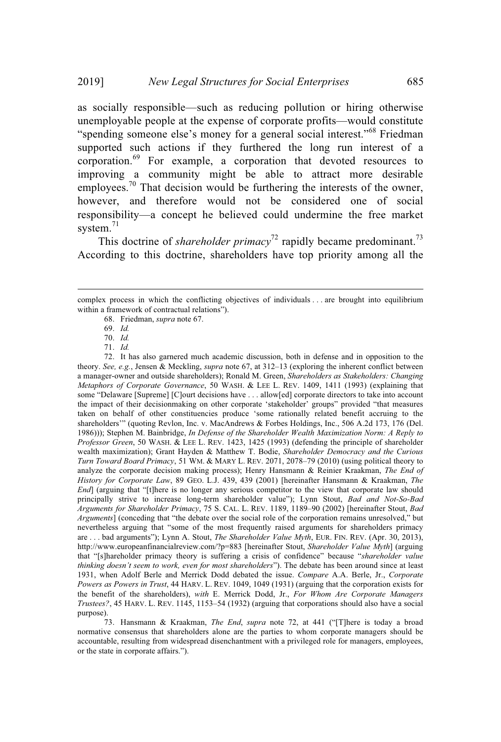as socially responsible—such as reducing pollution or hiring otherwise unemployable people at the expense of corporate profits—would constitute "spending someone else's money for a general social interest."<sup>68</sup> Friedman supported such actions if they furthered the long run interest of a corporation.<sup>69</sup> For example, a corporation that devoted resources to improving a community might be able to attract more desirable employees.<sup>70</sup> That decision would be furthering the interests of the owner, however, and therefore would not be considered one of social responsibility—a concept he believed could undermine the free market system. 71

This doctrine of *shareholder primacy*<sup>72</sup> rapidly became predominant.<sup>73</sup> According to this doctrine, shareholders have top priority among all the

72. It has also garnered much academic discussion, both in defense and in opposition to the theory. *See, e.g.*, Jensen & Meckling, *supra* note 67, at 312–13 (exploring the inherent conflict between a manager-owner and outside shareholders); Ronald M. Green, *Shareholders as Stakeholders: Changing Metaphors of Corporate Governance*, 50 WASH. & LEE L. REV. 1409, 1411 (1993) (explaining that some "Delaware [Supreme] [C]ourt decisions have . . . allow[ed] corporate directors to take into account the impact of their decisionmaking on other corporate 'stakeholder' groups" provided "that measures taken on behalf of other constituencies produce 'some rationally related benefit accruing to the shareholders'" (quoting Revlon, Inc. v. MacAndrews & Forbes Holdings, Inc., 506 A.2d 173, 176 (Del. 1986))); Stephen M. Bainbridge, *In Defense of the Shareholder Wealth Maximization Norm: A Reply to Professor Green*, 50 WASH. & LEE L. REV. 1423, 1425 (1993) (defending the principle of shareholder wealth maximization); Grant Hayden & Matthew T. Bodie, *Shareholder Democracy and the Curious Turn Toward Board Primacy*, 51 WM. & MARY L. REV. 2071, 2078–79 (2010) (using political theory to analyze the corporate decision making process); Henry Hansmann & Reinier Kraakman, *The End of History for Corporate Law*, 89 GEO. L.J. 439, 439 (2001) [hereinafter Hansmann & Kraakman, *The End*] (arguing that "[t]here is no longer any serious competitor to the view that corporate law should principally strive to increase long-term shareholder value"); Lynn Stout, *Bad and Not-So-Bad Arguments for Shareholder Primacy*, 75 S. CAL. L. REV. 1189, 1189–90 (2002) [hereinafter Stout, *Bad Arguments*] (conceding that "the debate over the social role of the corporation remains unresolved," but nevertheless arguing that "some of the most frequently raised arguments for shareholders primacy are . . . bad arguments"); Lynn A. Stout, *The Shareholder Value Myth*, EUR. FIN. REV. (Apr. 30, 2013), http://www.europeanfinancialreview.com/?p=883 [hereinafter Stout, *Shareholder Value Myth*] (arguing that "[s]hareholder primacy theory is suffering a crisis of confidence" because "*shareholder value thinking doesn't seem to work, even for most shareholders*"). The debate has been around since at least 1931, when Adolf Berle and Merrick Dodd debated the issue. *Compare* A.A. Berle, Jr., *Corporate Powers as Powers in Trust*, 44 HARV. L. REV. 1049, 1049 (1931) (arguing that the corporation exists for the benefit of the shareholders), *with* E. Merrick Dodd, Jr., *For Whom Are Corporate Managers Trustees?*, 45 HARV. L. REV. 1145, 1153–54 (1932) (arguing that corporations should also have a social purpose).

73. Hansmann & Kraakman, *The End*, *supra* note 72, at 441 ("[T]here is today a broad normative consensus that shareholders alone are the parties to whom corporate managers should be accountable, resulting from widespread disenchantment with a privileged role for managers, employees, or the state in corporate affairs.").

complex process in which the conflicting objectives of individuals . . . are brought into equilibrium within a framework of contractual relations").

<sup>68.</sup> Friedman, *supra* note 67.

<sup>69.</sup> *Id.*

<sup>70.</sup> *Id.*

<sup>71.</sup> *Id.*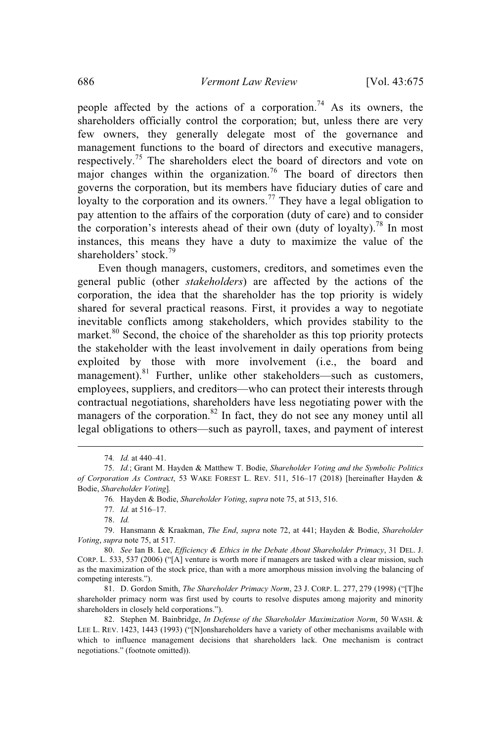people affected by the actions of a corporation.<sup>74</sup> As its owners, the shareholders officially control the corporation; but, unless there are very few owners, they generally delegate most of the governance and management functions to the board of directors and executive managers, respectively.<sup>75</sup> The shareholders elect the board of directors and vote on major changes within the organization.<sup>76</sup> The board of directors then governs the corporation, but its members have fiduciary duties of care and loyalty to the corporation and its owners.<sup>77</sup> They have a legal obligation to pay attention to the affairs of the corporation (duty of care) and to consider the corporation's interests ahead of their own (duty of loyalty).<sup>78</sup> In most instances, this means they have a duty to maximize the value of the shareholders' stock.<sup>79</sup>

Even though managers, customers, creditors, and sometimes even the general public (other *stakeholders*) are affected by the actions of the corporation, the idea that the shareholder has the top priority is widely shared for several practical reasons. First, it provides a way to negotiate inevitable conflicts among stakeholders, which provides stability to the market. $80$  Second, the choice of the shareholder as this top priority protects the stakeholder with the least involvement in daily operations from being exploited by those with more involvement (i.e., the board and management).<sup>81</sup> Further, unlike other stakeholders—such as customers, employees, suppliers, and creditors—who can protect their interests through contractual negotiations, shareholders have less negotiating power with the managers of the corporation.<sup>82</sup> In fact, they do not see any money until all legal obligations to others—such as payroll, taxes, and payment of interest

<sup>74</sup>*. Id.* at 440–41.

<sup>75</sup>*. Id.*; Grant M. Hayden & Matthew T. Bodie, *Shareholder Voting and the Symbolic Politics of Corporation As Contract*, 53 WAKE FOREST L. REV. 511, 516–17 (2018) [hereinafter Hayden & Bodie, *Shareholder Voting*]*.*

<sup>76</sup>*.* Hayden & Bodie, *Shareholder Voting*, *supra* note 75, at 513, 516.

<sup>77</sup>*. Id.* at 516–17.

<sup>78.</sup> *Id.*

<sup>79.</sup> Hansmann & Kraakman, *The End*, *supra* note 72, at 441; Hayden & Bodie, *Shareholder Voting*, *supra* note 75, at 517.

<sup>80.</sup> *See* Ian B. Lee, *Efficiency & Ethics in the Debate About Shareholder Primacy*, 31 DEL. J. CORP. L. 533, 537 (2006) ("[A] venture is worth more if managers are tasked with a clear mission, such as the maximization of the stock price, than with a more amorphous mission involving the balancing of competing interests.").

<sup>81.</sup> D. Gordon Smith, *The Shareholder Primacy Norm*, 23 J. CORP. L. 277, 279 (1998) ("[T]he shareholder primacy norm was first used by courts to resolve disputes among majority and minority shareholders in closely held corporations.").

<sup>82.</sup> Stephen M. Bainbridge, *In Defense of the Shareholder Maximization Norm*, 50 WASH. & LEE L. REV. 1423, 1443 (1993) ("[N]onshareholders have a variety of other mechanisms available with which to influence management decisions that shareholders lack. One mechanism is contract negotiations." (footnote omitted)).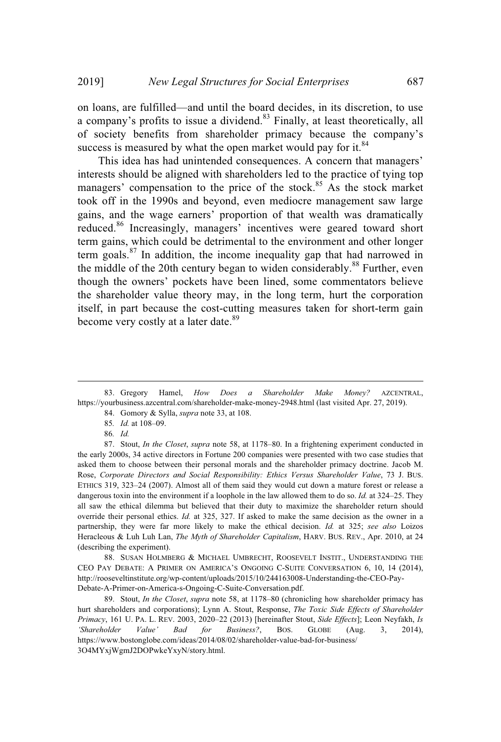on loans, are fulfilled—and until the board decides, in its discretion, to use a company's profits to issue a dividend.<sup>83</sup> Finally, at least theoretically, all of society benefits from shareholder primacy because the company's success is measured by what the open market would pay for it.<sup>84</sup>

This idea has had unintended consequences. A concern that managers' interests should be aligned with shareholders led to the practice of tying top managers' compensation to the price of the stock.<sup>85</sup> As the stock market took off in the 1990s and beyond, even mediocre management saw large gains, and the wage earners' proportion of that wealth was dramatically reduced.<sup>86</sup> Increasingly, managers' incentives were geared toward short term gains, which could be detrimental to the environment and other longer term goals. $87$  In addition, the income inequality gap that had narrowed in the middle of the 20th century began to widen considerably.<sup>88</sup> Further, even though the owners' pockets have been lined, some commentators believe the shareholder value theory may, in the long term, hurt the corporation itself, in part because the cost-cutting measures taken for short-term gain become very costly at a later date.<sup>89</sup>

88. SUSAN HOLMBERG & MICHAEL UMBRECHT, ROOSEVELT INSTIT., UNDERSTANDING THE CEO PAY DEBATE: A PRIMER ON AMERICA'S ONGOING C-SUITE CONVERSATION 6, 10, 14 (2014), http://rooseveltinstitute.org/wp-content/uploads/2015/10/244163008-Understanding-the-CEO-Pay-Debate-A-Primer-on-America-s-Ongoing-C-Suite-Conversation.pdf.

89. Stout, *In the Closet*, *supra* note 58, at 1178–80 (chronicling how shareholder primacy has hurt shareholders and corporations); Lynn A. Stout, Response, *The Toxic Side Effects of Shareholder Primacy*, 161 U. PA. L. REV. 2003, 2020–22 (2013) [hereinafter Stout, *Side Effects*]; Leon Neyfakh, *Is 'Shareholder Value' Bad for Business?*, BOS. GLOBE (Aug. 3, 2014), https://www.bostonglobe.com/ideas/2014/08/02/shareholder-value-bad-for-business/ 3O4MYxjWgmJ2DOPwkeYxyN/story.html.

<sup>83.</sup> Gregory Hamel, *How Does a Shareholder Make Money?* AZCENTRAL, https://yourbusiness.azcentral.com/shareholder-make-money-2948.html (last visited Apr. 27, 2019).

<sup>84.</sup> Gomory & Sylla, *supra* note 33, at 108.

<sup>85</sup>*. Id.* at 108–09.

<sup>86</sup>*. Id.*

<sup>87.</sup> Stout, *In the Closet*, *supra* note 58, at 1178–80. In a frightening experiment conducted in the early 2000s, 34 active directors in Fortune 200 companies were presented with two case studies that asked them to choose between their personal morals and the shareholder primacy doctrine. Jacob M. Rose, *Corporate Directors and Social Responsibility: Ethics Versus Shareholder Value*, 73 J. BUS. ETHICS 319, 323–24 (2007). Almost all of them said they would cut down a mature forest or release a dangerous toxin into the environment if a loophole in the law allowed them to do so. *Id.* at 324–25. They all saw the ethical dilemma but believed that their duty to maximize the shareholder return should override their personal ethics. *Id.* at 325, 327. If asked to make the same decision as the owner in a partnership, they were far more likely to make the ethical decision. *Id.* at 325; *see also* Loizos Heracleous & Luh Luh Lan, *The Myth of Shareholder Capitalism*, HARV. BUS. REV., Apr. 2010, at 24 (describing the experiment).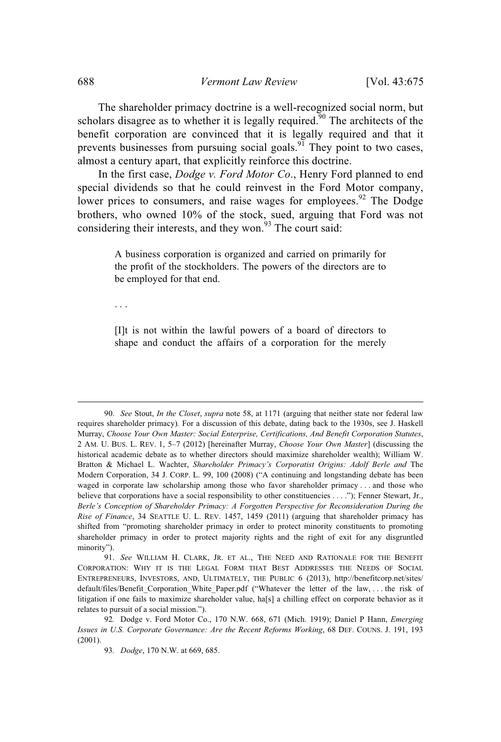The shareholder primacy doctrine is a well-recognized social norm, but scholars disagree as to whether it is legally required.<sup>90</sup> The architects of the benefit corporation are convinced that it is legally required and that it prevents businesses from pursuing social goals.<sup>91</sup> They point to two cases, almost a century apart, that explicitly reinforce this doctrine.

In the first case, *Dodge v. Ford Motor Co*., Henry Ford planned to end special dividends so that he could reinvest in the Ford Motor company, lower prices to consumers, and raise wages for employees.<sup>92</sup> The Dodge brothers, who owned 10% of the stock, sued, arguing that Ford was not considering their interests, and they won.<sup>93</sup> The court said:

> A business corporation is organized and carried on primarily for the profit of the stockholders. The powers of the directors are to be employed for that end.

. . .

[I]t is not within the lawful powers of a board of directors to shape and conduct the affairs of a corporation for the merely

<sup>90.</sup> *See* Stout, *In the Closet*, *supra* note 58, at 1171 (arguing that neither state nor federal law requires shareholder primacy)*.* For a discussion of this debate, dating back to the 1930s, see J. Haskell Murray, *Choose Your Own Master: Social Enterprise, Certifications, And Benefit Corporation Statutes*, 2 AM. U. BUS. L. REV. 1, 5–7 (2012) [hereinafter Murray, *Choose Your Own Master*] (discussing the historical academic debate as to whether directors should maximize shareholder wealth); William W. Bratton & Michael L. Wachter, *Shareholder Primacy's Corporatist Origins: Adolf Berle and* The Modern Corporation, 34 J. CORP. L. 99, 100 (2008) ("A continuing and longstanding debate has been waged in corporate law scholarship among those who favor shareholder primacy . . . and those who believe that corporations have a social responsibility to other constituencies . . . ."); Fenner Stewart, Jr., *Berle's Conception of Shareholder Primacy: A Forgotten Perspective for Reconsideration During the Rise of Finance*, 34 SEATTLE U. L. REV. 1457, 1459 (2011) (arguing that shareholder primacy has shifted from "promoting shareholder primacy in order to protect minority constituents to promoting shareholder primacy in order to protect majority rights and the right of exit for any disgruntled minority").

<sup>91.</sup> *See* WILLIAM H. CLARK, JR. ET AL., THE NEED AND RATIONALE FOR THE BENEFIT CORPORATION: WHY IT IS THE LEGAL FORM THAT BEST ADDRESSES THE NEEDS OF SOCIAL ENTREPRENEURS, INVESTORS, AND, ULTIMATELY, THE PUBLIC 6 (2013), http://benefitcorp.net/sites/ default/files/Benefit\_Corporation\_White\_Paper.pdf ("Whatever the letter of the law, . . . the risk of litigation if one fails to maximize shareholder value, ha[s] a chilling effect on corporate behavior as it relates to pursuit of a social mission.").

<sup>92</sup>*.* Dodge v. Ford Motor Co., 170 N.W. 668, 671 (Mich. 1919); Daniel P Hann, *Emerging Issues in U.S. Corporate Governance: Are the Recent Reforms Working*, 68 DEF. COUNS. J. 191, 193 (2001).

<sup>93</sup>*. Dodge*, 170 N.W. at 669, 685.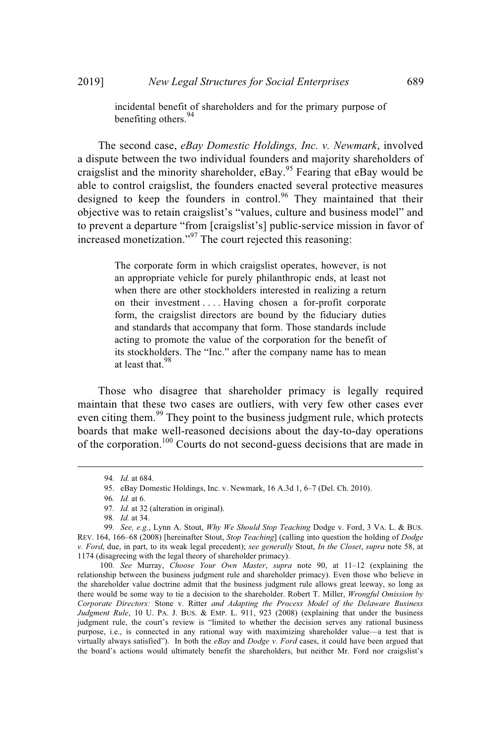incidental benefit of shareholders and for the primary purpose of benefiting others.<sup>94</sup>

The second case, *eBay Domestic Holdings, Inc. v. Newmark*, involved a dispute between the two individual founders and majority shareholders of craigslist and the minority shareholder, eBay.<sup>95</sup> Fearing that eBay would be able to control craigslist, the founders enacted several protective measures designed to keep the founders in control.<sup>96</sup> They maintained that their objective was to retain craigslist's "values, culture and business model" and to prevent a departure "from [craigslist's] public-service mission in favor of increased monetization."<sup>97</sup> The court rejected this reasoning:

> The corporate form in which craigslist operates, however, is not an appropriate vehicle for purely philanthropic ends, at least not when there are other stockholders interested in realizing a return on their investment . . . . Having chosen a for-profit corporate form, the craigslist directors are bound by the fiduciary duties and standards that accompany that form. Those standards include acting to promote the value of the corporation for the benefit of its stockholders. The "Inc." after the company name has to mean at least that.<sup>98</sup>

Those who disagree that shareholder primacy is legally required maintain that these two cases are outliers, with very few other cases ever even citing them.<sup>99</sup> They point to the business judgment rule, which protects boards that make well-reasoned decisions about the day-to-day operations of the corporation.<sup>100</sup> Courts do not second-guess decisions that are made in

<sup>94</sup>*. Id.* at 684.

<sup>95.</sup> eBay Domestic Holdings, Inc. v. Newmark, 16 A.3d 1, 6–7 (Del. Ch. 2010).

<sup>96</sup>*. Id.* at 6.

<sup>97</sup>*. Id.* at 32 (alteration in original).

<sup>98</sup>*. Id.* at 34.

<sup>99</sup>*. See, e.g.*, Lynn A. Stout, *Why We Should Stop Teaching* Dodge v. Ford, 3 VA. L. & BUS. REV. 164, 166–68 (2008) [hereinafter Stout, *Stop Teaching*] (calling into question the holding of *Dodge v. Ford*, due, in part, to its weak legal precedent); *see generally* Stout, *In the Closet*, *supra* note 58, at 1174 (disagreeing with the legal theory of shareholder primacy).

<sup>100</sup>*. See* Murray, *Choose Your Own Master*, *supra* note 90, at 11–12 (explaining the relationship between the business judgment rule and shareholder primacy). Even those who believe in the shareholder value doctrine admit that the business judgment rule allows great leeway, so long as there would be some way to tie a decision to the shareholder. Robert T. Miller, *Wrongful Omission by Corporate Directors:* Stone v. Ritter *and Adapting the Process Model of the Delaware Business Judgment Rule*, 10 U. PA. J. BUS. & EMP. L. 911, 923 (2008) (explaining that under the business judgment rule, the court's review is "limited to whether the decision serves any rational business purpose, i.e., is connected in any rational way with maximizing shareholder value—a test that is virtually always satisfied"). In both the *eBay* and *Dodge v. Ford* cases, it could have been argued that the board's actions would ultimately benefit the shareholders, but neither Mr. Ford nor craigslist's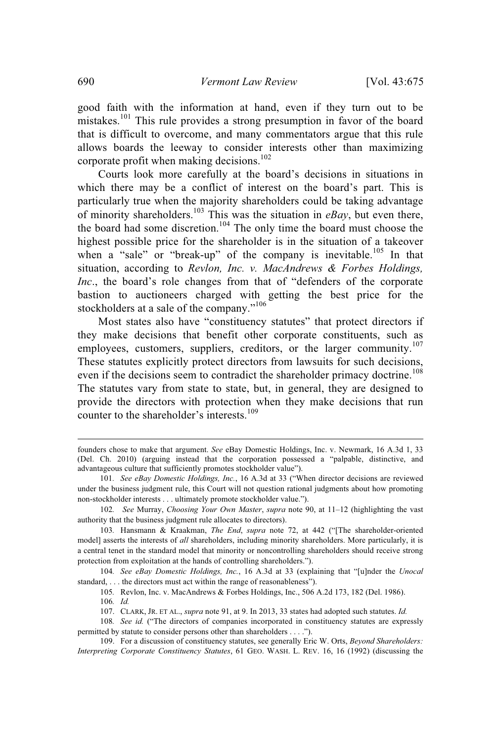good faith with the information at hand, even if they turn out to be mistakes.<sup>101</sup> This rule provides a strong presumption in favor of the board that is difficult to overcome, and many commentators argue that this rule allows boards the leeway to consider interests other than maximizing corporate profit when making decisions.<sup>102</sup>

Courts look more carefully at the board's decisions in situations in which there may be a conflict of interest on the board's part. This is particularly true when the majority shareholders could be taking advantage of minority shareholders. <sup>103</sup> This was the situation in *eBay*, but even there, the board had some discretion.<sup>104</sup> The only time the board must choose the highest possible price for the shareholder is in the situation of a takeover when a "sale" or "break-up" of the company is inevitable.<sup>105</sup> In that situation, according to *Revlon, Inc. v. MacAndrews & Forbes Holdings, Inc*., the board's role changes from that of "defenders of the corporate bastion to auctioneers charged with getting the best price for the stockholders at a sale of the company."<sup>106</sup>

Most states also have "constituency statutes" that protect directors if they make decisions that benefit other corporate constituents, such as employees, customers, suppliers, creditors, or the larger community.<sup>107</sup> These statutes explicitly protect directors from lawsuits for such decisions, even if the decisions seem to contradict the shareholder primacy doctrine.<sup>108</sup> The statutes vary from state to state, but, in general, they are designed to provide the directors with protection when they make decisions that run counter to the shareholder's interests. 109

founders chose to make that argument. *See* eBay Domestic Holdings, Inc. v. Newmark, 16 A.3d 1, 33 (Del. Ch. 2010) (arguing instead that the corporation possessed a "palpable, distinctive, and advantageous culture that sufficiently promotes stockholder value").

<sup>101</sup>*. See eBay Domestic Holdings, Inc.*, 16 A.3d at 33 ("When director decisions are reviewed under the business judgment rule, this Court will not question rational judgments about how promoting non-stockholder interests . . . ultimately promote stockholder value.").

<sup>102</sup>*. See* Murray, *Choosing Your Own Master*, *supra* note 90, at 11–12 (highlighting the vast authority that the business judgment rule allocates to directors).

<sup>103</sup>*.* Hansmann & Kraakman, *The End*, *supra* note 72, at 442 ("[The shareholder-oriented model] asserts the interests of *all* shareholders, including minority shareholders. More particularly, it is a central tenet in the standard model that minority or noncontrolling shareholders should receive strong protection from exploitation at the hands of controlling shareholders.").

<sup>104</sup>*. See eBay Domestic Holdings, Inc.*, 16 A.3d at 33 (explaining that "[u]nder the *Unocal* standard, . . . the directors must act within the range of reasonableness").

<sup>105</sup>*.* Revlon, Inc. v. MacAndrews & Forbes Holdings, Inc., 506 A.2d 173, 182 (Del. 1986).

<sup>106</sup>*. Id.*

<sup>107.</sup> CLARK, JR. ET AL., *supra* note 91, at 9. In 2013, 33 states had adopted such statutes. *Id.*

<sup>108</sup>*. See id.* ("The directors of companies incorporated in constituency statutes are expressly permitted by statute to consider persons other than shareholders . . . .").

<sup>109.</sup> For a discussion of constituency statutes, see generally Eric W. Orts, *Beyond Shareholders: Interpreting Corporate Constituency Statutes*, 61 GEO. WASH. L. REV. 16, 16 (1992) (discussing the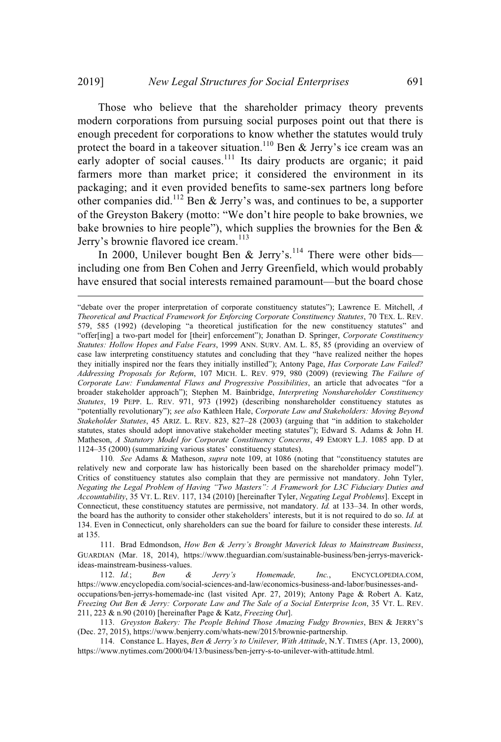Those who believe that the shareholder primacy theory prevents modern corporations from pursuing social purposes point out that there is enough precedent for corporations to know whether the statutes would truly protect the board in a takeover situation.<sup>110</sup> Ben & Jerry's ice cream was an early adopter of social causes.<sup>111</sup> Its dairy products are organic; it paid farmers more than market price; it considered the environment in its packaging; and it even provided benefits to same-sex partners long before other companies did.<sup>112</sup> Ben & Jerry's was, and continues to be, a supporter of the Greyston Bakery (motto: "We don't hire people to bake brownies, we bake brownies to hire people"), which supplies the brownies for the Ben  $\&$ Jerry's brownie flavored ice cream. 113

In 2000, Unilever bought Ben & Jerry's.<sup>114</sup> There were other bids including one from Ben Cohen and Jerry Greenfield, which would probably have ensured that social interests remained paramount—but the board chose

110*. See* Adams & Matheson, *supra* note 109, at 1086 (noting that "constituency statutes are relatively new and corporate law has historically been based on the shareholder primacy model"). Critics of constituency statutes also complain that they are permissive not mandatory. John Tyler, *Negating the Legal Problem of Having "Two Masters": A Framework for L3C Fiduciary Duties and Accountability*, 35 VT. L. REV. 117, 134 (2010) [hereinafter Tyler, *Negating Legal Problems*]. Except in Connecticut, these constituency statutes are permissive, not mandatory. *Id.* at 133–34. In other words, the board has the authority to consider other stakeholders' interests, but it is not required to do so. *Id.* at 134. Even in Connecticut, only shareholders can sue the board for failure to consider these interests. *Id.* at 135.

111. Brad Edmondson, *How Ben & Jerry's Brought Maverick Ideas to Mainstream Business*, GUARDIAN (Mar. 18, 2014), https://www.theguardian.com/sustainable-business/ben-jerrys-maverickideas-mainstream-business-values.

112. *Id.*; *Ben & Jerry's Homemade, Inc.*, ENCYCLOPEDIA.COM, https://www.encyclopedia.com/social-sciences-and-law/economics-business-and-labor/businesses-andoccupations/ben-jerrys-homemade-inc (last visited Apr. 27, 2019); Antony Page & Robert A. Katz, *Freezing Out Ben & Jerry: Corporate Law and The Sale of a Social Enterprise Icon*, 35 VT. L. REV. 211, 223 & n.90 (2010) [hereinafter Page & Katz, *Freezing Out*].

113. *Greyston Bakery: The People Behind Those Amazing Fudgy Brownies*, BEN & JERRY'S (Dec. 27, 2015), https://www.benjerry.com/whats-new/2015/brownie-partnership.

114. Constance L. Hayes, *Ben & Jerry's to Unilever, With Attitude*, N.Y. TIMES (Apr. 13, 2000), https://www.nytimes.com/2000/04/13/business/ben-jerry-s-to-unilever-with-attitude.html.

<sup>&</sup>quot;debate over the proper interpretation of corporate constituency statutes"); Lawrence E. Mitchell, *A Theoretical and Practical Framework for Enforcing Corporate Constituency Statutes*, 70 TEX. L. REV. 579, 585 (1992) (developing "a theoretical justification for the new constituency statutes" and "offer[ing] a two-part model for [their] enforcement"); Jonathan D. Springer, *Corporate Constituency Statutes: Hollow Hopes and False Fears*, 1999 ANN. SURV. AM. L. 85, 85 (providing an overview of case law interpreting constituency statutes and concluding that they "have realized neither the hopes they initially inspired nor the fears they initially instilled"); Antony Page, *Has Corporate Law Failed? Addressing Proposals for Reform*, 107 MICH. L. REV. 979, 980 (2009) (reviewing *The Failure of Corporate Law: Fundamental Flaws and Progressive Possibilities*, an article that advocates "for a broader stakeholder approach"); Stephen M. Bainbridge, *Interpreting Nonshareholder Constituency Statutes*, 19 PEPP. L. REV. 971, 973 (1992) (describing nonshareholder constituency statutes as "potentially revolutionary"); *see also* Kathleen Hale, *Corporate Law and Stakeholders: Moving Beyond Stakeholder Statutes*, 45 ARIZ. L. REV. 823, 827–28 (2003) (arguing that "in addition to stakeholder statutes, states should adopt innovative stakeholder meeting statutes"); Edward S. Adams & John H. Matheson, *A Statutory Model for Corporate Constituency Concerns*, 49 EMORY L.J. 1085 app. D at 1124–35 (2000) (summarizing various states' constituency statutes).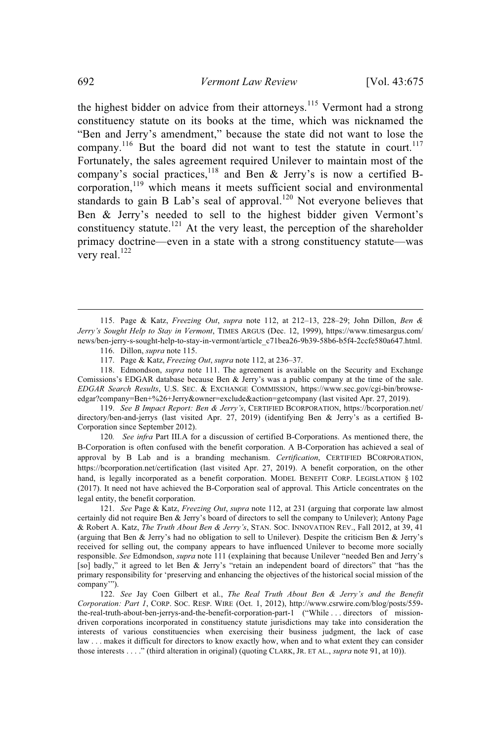the highest bidder on advice from their attorneys.<sup>115</sup> Vermont had a strong constituency statute on its books at the time, which was nicknamed the "Ben and Jerry's amendment," because the state did not want to lose the company.<sup>116</sup> But the board did not want to test the statute in court.<sup>117</sup> Fortunately, the sales agreement required Unilever to maintain most of the company's social practices,  $118$  and Ben & Jerry's is now a certified Bcorporation,<sup>119</sup> which means it meets sufficient social and environmental standards to gain B Lab's seal of approval.<sup>120</sup> Not everyone believes that Ben & Jerry's needed to sell to the highest bidder given Vermont's constituency statute.<sup>121</sup> At the very least, the perception of the shareholder primacy doctrine—even in a state with a strong constituency statute—was very real.<sup>122</sup>

119. *See B Impact Report: Ben & Jerry's*, CERTIFIED BCORPORATION, https://bcorporation.net/ directory/ben-and-jerrys (last visited Apr. 27, 2019) (identifying Ben & Jerry's as a certified B-Corporation since September 2012).

120*. See infra* Part III.A for a discussion of certified B-Corporations. As mentioned there, the B-Corporation is often confused with the benefit corporation. A B-Corporation has achieved a seal of approval by B Lab and is a branding mechanism. *Certification*, CERTIFIED BCORPORATION, https://bcorporation.net/certification (last visited Apr. 27, 2019). A benefit corporation, on the other hand, is legally incorporated as a benefit corporation. MODEL BENEFIT CORP. LEGISLATION § 102 (2017). It need not have achieved the B-Corporation seal of approval. This Article concentrates on the legal entity, the benefit corporation.

121. *See* Page & Katz, *Freezing Out*, *supra* note 112, at 231 (arguing that corporate law almost certainly did not require Ben & Jerry's board of directors to sell the company to Unilever); Antony Page & Robert A. Katz, *The Truth About Ben & Jerry's*, STAN. SOC. INNOVATION REV., Fall 2012, at 39, 41 (arguing that Ben & Jerry's had no obligation to sell to Unilever). Despite the criticism Ben & Jerry's received for selling out, the company appears to have influenced Unilever to become more socially responsible. *See* Edmondson, *supra* note 111 (explaining that because Unilever "needed Ben and Jerry's [so] badly," it agreed to let Ben & Jerry's "retain an independent board of directors" that "has the primary responsibility for 'preserving and enhancing the objectives of the historical social mission of the company'").

122. *See* Jay Coen Gilbert et al., *The Real Truth About Ben & Jerry's and the Benefit Corporation: Part 1*, CORP. SOC. RESP. WIRE (Oct. 1, 2012), http://www.csrwire.com/blog/posts/559 the-real-truth-about-ben-jerrys-and-the-benefit-corporation-part-1 ("While . . . directors of missiondriven corporations incorporated in constituency statute jurisdictions may take into consideration the interests of various constituencies when exercising their business judgment, the lack of case law . . . makes it difficult for directors to know exactly how, when and to what extent they can consider those interests . . . ." (third alteration in original) (quoting CLARK, JR. ET AL., *supra* note 91, at 10)).

<sup>115.</sup> Page & Katz, *Freezing Out*, *supra* note 112, at 212–13, 228–29; John Dillon, *Ben & Jerry's Sought Help to Stay in Vermont*, TIMES ARGUS (Dec. 12, 1999), https://www.timesargus.com/ news/ben-jerry-s-sought-help-to-stay-in-vermont/article\_c71bea26-9b39-58b6-b5f4-2ccfe580a647.html. 116. Dillon, *supra* note 115.

<sup>117.</sup> Page & Katz, *Freezing Out*, *supra* note 112, at 236–37.

<sup>118.</sup> Edmondson, *supra* note 111. The agreement is available on the Security and Exchange Comissions's EDGAR database because Ben & Jerry's was a public company at the time of the sale. *EDGAR Search Results*, U.S. SEC. & EXCHANGE COMMISSION, https://www.sec.gov/cgi-bin/browseedgar?company=Ben+%26+Jerry&owner=exclude&action=getcompany (last visited Apr. 27, 2019).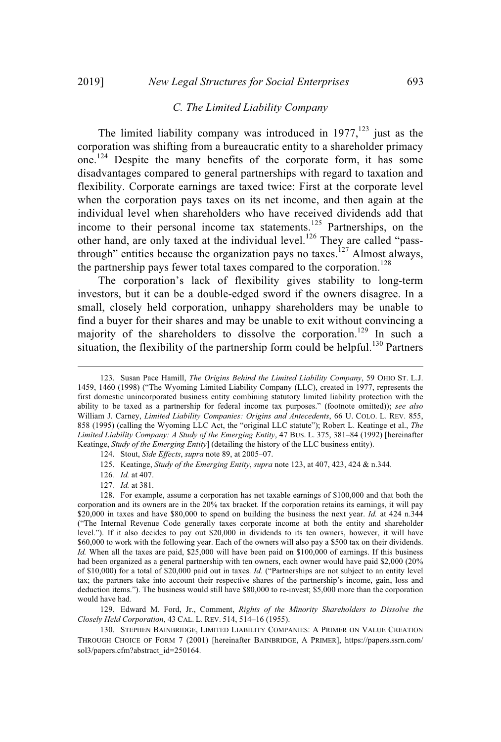#### *C. The Limited Liability Company*

The limited liability company was introduced in  $1977$ ,<sup>123</sup> just as the corporation was shifting from a bureaucratic entity to a shareholder primacy one.<sup>124</sup> Despite the many benefits of the corporate form, it has some disadvantages compared to general partnerships with regard to taxation and flexibility. Corporate earnings are taxed twice: First at the corporate level when the corporation pays taxes on its net income, and then again at the individual level when shareholders who have received dividends add that income to their personal income tax statements.<sup>125</sup> Partnerships, on the other hand, are only taxed at the individual level.<sup>126</sup> They are called "passthrough" entities because the organization pays no taxes.<sup>127</sup> Almost always, the partnership pays fewer total taxes compared to the corporation.<sup>128</sup>

The corporation's lack of flexibility gives stability to long-term investors, but it can be a double-edged sword if the owners disagree. In a small, closely held corporation, unhappy shareholders may be unable to find a buyer for their shares and may be unable to exit without convincing a majority of the shareholders to dissolve the corporation.<sup>129</sup> In such a situation, the flexibility of the partnership form could be helpful.<sup>130</sup> Partners

- 124. Stout, *Side Effects*, *supra* note 89, at 2005–07.
- 125. Keatinge, *Study of the Emerging Entity*, *supra* note 123, at 407, 423, 424 & n.344.

126*. Id.* at 407.

127*. Id.* at 381.

128. For example, assume a corporation has net taxable earnings of \$100,000 and that both the corporation and its owners are in the 20% tax bracket. If the corporation retains its earnings, it will pay \$20,000 in taxes and have \$80,000 to spend on building the business the next year. *Id.* at 424 n.344 ("The Internal Revenue Code generally taxes corporate income at both the entity and shareholder level."). If it also decides to pay out \$20,000 in dividends to its ten owners, however, it will have \$60,000 to work with the following year. Each of the owners will also pay a \$500 tax on their dividends. *Id.* When all the taxes are paid, \$25,000 will have been paid on \$100,000 of earnings. If this business had been organized as a general partnership with ten owners, each owner would have paid \$2,000 (20% of \$10,000) for a total of \$20,000 paid out in taxes. *Id.* ("Partnerships are not subject to an entity level tax; the partners take into account their respective shares of the partnership's income, gain, loss and deduction items."). The business would still have \$80,000 to re-invest; \$5,000 more than the corporation would have had.

129. Edward M. Ford, Jr., Comment, *Rights of the Minority Shareholders to Dissolve the Closely Held Corporation*, 43 CAL. L. REV. 514, 514–16 (1955).

130. STEPHEN BAINBRIDGE, LIMITED LIABILITY COMPANIES: A PRIMER ON VALUE CREATION THROUGH CHOICE OF FORM 7 (2001) [hereinafter BAINBRIDGE, A PRIMER], https://papers.ssrn.com/ sol3/papers.cfm?abstract\_id=250164.

<sup>123.</sup> Susan Pace Hamill, *The Origins Behind the Limited Liability Company*, 59 OHIO ST. L.J. 1459, 1460 (1998) ("The Wyoming Limited Liability Company (LLC), created in 1977, represents the first domestic unincorporated business entity combining statutory limited liability protection with the ability to be taxed as a partnership for federal income tax purposes." (footnote omitted)); *see also* William J. Carney, *Limited Liability Companies: Origins and Antecedents*, 66 U. COLO. L. REV. 855, 858 (1995) (calling the Wyoming LLC Act, the "original LLC statute"); Robert L. Keatinge et al., *The Limited Liability Company: A Study of the Emerging Entity*, 47 BUS. L. 375, 381–84 (1992) [hereinafter Keatinge, *Study of the Emerging Entity*] (detailing the history of the LLC business entity).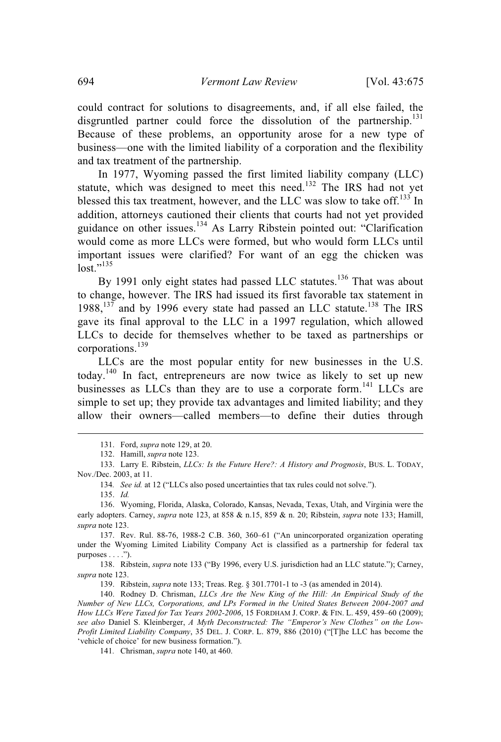could contract for solutions to disagreements, and, if all else failed, the disgruntled partner could force the dissolution of the partnership. $^{131}$ Because of these problems, an opportunity arose for a new type of business—one with the limited liability of a corporation and the flexibility and tax treatment of the partnership.

In 1977, Wyoming passed the first limited liability company (LLC) statute, which was designed to meet this need.<sup>132</sup> The IRS had not yet blessed this tax treatment, however, and the LLC was slow to take off.<sup>133</sup> In addition, attorneys cautioned their clients that courts had not yet provided guidance on other issues.<sup>134</sup> As Larry Ribstein pointed out: "Clarification would come as more LLCs were formed, but who would form LLCs until important issues were clarified? For want of an egg the chicken was  $\ln st$ <sup>,,135</sup>

By 1991 only eight states had passed LLC statutes.<sup>136</sup> That was about to change, however. The IRS had issued its first favorable tax statement in 1988,<sup>137</sup> and by 1996 every state had passed an LLC statute.<sup>138</sup> The IRS gave its final approval to the LLC in a 1997 regulation, which allowed LLCs to decide for themselves whether to be taxed as partnerships or corporations. 139

LLCs are the most popular entity for new businesses in the U.S. today.<sup>140</sup> In fact, entrepreneurs are now twice as likely to set up new businesses as LLCs than they are to use a corporate form.<sup>141</sup> LLCs are simple to set up; they provide tax advantages and limited liability; and they allow their owners—called members—to define their duties through

139. Ribstein, *supra* note 133; Treas. Reg. § 301.7701-1 to -3 (as amended in 2014).

141*.* Chrisman, *supra* note 140, at 460.

<sup>131.</sup> Ford, *supra* note 129, at 20.

<sup>132.</sup> Hamill, *supra* note 123.

<sup>133.</sup> Larry E. Ribstein, *LLCs: Is the Future Here?: A History and Prognosis*, BUS. L. TODAY, Nov./Dec. 2003, at 11.

<sup>134</sup>*. See id.* at 12 ("LLCs also posed uncertainties that tax rules could not solve.").

<sup>135.</sup> *Id.*

<sup>136.</sup> Wyoming, Florida, Alaska, Colorado, Kansas, Nevada, Texas, Utah, and Virginia were the early adopters. Carney, *supra* note 123, at 858 & n.15, 859 & n. 20; Ribstein, *supra* note 133; Hamill, *supra* note 123.

<sup>137.</sup> Rev. Rul. 88-76, 1988-2 C.B. 360, 360–61 ("An unincorporated organization operating under the Wyoming Limited Liability Company Act is classified as a partnership for federal tax purposes . . . .").

<sup>138.</sup> Ribstein, *supra* note 133 ("By 1996, every U.S. jurisdiction had an LLC statute."); Carney, *supra* note 123.

<sup>140.</sup> Rodney D. Chrisman, *LLCs Are the New King of the Hill: An Empirical Study of the Number of New LLCs, Corporations, and LPs Formed in the United States Between 2004-2007 and How LLCs Were Taxed for Tax Years 2002-2006*, 15 FORDHAM J. CORP. & FIN. L. 459, 459–60 (2009); *see also* Daniel S. Kleinberger, *A Myth Deconstructed: The "Emperor's New Clothes" on the Low-Profit Limited Liability Company*, 35 DEL. J. CORP. L. 879, 886 (2010) ("[T]he LLC has become the 'vehicle of choice' for new business formation.").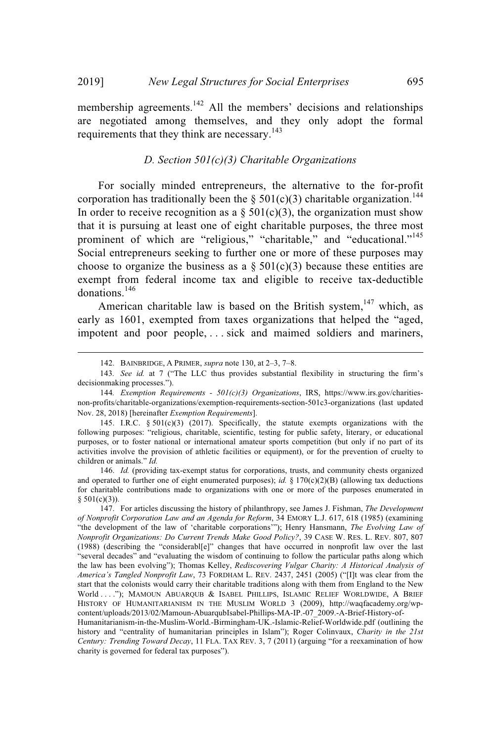membership agreements.<sup>142</sup> All the members' decisions and relationships are negotiated among themselves, and they only adopt the formal requirements that they think are necessary.<sup>143</sup>

## *D. Section 501(c)(3) Charitable Organizations*

For socially minded entrepreneurs, the alternative to the for-profit corporation has traditionally been the § 501(c)(3) charitable organization.<sup>144</sup> In order to receive recognition as a  $\S 501(c)(3)$ , the organization must show that it is pursuing at least one of eight charitable purposes, the three most prominent of which are "religious," "charitable," and "educational."<sup>145</sup> Social entrepreneurs seeking to further one or more of these purposes may choose to organize the business as a  $\S 501(c)(3)$  because these entities are exempt from federal income tax and eligible to receive tax-deductible donations. 146

American charitable law is based on the British system,<sup>147</sup> which, as early as 1601, exempted from taxes organizations that helped the "aged, impotent and poor people, . . . sick and maimed soldiers and mariners,

146. *Id.* (providing tax-exempt status for corporations, trusts, and community chests organized and operated to further one of eight enumerated purposes); *id.* § 170(c)(2)(B) (allowing tax deductions for charitable contributions made to organizations with one or more of the purposes enumerated in  $§ 501(c)(3)$ ).

<sup>142.</sup> BAINBRIDGE, A PRIMER, *supra* note 130, at 2–3, 7–8.

<sup>143</sup>*. See id.* at 7 ("The LLC thus provides substantial flexibility in structuring the firm's decisionmaking processes.").

<sup>144</sup>*. Exemption Requirements - 501(c)(3) Organizations*, IRS, https://www.irs.gov/charitiesnon-profits/charitable-organizations/exemption-requirements-section-501c3-organizations (last updated Nov. 28, 2018) [hereinafter *Exemption Requirements*].

<sup>145.</sup> I.R.C. § 501(c)(3) (2017). Specifically, the statute exempts organizations with the following purposes: "religious, charitable, scientific, testing for public safety, literary, or educational purposes, or to foster national or international amateur sports competition (but only if no part of its activities involve the provision of athletic facilities or equipment), or for the prevention of cruelty to children or animals." *Id.*

<sup>147.</sup> For articles discussing the history of philanthropy, see James J. Fishman, *The Development of Nonprofit Corporation Law and an Agenda for Reform*, 34 EMORY L.J. 617, 618 (1985) (examining "the development of the law of 'charitable corporations'"); Henry Hansmann, *The Evolving Law of Nonprofit Organizations: Do Current Trends Make Good Policy?*, 39 CASE W. RES. L. REV. 807, 807 (1988) (describing the "considerabl[e]" changes that have occurred in nonprofit law over the last "several decades" and "evaluating the wisdom of continuing to follow the particular paths along which the law has been evolving"); Thomas Kelley, *Rediscovering Vulgar Charity: A Historical Analysis of America's Tangled Nonprofit Law*, 73 FORDHAM L. REV. 2437, 2451 (2005) ("[I]t was clear from the start that the colonists would carry their charitable traditions along with them from England to the New World ...."); MAMOUN ABUAROUB & ISABEL PHILLIPS, ISLAMIC RELIEF WORLDWIDE, A BRIEF HISTORY OF HUMANITARIANISM IN THE MUSLIM WORLD 3 (2009), http://waqfacademy.org/wpcontent/uploads/2013/02/Mamoun-AbuarqubIsabel-Phillips-MA-IP.-07\_2009.-A-Brief-History-of-

Humanitarianism-in-the-Muslim-World.-Birmingham-UK.-Islamic-Relief-Worldwide.pdf (outlining the history and "centrality of humanitarian principles in Islam"); Roger Colinvaux, *Charity in the 21st Century: Trending Toward Decay*, 11 FLA. TAX REV. 3, 7 (2011) (arguing "for a reexamination of how charity is governed for federal tax purposes").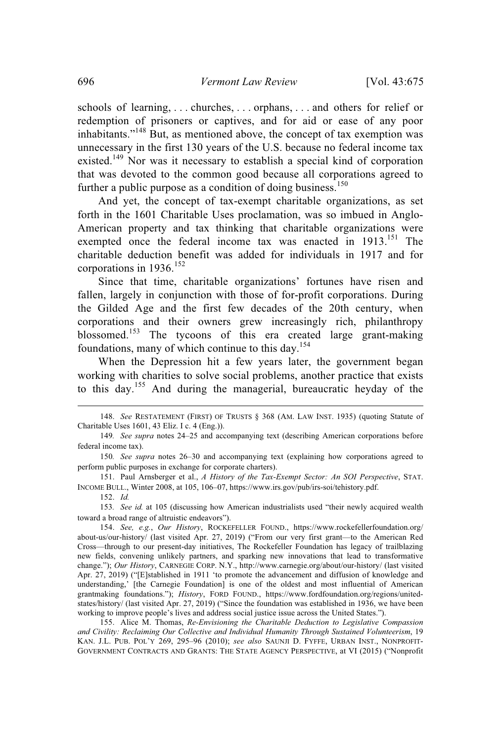schools of learning, . . . churches, . . . orphans, . . . and others for relief or redemption of prisoners or captives, and for aid or ease of any poor inhabitants."<sup>148</sup> But, as mentioned above, the concept of tax exemption was unnecessary in the first 130 years of the U.S. because no federal income tax existed.<sup>149</sup> Nor was it necessary to establish a special kind of corporation that was devoted to the common good because all corporations agreed to further a public purpose as a condition of doing business.<sup>150</sup>

And yet, the concept of tax-exempt charitable organizations, as set forth in the 1601 Charitable Uses proclamation, was so imbued in Anglo-American property and tax thinking that charitable organizations were exempted once the federal income tax was enacted in 1913.<sup>151</sup> The charitable deduction benefit was added for individuals in 1917 and for corporations in  $1936$ <sup>152</sup>

Since that time, charitable organizations' fortunes have risen and fallen, largely in conjunction with those of for-profit corporations. During the Gilded Age and the first few decades of the 20th century, when corporations and their owners grew increasingly rich, philanthropy blossomed.<sup>153</sup> The tycoons of this era created large grant-making foundations, many of which continue to this day.<sup>154</sup>

When the Depression hit a few years later, the government began working with charities to solve social problems, another practice that exists to this day.<sup>155</sup> And during the managerial, bureaucratic heyday of the

152. *Id.*

153*. See id.* at 105 (discussing how American industrialists used "their newly acquired wealth toward a broad range of altruistic endeavors").

<sup>148.</sup> *See* RESTATEMENT (FIRST) OF TRUSTS § 368 (AM. LAW INST. 1935) (quoting Statute of Charitable Uses 1601, 43 Eliz. I c. 4 (Eng.)).

<sup>149</sup>*. See supra* notes 24–25 and accompanying text (describing American corporations before federal income tax).

<sup>150</sup>*. See supra* notes 26–30 and accompanying text (explaining how corporations agreed to perform public purposes in exchange for corporate charters).

<sup>151.</sup> Paul Arnsberger et al., *A History of the Tax-Exempt Sector: An SOI Perspective*, STAT. INCOME BULL., Winter 2008, at 105, 106–07, https://www.irs.gov/pub/irs-soi/tehistory.pdf.

<sup>154.</sup> *See, e.g.*, *Our History*, ROCKEFELLER FOUND., https://www.rockefellerfoundation.org/ about-us/our-history/ (last visited Apr. 27, 2019) ("From our very first grant—to the American Red Cross—through to our present-day initiatives, The Rockefeller Foundation has legacy of trailblazing new fields, convening unlikely partners, and sparking new innovations that lead to transformative change."); *Our History*, CARNEGIE CORP. N.Y., http://www.carnegie.org/about/our-history/ (last visited Apr. 27, 2019) ("[E]stablished in 1911 'to promote the advancement and diffusion of knowledge and understanding,' [the Carnegie Foundation] is one of the oldest and most influential of American grantmaking foundations."); *History*, FORD FOUND., https://www.fordfoundation.org/regions/unitedstates/history/ (last visited Apr. 27, 2019) ("Since the foundation was established in 1936, we have been working to improve people's lives and address social justice issue across the United States.").

<sup>155.</sup> Alice M. Thomas, *Re-Envisioning the Charitable Deduction to Legislative Compassion and Civility: Reclaiming Our Collective and Individual Humanity Through Sustained Volunteerism*, 19 KAN. J.L. PUB. POL'Y 269, 295–96 (2010); *see also* SAUNJI D. FYFFE, URBAN INST., NONPROFIT-GOVERNMENT CONTRACTS AND GRANTS: THE STATE AGENCY PERSPECTIVE, at VI (2015) ("Nonprofit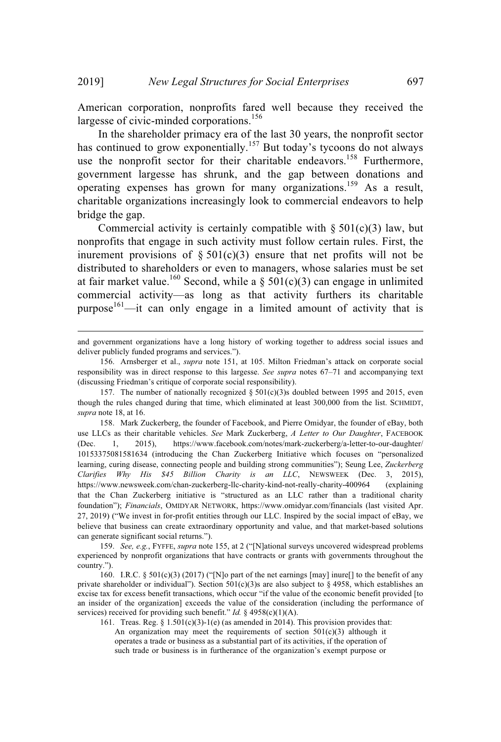American corporation, nonprofits fared well because they received the largesse of civic-minded corporations.<sup>156</sup>

In the shareholder primacy era of the last 30 years, the nonprofit sector has continued to grow exponentially.<sup>157</sup> But today's tycoons do not always use the nonprofit sector for their charitable endeavors.<sup>158</sup> Furthermore, government largesse has shrunk, and the gap between donations and operating expenses has grown for many organizations.<sup>159</sup> As a result, charitable organizations increasingly look to commercial endeavors to help bridge the gap.

Commercial activity is certainly compatible with  $\S 501(c)(3)$  law, but nonprofits that engage in such activity must follow certain rules. First, the inurement provisions of  $\S 501(c)(3)$  ensure that net profits will not be distributed to shareholders or even to managers, whose salaries must be set at fair market value.<sup>160</sup> Second, while a § 501(c)(3) can engage in unlimited commercial activity—as long as that activity furthers its charitable purpose<sup>161</sup>—it can only engage in a limited amount of activity that is

and government organizations have a long history of working together to address social issues and deliver publicly funded programs and services.").

<sup>156.</sup> Arnsberger et al., *supra* note 151, at 105. Milton Friedman's attack on corporate social responsibility was in direct response to this largesse. *See supra* notes 67–71 and accompanying text (discussing Friedman's critique of corporate social responsibility).

<sup>157.</sup> The number of nationally recognized  $\S$  501(c)(3)s doubled between 1995 and 2015, even though the rules changed during that time, which eliminated at least 300,000 from the list. SCHMIDT, *supra* note 18, at 16.

<sup>158.</sup> Mark Zuckerberg, the founder of Facebook, and Pierre Omidyar, the founder of eBay, both use LLCs as their charitable vehicles. *See* Mark Zuckerberg, *A Letter to Our Daughter*, FACEBOOK (Dec. 1, 2015), https://www.facebook.com/notes/mark-zuckerberg/a-letter-to-our-daughter/ 10153375081581634 (introducing the Chan Zuckerberg Initiative which focuses on "personalized learning, curing disease, connecting people and building strong communities"); Seung Lee, *Zuckerberg Clarifies Why His \$45 Billion Charity is an LLC*, NEWSWEEK (Dec. 3, 2015), https://www.newsweek.com/chan-zuckerberg-llc-charity-kind-not-really-charity-400964 (explaining that the Chan Zuckerberg initiative is "structured as an LLC rather than a traditional charity foundation"); *Financials*, OMIDYAR NETWORK, https://www.omidyar.com/financials (last visited Apr. 27, 2019) ("We invest in for-profit entities through our LLC. Inspired by the social impact of eBay, we believe that business can create extraordinary opportunity and value, and that market-based solutions can generate significant social returns.").

<sup>159.</sup> *See, e.g.*, FYFFE, *supra* note 155, at 2 ("[N]ational surveys uncovered widespread problems experienced by nonprofit organizations that have contracts or grants with governments throughout the country.").

<sup>160.</sup> I.R.C. § 501(c)(3) (2017) ("[N]o part of the net earnings [may] inure[] to the benefit of any private shareholder or individual"). Section 501(c)(3)s are also subject to  $\S$  4958, which establishes an excise tax for excess benefit transactions, which occur "if the value of the economic benefit provided [to an insider of the organization] exceeds the value of the consideration (including the performance of services) received for providing such benefit." *Id.* § 4958(c)(1)(A).

<sup>161.</sup> Treas. Reg. §  $1.501(c)(3)-1(e)$  (as amended in 2014). This provision provides that: An organization may meet the requirements of section  $501(c)(3)$  although it operates a trade or business as a substantial part of its activities, if the operation of such trade or business is in furtherance of the organization's exempt purpose or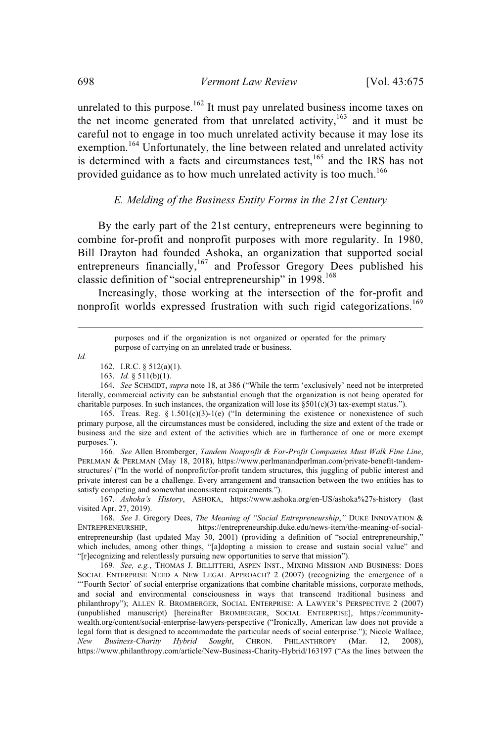unrelated to this purpose.<sup>162</sup> It must pay unrelated business income taxes on the net income generated from that unrelated activity,<sup>163</sup> and it must be careful not to engage in too much unrelated activity because it may lose its exemption.<sup>164</sup> Unfortunately, the line between related and unrelated activity is determined with a facts and circumstances test, $165$  and the IRS has not provided guidance as to how much unrelated activity is too much.<sup>166</sup>

#### *E. Melding of the Business Entity Forms in the 21st Century*

By the early part of the 21st century, entrepreneurs were beginning to combine for-profit and nonprofit purposes with more regularity. In 1980, Bill Drayton had founded Ashoka, an organization that supported social entrepreneurs financially, $167$  and Professor Gregory Dees published his classic definition of "social entrepreneurship" in 1998.<sup>168</sup>

Increasingly, those working at the intersection of the for-profit and nonprofit worlds expressed frustration with such rigid categorizations.<sup>169</sup>

*Id.*

164. *See* SCHMIDT, *supra* note 18, at 386 ("While the term 'exclusively' need not be interpreted literally, commercial activity can be substantial enough that the organization is not being operated for charitable purposes. In such instances, the organization will lose its  $\S501(c)(3)$  tax-exempt status.").

165. Treas. Reg. §  $1.501(c)(3)-1(e)$  ("In determining the existence or nonexistence of such primary purpose, all the circumstances must be considered, including the size and extent of the trade or business and the size and extent of the activities which are in furtherance of one or more exempt purposes.").

166*. See* Allen Bromberger, *Tandem Nonprofit & For-Profit Companies Must Walk Fine Line*, PERLMAN & PERLMAN (May 18, 2018), https://www.perlmanandperlman.com/private-benefit-tandemstructures/ ("In the world of nonprofit/for-profit tandem structures, this juggling of public interest and private interest can be a challenge. Every arrangement and transaction between the two entities has to satisfy competing and somewhat inconsistent requirements.").

168. *See* J. Gregory Dees, *The Meaning of "Social Entrepreneurship*,*"* DUKE INNOVATION & https://entrepreneurship.duke.edu/news-item/the-meaning-of-socialentrepreneurship (last updated May 30, 2001) (providing a definition of "social entrepreneurship," which includes, among other things, "[a]dopting a mission to crease and sustain social value" and "[r]ecognizing and relentlessly pursuing new opportunities to serve that mission").

169*. See, e.g.*, THOMAS J. BILLITTERI, ASPEN INST., MIXING MISSION AND BUSINESS: DOES SOCIAL ENTERPRISE NEED A NEW LEGAL APPROACH? 2 (2007) (recognizing the emergence of a "'Fourth Sector' of social enterprise organizations that combine charitable missions, corporate methods, and social and environmental consciousness in ways that transcend traditional business and philanthropy"); ALLEN R. BROMBERGER, SOCIAL ENTERPRISE: A LAWYER'S PERSPECTIVE 2 (2007) (unpublished manuscript) [hereinafter BROMBERGER, SOCIAL ENTERPRISE], https://communitywealth.org/content/social-enterprise-lawyers-perspective ("Ironically, American law does not provide a legal form that is designed to accommodate the particular needs of social enterprise."); Nicole Wallace, *New Business-Charity Hybrid Sought*, CHRON. PHILANTHROPY (Mar. 12, 2008), https://www.philanthropy.com/article/New-Business-Charity-Hybrid/163197 ("As the lines between the

purposes and if the organization is not organized or operated for the primary purpose of carrying on an unrelated trade or business.

<sup>162.</sup> I.R.C. § 512(a)(1).

<sup>163.</sup> *Id.* § 511(b)(1).

<sup>167.</sup> *Ashoka's History*, ASHOKA, https://www.ashoka.org/en-US/ashoka%27s-history (last visited Apr. 27, 2019).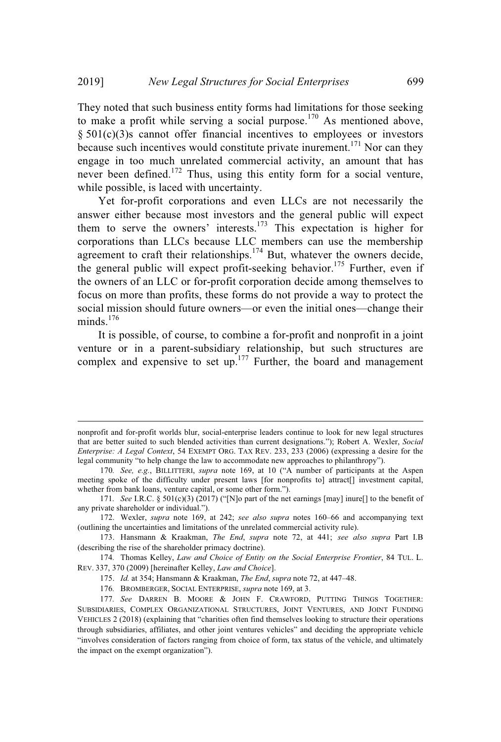They noted that such business entity forms had limitations for those seeking to make a profit while serving a social purpose.<sup>170</sup> As mentioned above, § 501(c)(3)s cannot offer financial incentives to employees or investors because such incentives would constitute private inurement.<sup>171</sup> Nor can they engage in too much unrelated commercial activity, an amount that has never been defined.<sup>172</sup> Thus, using this entity form for a social venture, while possible, is laced with uncertainty.

Yet for-profit corporations and even LLCs are not necessarily the answer either because most investors and the general public will expect them to serve the owners' interests.<sup>173</sup> This expectation is higher for corporations than LLCs because LLC members can use the membership agreement to craft their relationships.<sup>174</sup> But, whatever the owners decide, the general public will expect profit-seeking behavior.<sup>175</sup> Further, even if the owners of an LLC or for-profit corporation decide among themselves to focus on more than profits, these forms do not provide a way to protect the social mission should future owners—or even the initial ones—change their minds.<sup>176</sup>

It is possible, of course, to combine a for-profit and nonprofit in a joint venture or in a parent-subsidiary relationship, but such structures are complex and expensive to set up. <sup>177</sup> Further, the board and management

nonprofit and for-profit worlds blur, social-enterprise leaders continue to look for new legal structures that are better suited to such blended activities than current designations."); Robert A. Wexler, *Social Enterprise: A Legal Context*, 54 EXEMPT ORG. TAX REV. 233, 233 (2006) (expressing a desire for the legal community "to help change the law to accommodate new approaches to philanthropy").

<sup>170</sup>*. See, e.g.*, BILLITTERI, *supra* note 169, at 10 ("A number of participants at the Aspen meeting spoke of the difficulty under present laws [for nonprofits to] attract[] investment capital, whether from bank loans, venture capital, or some other form.").

<sup>171</sup>*. See* I.R.C. § 501(c)(3) (2017) ("[N]o part of the net earnings [may] inure[] to the benefit of any private shareholder or individual.").

<sup>172.</sup> Wexler, *supra* note 169, at 242; *see also supra* notes 160–66 and accompanying text (outlining the uncertainties and limitations of the unrelated commercial activity rule).

<sup>173.</sup> Hansmann & Kraakman, *The End*, *supra* note 72, at 441; *see also supra* Part I.B (describing the rise of the shareholder primacy doctrine).

<sup>174</sup>*.* Thomas Kelley, *Law and Choice of Entity on the Social Enterprise Frontier*, 84 TUL. L. REV. 337, 370 (2009) [hereinafter Kelley, *Law and Choice*].

<sup>175.</sup> *Id.* at 354; Hansmann & Kraakman, *The End*, *supra* note 72, at 447–48.

<sup>176</sup>*.* BROMBERGER, SOCIAL ENTERPRISE, *supra* note 169, at 3.

<sup>177</sup>*. See* DARREN B. MOORE & JOHN F. CRAWFORD, PUTTING THINGS TOGETHER: SUBSIDIARIES, COMPLEX ORGANIZATIONAL STRUCTURES, JOINT VENTURES, AND JOINT FUNDING VEHICLES 2 (2018) (explaining that "charities often find themselves looking to structure their operations through subsidiaries, affiliates, and other joint ventures vehicles" and deciding the appropriate vehicle "involves consideration of factors ranging from choice of form, tax status of the vehicle, and ultimately the impact on the exempt organization").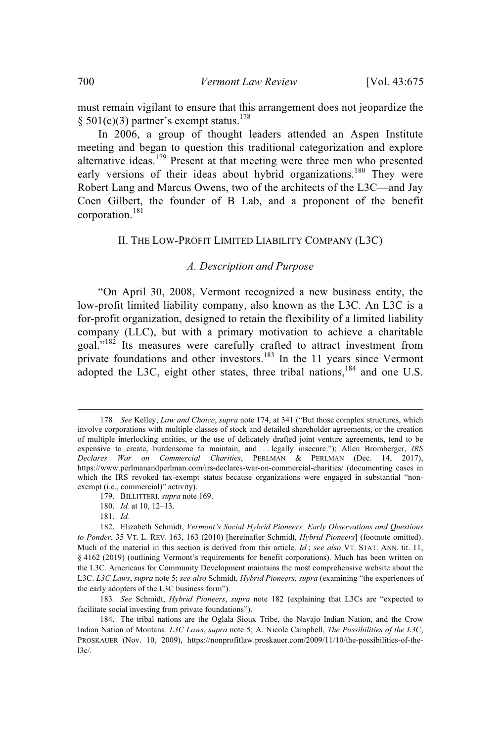must remain vigilant to ensure that this arrangement does not jeopardize the § 501(c)(3) partner's exempt status.<sup>178</sup>

In 2006, a group of thought leaders attended an Aspen Institute meeting and began to question this traditional categorization and explore alternative ideas.<sup>179</sup> Present at that meeting were three men who presented early versions of their ideas about hybrid organizations.<sup>180</sup> They were Robert Lang and Marcus Owens, two of the architects of the L3C—and Jay Coen Gilbert, the founder of B Lab, and a proponent of the benefit corporation. 181

## II. THE LOW-PROFIT LIMITED LIABILITY COMPANY (L3C)

#### *A. Description and Purpose*

"On April 30, 2008, Vermont recognized a new business entity, the low-profit limited liability company, also known as the L3C. An L3C is a for-profit organization, designed to retain the flexibility of a limited liability company (LLC), but with a primary motivation to achieve a charitable goal."<sup>182</sup> Its measures were carefully crafted to attract investment from private foundations and other investors.<sup>183</sup> In the 11 years since Vermont adopted the L3C, eight other states, three tribal nations, <sup>184</sup> and one U.S.

<sup>178</sup>*. See* Kelley, *Law and Choice*, *supra* note 174, at 341 ("But those complex structures, which involve corporations with multiple classes of stock and detailed shareholder agreements, or the creation of multiple interlocking entities, or the use of delicately drafted joint venture agreements, tend to be expensive to create, burdensome to maintain, and . . . legally insecure."); Allen Bromberger, *IRS Declares War on Commercial Charities*, PERLMAN & PERLMAN (Dec. 14, 2017), https://www.perlmanandperlman.com/irs-declares-war-on-commercial-charities/ (documenting cases in which the IRS revoked tax-exempt status because organizations were engaged in substantial "nonexempt (i.e., commercial)" activity).

<sup>179.</sup> BILLITTERI, *supra* note 169.

<sup>180.</sup> *Id.* at 10, 12–13.

<sup>181.</sup> *Id.*

<sup>182.</sup> Elizabeth Schmidt, *Vermont's Social Hybrid Pioneers: Early Observations and Questions to Ponder*, 35 VT. L. REV. 163, 163 (2010) [hereinafter Schmidt, *Hybrid Pioneers*] (footnote omitted). Much of the material in this section is derived from this article. *Id.*; *see also* VT. STAT. ANN. tit. 11, § 4162 (2019) (outlining Vermont's requirements for benefit corporations). Much has been written on the L3C. Americans for Community Development maintains the most comprehensive website about the L3C. *L3C Laws*, *supra* note 5; *see also* Schmidt, *Hybrid Pioneers*, *supra* (examining "the experiences of the early adopters of the L3C business form").

<sup>183</sup>*. See* Schmidt, *Hybrid Pioneers*, *supra* note 182 (explaining that L3Cs are "expected to facilitate social investing from private foundations").

<sup>184.</sup> The tribal nations are the Oglala Sioux Tribe, the Navajo Indian Nation, and the Crow Indian Nation of Montana. *L3C Laws*, *supra* note 5; A. Nicole Campbell, *The Possibilities of the L3C*, PROSKAUER (Nov. 10, 2009), https://nonprofitlaw.proskauer.com/2009/11/10/the-possibilities-of-the- $13c/$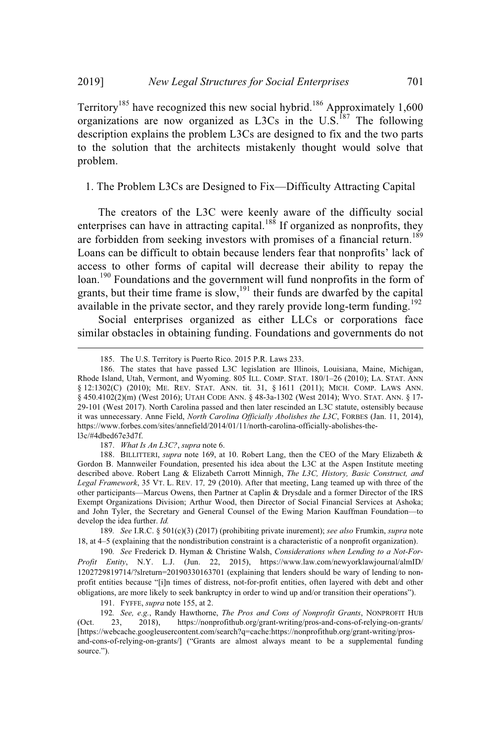Territory<sup>185</sup> have recognized this new social hybrid.<sup>186</sup> Approximately 1,600 organizations are now organized as L3Cs in the  $U.S.<sup>187</sup>$  The following description explains the problem L3Cs are designed to fix and the two parts to the solution that the architects mistakenly thought would solve that problem.

1. The Problem L3Cs are Designed to Fix—Difficulty Attracting Capital

The creators of the L3C were keenly aware of the difficulty social enterprises can have in attracting capital.<sup>188</sup> If organized as nonprofits, they are forbidden from seeking investors with promises of a financial return.<sup>189</sup> Loans can be difficult to obtain because lenders fear that nonprofits' lack of access to other forms of capital will decrease their ability to repay the loan.<sup>190</sup> Foundations and the government will fund nonprofits in the form of grants, but their time frame is slow, <sup>191</sup> their funds are dwarfed by the capital available in the private sector, and they rarely provide long-term funding.<sup>192</sup>

Social enterprises organized as either LLCs or corporations face similar obstacles in obtaining funding. Foundations and governments do not

187. *What Is An L3C?*, *supra* note 6.

189*. See* I.R.C. § 501(c)(3) (2017) (prohibiting private inurement); *see also* Frumkin, *supra* note 18, at 4–5 (explaining that the nondistribution constraint is a characteristic of a nonprofit organization).

190*. See* Frederick D. Hyman & Christine Walsh, *Considerations when Lending to a Not-For-Profit Entity*, N.Y. L.J. (Jun. 22, 2015), https://www.law.com/newyorklawjournal/almID/ 1202729819714/?slreturn=20190330163701 (explaining that lenders should be wary of lending to nonprofit entities because "[i]n times of distress, not-for-profit entities, often layered with debt and other obligations, are more likely to seek bankruptcy in order to wind up and/or transition their operations").

191. FYFFE, *supra* note 155, at 2.

192*. See, e.g.*, Randy Hawthorne, *The Pros and Cons of Nonprofit Grants*, NONPROFIT HUB (Oct. 23, 2018), https://nonprofithub.org/grant-writing/pros-and-cons-of-relying-on-grants/ [https://webcache.googleusercontent.com/search?q=cache:https://nonprofithub.org/grant-writing/prosand-cons-of-relying-on-grants/] ("Grants are almost always meant to be a supplemental funding source.").

<sup>185.</sup> The U.S. Territory is Puerto Rico. 2015 P.R. Laws 233.

<sup>186.</sup> The states that have passed L3C legislation are Illinois, Louisiana, Maine, Michigan, Rhode Island, Utah, Vermont, and Wyoming. 805 ILL. COMP. STAT. 180/1–26 (2010); LA. STAT. ANN § 12:1302(C) (2010); ME. REV. STAT. ANN. tit. 31, § 1611 (2011); MICH. COMP. LAWS ANN. § 450.4102(2)(m) (West 2016); UTAH CODE ANN. § 48-3a-1302 (West 2014); WYO. STAT. ANN. § 17- 29-101 (West 2017). North Carolina passed and then later rescinded an L3C statute, ostensibly because it was unnecessary. Anne Field, *North Carolina Officially Abolishes the L3C*, FORBES (Jan. 11, 2014), https://www.forbes.com/sites/annefield/2014/01/11/north-carolina-officially-abolishes-thel3c/#4dbed67e3d7f.

<sup>188.</sup> BILLITTERI, *supra* note 169, at 10. Robert Lang, then the CEO of the Mary Elizabeth & Gordon B. Mannweiler Foundation, presented his idea about the L3C at the Aspen Institute meeting described above. Robert Lang & Elizabeth Carrott Minnigh, *The L3C, History, Basic Construct, and Legal Framework*, 35 VT. L. REV. 17*,* 29 (2010). After that meeting, Lang teamed up with three of the other participants—Marcus Owens, then Partner at Caplin & Drysdale and a former Director of the IRS Exempt Organizations Division; Arthur Wood, then Director of Social Financial Services at Ashoka; and John Tyler, the Secretary and General Counsel of the Ewing Marion Kauffman Foundation—to develop the idea further. *Id.*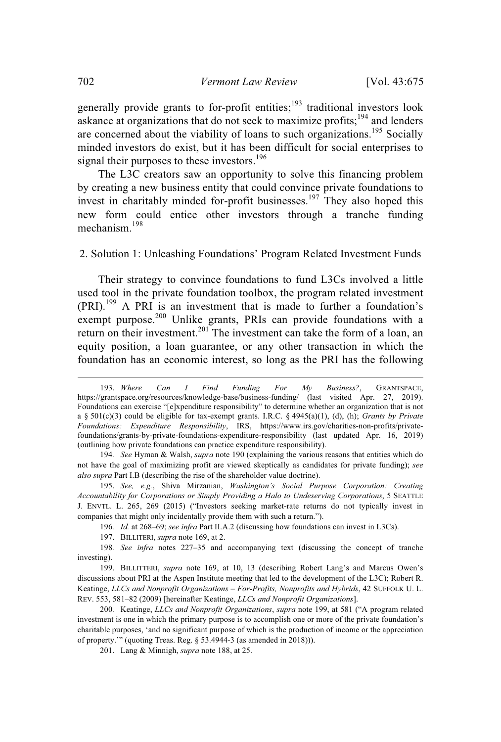generally provide grants to for-profit entities;<sup>193</sup> traditional investors look askance at organizations that do not seek to maximize profits;<sup>194</sup> and lenders are concerned about the viability of loans to such organizations.<sup>195</sup> Socially minded investors do exist, but it has been difficult for social enterprises to signal their purposes to these investors.<sup>196</sup>

The L3C creators saw an opportunity to solve this financing problem by creating a new business entity that could convince private foundations to invest in charitably minded for-profit businesses.<sup>197</sup> They also hoped this new form could entice other investors through a tranche funding mechanism.<sup>198</sup>

2. Solution 1: Unleashing Foundations' Program Related Investment Funds

Their strategy to convince foundations to fund L3Cs involved a little used tool in the private foundation toolbox, the program related investment (PRI).<sup>199</sup> A PRI is an investment that is made to further a foundation's exempt purpose.<sup>200</sup> Unlike grants, PRIs can provide foundations with a return on their investment.<sup>201</sup> The investment can take the form of a loan, an equity position, a loan guarantee, or any other transaction in which the foundation has an economic interest, so long as the PRI has the following

196*. Id.* at 268–69; *see infra* Part II.A.2 (discussing how foundations can invest in L3Cs).

<sup>193.</sup> *Where Can I Find Funding For My Business?*, GRANTSPACE, https://grantspace.org/resources/knowledge-base/business-funding/ (last visited Apr. 27, 2019). Foundations can exercise "[e]xpenditure responsibility" to determine whether an organization that is not a § 501(c)(3) could be eligible for tax-exempt grants. I.R.C. § 4945(a)(1), (d), (h); *Grants by Private Foundations: Expenditure Responsibility*, IRS, https://www.irs.gov/charities-non-profits/privatefoundations/grants-by-private-foundations-expenditure-responsibility (last updated Apr. 16, 2019) (outlining how private foundations can practice expenditure responsibility).

<sup>194</sup>*. See* Hyman & Walsh, *supra* note 190 (explaining the various reasons that entities which do not have the goal of maximizing profit are viewed skeptically as candidates for private funding); *see also supra* Part I.B (describing the rise of the shareholder value doctrine).

<sup>195.</sup> *See, e.g.*, Shiva Mirzanian, *Washington's Social Purpose Corporation: Creating Accountability for Corporations or Simply Providing a Halo to Undeserving Corporations*, 5 SEATTLE J. ENVTL. L. 265, 269 (2015) ("Investors seeking market-rate returns do not typically invest in companies that might only incidentally provide them with such a return.").

<sup>197.</sup> BILLITERI, *supra* note 169, at 2.

<sup>198</sup>*. See infra* notes 227–35 and accompanying text (discussing the concept of tranche investing).

<sup>199.</sup> BILLITTERI, *supra* note 169, at 10, 13 (describing Robert Lang's and Marcus Owen's discussions about PRI at the Aspen Institute meeting that led to the development of the L3C); Robert R. Keatinge, *LLCs and Nonprofit Organizations – For-Profits, Nonprofits and Hybrids*, 42 SUFFOLK U. L. REV. 553, 581–82 (2009) [hereinafter Keatinge, *LLCs and Nonprofit Organizations*].

<sup>200</sup>*.* Keatinge, *LLCs and Nonprofit Organizations*, *supra* note 199, at 581 ("A program related investment is one in which the primary purpose is to accomplish one or more of the private foundation's charitable purposes, 'and no significant purpose of which is the production of income or the appreciation of property.'" (quoting Treas. Reg. § 53.4944-3 (as amended in 2018))).

<sup>201.</sup> Lang & Minnigh, *supra* note 188, at 25.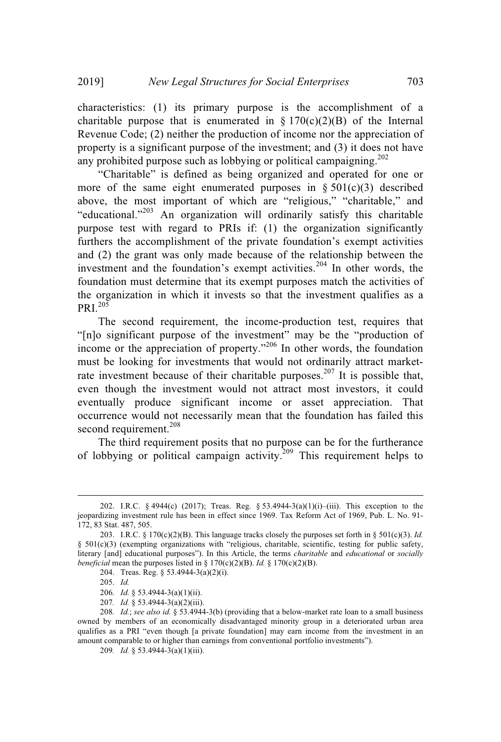characteristics: (1) its primary purpose is the accomplishment of a charitable purpose that is enumerated in  $\S 170(c)(2)(B)$  of the Internal Revenue Code; (2) neither the production of income nor the appreciation of property is a significant purpose of the investment; and (3) it does not have any prohibited purpose such as lobbying or political campaigning.<sup>202</sup>

"Charitable" is defined as being organized and operated for one or more of the same eight enumerated purposes in  $\S 501(c)(3)$  described above, the most important of which are "religious," "charitable," and "educational."<sup>203</sup> An organization will ordinarily satisfy this charitable purpose test with regard to PRIs if: (1) the organization significantly furthers the accomplishment of the private foundation's exempt activities and (2) the grant was only made because of the relationship between the investment and the foundation's exempt activities.<sup>204</sup> In other words, the foundation must determine that its exempt purposes match the activities of the organization in which it invests so that the investment qualifies as a  $PRI<sup>205</sup>$ 

The second requirement, the income-production test, requires that "[n]o significant purpose of the investment" may be the "production of income or the appreciation of property."<sup>206</sup> In other words, the foundation must be looking for investments that would not ordinarily attract marketrate investment because of their charitable purposes.<sup>207</sup> It is possible that, even though the investment would not attract most investors, it could eventually produce significant income or asset appreciation. That occurrence would not necessarily mean that the foundation has failed this second requirement.<sup>208</sup>

The third requirement posits that no purpose can be for the furtherance of lobbying or political campaign activity.<sup>209</sup> This requirement helps to

204. Treas. Reg. § 53.4944-3(a)(2)(i).

209*. Id.* § 53.4944-3(a)(1)(iii).

<sup>202.</sup> I.R.C. § 4944(c) (2017); Treas. Reg. § 53.4944-3(a)(1)(i)–(iii). This exception to the jeopardizing investment rule has been in effect since 1969. Tax Reform Act of 1969, Pub. L. No. 91- 172, 83 Stat. 487, 505.

<sup>203.</sup> I.R.C. § 170(c)(2)(B). This language tracks closely the purposes set forth in § 501(c)(3). *Id.* § 501(c)(3) (exempting organizations with "religious, charitable, scientific, testing for public safety, literary [and] educational purposes"). In this Article, the terms *charitable* and *educational* or *socially beneficial* mean the purposes listed in  $\S$  170(c)(2)(B). *Id.*  $\S$  170(c)(2)(B).

<sup>205.</sup> *Id.*

<sup>206</sup>*. Id.* § 53.4944-3(a)(1)(ii).

<sup>207</sup>*. Id.* § 53.4944-3(a)(2)(iii).

<sup>208</sup>*. Id.*; *see also id.* § 53.4944-3(b) (providing that a below-market rate loan to a small business owned by members of an economically disadvantaged minority group in a deteriorated urban area qualifies as a PRI "even though [a private foundation] may earn income from the investment in an amount comparable to or higher than earnings from conventional portfolio investments").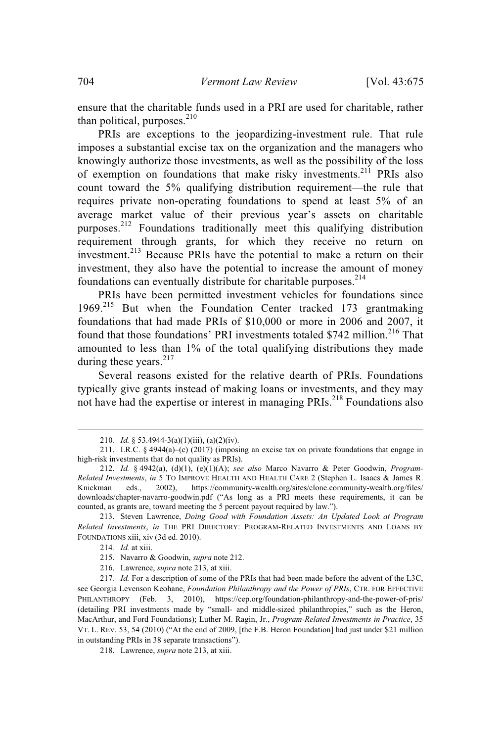ensure that the charitable funds used in a PRI are used for charitable, rather than political, purposes.<sup>210</sup>

PRIs are exceptions to the jeopardizing-investment rule. That rule imposes a substantial excise tax on the organization and the managers who knowingly authorize those investments, as well as the possibility of the loss of exemption on foundations that make risky investments.<sup>211</sup> PRIs also count toward the 5% qualifying distribution requirement—the rule that requires private non-operating foundations to spend at least 5% of an average market value of their previous year's assets on charitable purposes.<sup>212</sup> Foundations traditionally meet this qualifying distribution requirement through grants, for which they receive no return on investment.<sup>213</sup> Because PRIs have the potential to make a return on their investment, they also have the potential to increase the amount of money foundations can eventually distribute for charitable purposes.<sup>214</sup>

PRIs have been permitted investment vehicles for foundations since 1969.<sup>215</sup> But when the Foundation Center tracked 173 grantmaking foundations that had made PRIs of \$10,000 or more in 2006 and 2007, it found that those foundations' PRI investments totaled \$742 million.<sup>216</sup> That amounted to less than 1% of the total qualifying distributions they made during these years.<sup>217</sup>

Several reasons existed for the relative dearth of PRIs. Foundations typically give grants instead of making loans or investments, and they may not have had the expertise or interest in managing PRIs.<sup>218</sup> Foundations also

216. Lawrence, *supra* note 213, at xiii.

<sup>210</sup>*. Id.* § 53.4944-3(a)(1)(iii), (a)(2)(iv).

<sup>211.</sup> I.R.C. § 4944(a)–(c) (2017) (imposing an excise tax on private foundations that engage in high-risk investments that do not quality as PRIs).

<sup>212.</sup> *Id.* § 4942(a), (d)(1), (e)(1)(A); *see also* Marco Navarro & Peter Goodwin, *Program-Related Investments*, *in* 5 TO IMPROVE HEALTH AND HEALTH CARE 2 (Stephen L. Isaacs & James R. Knickman eds., 2002), https://community-wealth.org/sites/clone.community-wealth.org/files/ downloads/chapter-navarro-goodwin.pdf ("As long as a PRI meets these requirements, it can be counted, as grants are, toward meeting the 5 percent payout required by law.").

<sup>213.</sup> Steven Lawrence, *Doing Good with Foundation Assets: An Updated Look at Program Related Investments*, *in* THE PRI DIRECTORY: PROGRAM-RELATED INVESTMENTS AND LOANS BY FOUNDATIONS xiii, xiv (3d ed. 2010).

<sup>214</sup>*. Id.* at xiii.

<sup>215.</sup> Navarro & Goodwin, *supra* note 212.

<sup>217</sup>*. Id.* For a description of some of the PRIs that had been made before the advent of the L3C, see Georgia Levenson Keohane, *Foundation Philanthropy and the Power of PRIs*, CTR. FOR EFFECTIVE PHILANTHROPY (Feb. 3, 2010), https://cep.org/foundation-philanthropy-and-the-power-of-pris/ (detailing PRI investments made by "small- and middle-sized philanthropies," such as the Heron, MacArthur, and Ford Foundations); Luther M. Ragin, Jr., *Program-Related Investments in Practice*, 35 VT. L. REV. 53, 54 (2010) ("At the end of 2009, [the F.B. Heron Foundation] had just under \$21 million in outstanding PRIs in 38 separate transactions").

<sup>218.</sup> Lawrence, *supra* note 213, at xiii.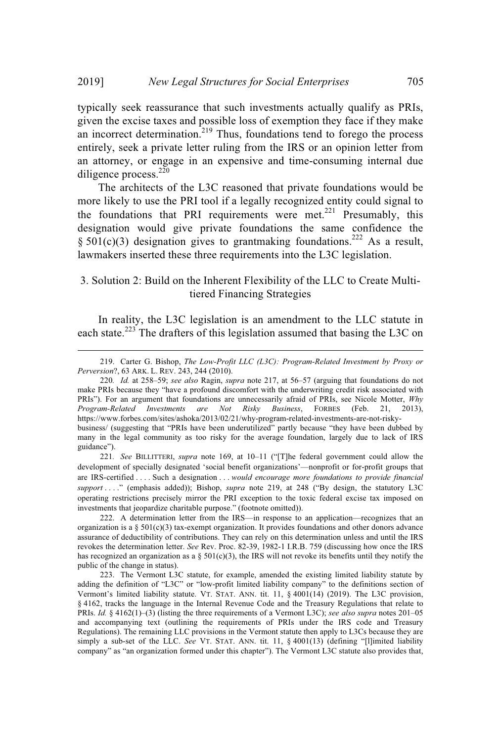typically seek reassurance that such investments actually qualify as PRIs, given the excise taxes and possible loss of exemption they face if they make an incorrect determination.<sup>219</sup> Thus, foundations tend to forego the process entirely, seek a private letter ruling from the IRS or an opinion letter from an attorney, or engage in an expensive and time-consuming internal due diligence process.<sup>220</sup>

The architects of the L3C reasoned that private foundations would be more likely to use the PRI tool if a legally recognized entity could signal to the foundations that PRI requirements were met. $221$  Presumably, this designation would give private foundations the same confidence the § 501(c)(3) designation gives to grantmaking foundations.<sup>222</sup> As a result, lawmakers inserted these three requirements into the L3C legislation.

## 3. Solution 2: Build on the Inherent Flexibility of the LLC to Create Multitiered Financing Strategies

In reality, the L3C legislation is an amendment to the LLC statute in each state.<sup>223</sup> The drafters of this legislation assumed that basing the L3C on

221*. See* BILLITTERI, *supra* note 169, at 10–11 ("[T]he federal government could allow the development of specially designated 'social benefit organizations'—nonprofit or for-profit groups that are IRS-certified . . . . Such a designation . . . *would encourage more foundations to provide financial support* . . . ." (emphasis added)); Bishop, *supra* note 219, at 248 ("By design, the statutory L3C operating restrictions precisely mirror the PRI exception to the toxic federal excise tax imposed on investments that jeopardize charitable purpose." (footnote omitted)).

222. A determination letter from the IRS—in response to an application—recognizes that an organization is a §  $501(c)(3)$  tax-exempt organization. It provides foundations and other donors advance assurance of deductibility of contributions. They can rely on this determination unless and until the IRS revokes the determination letter. *See* Rev. Proc. 82-39, 1982-1 I.R.B. 759 (discussing how once the IRS has recognized an organization as a  $\S 501(c)(3)$ , the IRS will not revoke its benefits until they notify the public of the change in status).

223. The Vermont L3C statute, for example, amended the existing limited liability statute by adding the definition of "L3C" or "low-profit limited liability company" to the definitions section of Vermont's limited liability statute. VT. STAT. ANN. tit. 11, § 4001(14) (2019). The L3C provision, § 4162, tracks the language in the Internal Revenue Code and the Treasury Regulations that relate to PRIs. *Id.* § 4162(1)–(3) (listing the three requirements of a Vermont L3C); *see also supra* notes 201–05 and accompanying text (outlining the requirements of PRIs under the IRS code and Treasury Regulations). The remaining LLC provisions in the Vermont statute then apply to L3Cs because they are simply a sub-set of the LLC. See VT. STAT. ANN. tit. 11, § 4001(13) (defining "[l]imited liability company" as "an organization formed under this chapter"). The Vermont L3C statute also provides that,

<sup>219.</sup> Carter G. Bishop, *The Low-Profit LLC (L3C): Program-Related Investment by Proxy or Perversion*?, 63 ARK. L. REV. 243, 244 (2010).

<sup>220</sup>*. Id.* at 258–59; *see also* Ragin, *supra* note 217, at 56–57 (arguing that foundations do not make PRIs because they "have a profound discomfort with the underwriting credit risk associated with PRIs"). For an argument that foundations are unnecessarily afraid of PRIs, see Nicole Motter, *Why Program-Related Investments are Not Risky Business*, FORBES (Feb. 21, 2013), https://www.forbes.com/sites/ashoka/2013/02/21/why-program-related-investments-are-not-riskybusiness/ (suggesting that "PRIs have been underutilized" partly because "they have been dubbed by many in the legal community as too risky for the average foundation, largely due to lack of IRS guidance").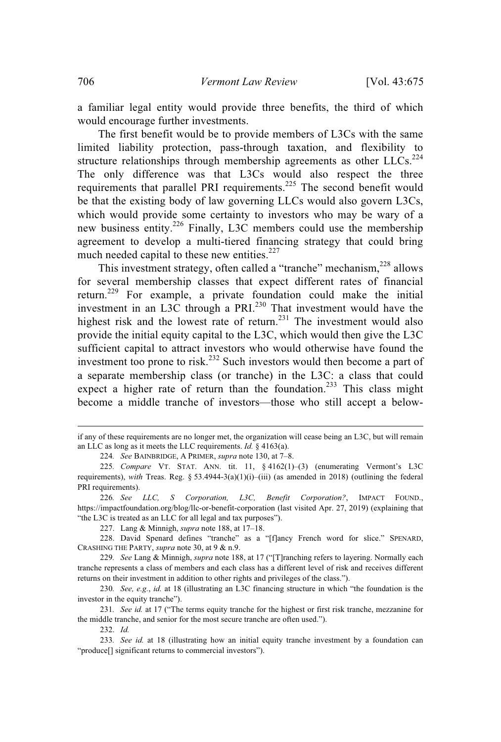a familiar legal entity would provide three benefits, the third of which would encourage further investments.

The first benefit would be to provide members of L3Cs with the same limited liability protection, pass-through taxation, and flexibility to structure relationships through membership agreements as other  $LLCs$ .<sup>224</sup> The only difference was that L3Cs would also respect the three requirements that parallel PRI requirements.<sup>225</sup> The second benefit would be that the existing body of law governing LLCs would also govern L3Cs, which would provide some certainty to investors who may be wary of a new business entity.<sup>226</sup> Finally, L3C members could use the membership agreement to develop a multi-tiered financing strategy that could bring much needed capital to these new entities.<sup>227</sup>

This investment strategy, often called a "tranche" mechanism, <sup>228</sup> allows for several membership classes that expect different rates of financial return.<sup>229</sup> For example, a private foundation could make the initial investment in an L3C through a PRI.<sup>230</sup> That investment would have the highest risk and the lowest rate of return.<sup>231</sup> The investment would also provide the initial equity capital to the L3C, which would then give the L3C sufficient capital to attract investors who would otherwise have found the investment too prone to risk.<sup>232</sup> Such investors would then become a part of a separate membership class (or tranche) in the L3C: a class that could expect a higher rate of return than the foundation.<sup>233</sup> This class might become a middle tranche of investors—those who still accept a below-

if any of these requirements are no longer met, the organization will cease being an L3C, but will remain an LLC as long as it meets the LLC requirements. *Id.* § 4163(a).

<sup>224</sup>*. See* BAINBRIDGE, A PRIMER, *supra* note 130, at 7–8.

<sup>225</sup>*. Compare* VT. STAT. ANN. tit. 11, § 4162(1)–(3) (enumerating Vermont's L3C requirements), *with* Treas. Reg. § 53.4944-3(a)(1)(i)–(iii) (as amended in 2018) (outlining the federal PRI requirements).

<sup>226</sup>*. See LLC, S Corporation, L3C, Benefit Corporation?*, IMPACT FOUND., https://impactfoundation.org/blog/llc-or-benefit-corporation (last visited Apr. 27, 2019) (explaining that "the L3C is treated as an LLC for all legal and tax purposes").

<sup>227.</sup> Lang & Minnigh, *supra* note 188, at 17–18.

<sup>228.</sup> David Spenard defines "tranche" as a "[f]ancy French word for slice." SPENARD, CRASHING THE PARTY, *supra* note 30, at 9 & n.9.

<sup>229</sup>*. See* Lang & Minnigh, *supra* note 188, at 17 ("[T]ranching refers to layering. Normally each tranche represents a class of members and each class has a different level of risk and receives different returns on their investment in addition to other rights and privileges of the class.").

<sup>230</sup>*. See, e.g.*, *id.* at 18 (illustrating an L3C financing structure in which "the foundation is the investor in the equity tranche").

<sup>231</sup>*. See id.* at 17 ("The terms equity tranche for the highest or first risk tranche, mezzanine for the middle tranche, and senior for the most secure tranche are often used.").

<sup>232.</sup> *Id.*

<sup>233</sup>*. See id.* at 18 (illustrating how an initial equity tranche investment by a foundation can "produce[] significant returns to commercial investors").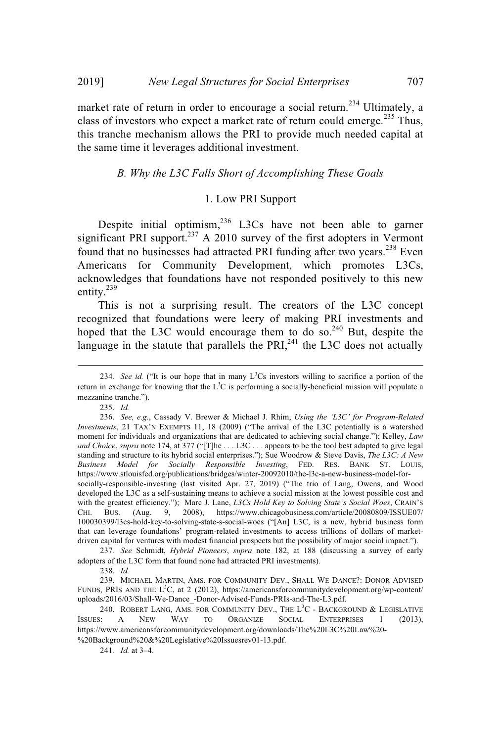market rate of return in order to encourage a social return.<sup>234</sup> Ultimately, a class of investors who expect a market rate of return could emerge.<sup>235</sup> Thus, this tranche mechanism allows the PRI to provide much needed capital at the same time it leverages additional investment.

## *B. Why the L3C Falls Short of Accomplishing These Goals*

## 1. Low PRI Support

Despite initial optimism,  $236$  L3Cs have not been able to garner significant PRI support.<sup>237</sup> A 2010 survey of the first adopters in Vermont found that no businesses had attracted PRI funding after two years.<sup>238</sup> Even Americans for Community Development, which promotes L3Cs, acknowledges that foundations have not responded positively to this new entity.<sup>239</sup>

This is not a surprising result. The creators of the L3C concept recognized that foundations were leery of making PRI investments and hoped that the L3C would encourage them to do so.<sup>240</sup> But, despite the language in the statute that parallels the PRI $_{241}^{241}$  the L3C does not actually

237*. See* Schmidt, *Hybrid Pioneers*, *supra* note 182, at 188 (discussing a survey of early adopters of the L3C form that found none had attracted PRI investments).

238. *Id.*

239. MICHAEL MARTIN, AMS. FOR COMMUNITY DEV., SHALL WE DANCE?: DONOR ADVISED FUNDS, PRIS AND THE L<sup>3</sup>C, at 2 (2012), https://americansforcommunitydevelopment.org/wp-content/ uploads/2016/03/Shall-We-Dance\_-Donor-Advised-Funds-PRIs-and-The-L3.pdf.

<sup>234.</sup> *See id.* ("It is our hope that in many  $L^3Cs$  investors willing to sacrifice a portion of the return in exchange for knowing that the L<sup>3</sup>C is performing a socially-beneficial mission will populate a mezzanine tranche.").

<sup>235.</sup> *Id.*

<sup>236.</sup> *See, e.g.*, Cassady V. Brewer & Michael J. Rhim, *Using the 'L3C' for Program-Related Investments*, 21 TAX'N EXEMPTS 11, 18 (2009) ("The arrival of the L3C potentially is a watershed moment for individuals and organizations that are dedicated to achieving social change."); Kelley, *Law and Choice*, *supra* note 174, at 377 ("[T]he . . . L3C . . . appears to be the tool best adapted to give legal standing and structure to its hybrid social enterprises."); Sue Woodrow & Steve Davis, *The L3C: A New Business Model for Socially Responsible Investing*, FED. RES. BANK ST. LOUIS, https://www.stlouisfed.org/publications/bridges/winter-20092010/the-l3c-a-new-business-model-forsocially-responsible-investing (last visited Apr. 27, 2019) ("The trio of Lang, Owens, and Wood developed the L3C as a self-sustaining means to achieve a social mission at the lowest possible cost and with the greatest efficiency."); Marc J. Lane, *L3Cs Hold Key to Solving State's Social Woes*, CRAIN'S CHI. BUS. (Aug. 9, 2008), https://www.chicagobusiness.com/article/20080809/ISSUE07/ 100030399/l3cs-hold-key-to-solving-state-s-social-woes ("[An] L3C, is a new, hybrid business form that can leverage foundations' program-related investments to access trillions of dollars of marketdriven capital for ventures with modest financial prospects but the possibility of major social impact.").

<sup>240.</sup> ROBERT LANG, AMS. FOR COMMUNITY DEV., THE  $L^3C$  - BACKGROUND & LEGISLATIVE ISSUES: A NEW WAY TO ORGANIZE SOCIAL ENTERPRISES 1 (2013), https://www.americansforcommunitydevelopment.org/downloads/The%20L3C%20Law%20- %20Background%20&%20Legislative%20Issuesrev01-13.pdf.

<sup>241</sup>*. Id.* at 3–4.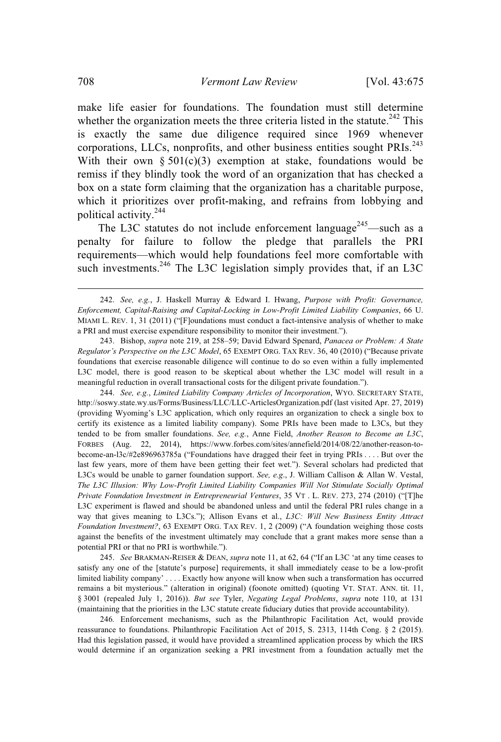make life easier for foundations. The foundation must still determine whether the organization meets the three criteria listed in the statute.<sup>242</sup> This is exactly the same due diligence required since 1969 whenever corporations, LLCs, nonprofits, and other business entities sought  $PRIs.<sup>243</sup>$ With their own  $\S 501(c)(3)$  exemption at stake, foundations would be remiss if they blindly took the word of an organization that has checked a box on a state form claiming that the organization has a charitable purpose, which it prioritizes over profit-making, and refrains from lobbying and political activity.<sup>244</sup>

The L3C statutes do not include enforcement language<sup>245</sup>—such as a penalty for failure to follow the pledge that parallels the PRI requirements—which would help foundations feel more comfortable with such investments.<sup>246</sup> The L3C legislation simply provides that, if an L3C

243. Bishop, *supra* note 219, at 258–59; David Edward Spenard, *Panacea or Problem: A State Regulator's Perspective on the L3C Model*, 65 EXEMPT ORG. TAX REV. 36, 40 (2010) ("Because private foundations that exercise reasonable diligence will continue to do so even within a fully implemented L3C model, there is good reason to be skeptical about whether the L3C model will result in a meaningful reduction in overall transactional costs for the diligent private foundation.").

244. *See, e.g.*, *Limited Liability Company Articles of Incorporation*, WYO. SECRETARY STATE, http://soswy.state.wy.us/Forms/Business/LLC/LLC-ArticlesOrganization.pdf (last visited Apr. 27, 2019) (providing Wyoming's L3C application, which only requires an organization to check a single box to certify its existence as a limited liability company). Some PRIs have been made to L3Cs, but they tended to be from smaller foundations. *See, e.g.*, Anne Field, *Another Reason to Become an L3C*, FORBES (Aug. 22, 2014), https://www.forbes.com/sites/annefield/2014/08/22/another-reason-tobecome-an-l3c/#2e896963785a ("Foundations have dragged their feet in trying PRIs . . . . But over the last few years, more of them have been getting their feet wet."). Several scholars had predicted that L3Cs would be unable to garner foundation support. *See, e.g*., J. William Callison & Allan W. Vestal, *The L3C Illusion: Why Low-Profit Limited Liability Companies Will Not Stimulate Socially Optimal Private Foundation Investment in Entrepreneurial Ventures*, 35 VT . L. REV. 273, 274 (2010) ("[T]he L3C experiment is flawed and should be abandoned unless and until the federal PRI rules change in a way that gives meaning to L3Cs."); Allison Evans et al., *L3C: Will New Business Entity Attract Foundation Investment?*, 63 EXEMPT ORG. TAX REV. 1, 2 (2009) ("A foundation weighing those costs against the benefits of the investment ultimately may conclude that a grant makes more sense than a potential PRI or that no PRI is worthwhile.").

245. *See* BRAKMAN-REISER & DEAN, *supra* note 11, at 62, 64 ("If an L3C 'at any time ceases to satisfy any one of the [statute's purpose] requirements, it shall immediately cease to be a low-profit limited liability company' . . . . Exactly how anyone will know when such a transformation has occurred remains a bit mysterious." (alteration in original) (foonote omitted) (quoting VT. STAT. ANN. tit. 11, § 3001 (repealed July 1, 2016)). *But see* Tyler, *Negating Legal Problems*, *supra* note 110, at 131 (maintaining that the priorities in the L3C statute create fiduciary duties that provide accountability).

246*.* Enforcement mechanisms, such as the Philanthropic Facilitation Act, would provide reassurance to foundations. Philanthropic Facilitation Act of 2015, S. 2313, 114th Cong. § 2 (2015). Had this legislation passed, it would have provided a streamlined application process by which the IRS would determine if an organization seeking a PRI investment from a foundation actually met the

<sup>242.</sup> *See, e.g.*, J. Haskell Murray & Edward I. Hwang, *Purpose with Profit: Governance, Enforcement, Capital-Raising and Capital-Locking in Low-Profit Limited Liability Companies*, 66 U. MIAMI L. REV. 1, 31 (2011) ("[F]oundations must conduct a fact-intensive analysis of whether to make a PRI and must exercise expenditure responsibility to monitor their investment.").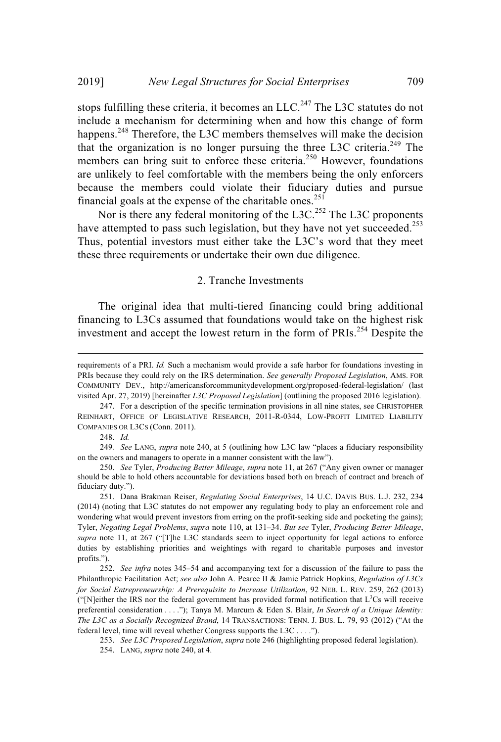stops fulfilling these criteria, it becomes an LLC.<sup>247</sup> The L3C statutes do not include a mechanism for determining when and how this change of form happens.<sup>248</sup> Therefore, the L3C members themselves will make the decision that the organization is no longer pursuing the three L3C criteria.<sup>249</sup> The members can bring suit to enforce these criteria.<sup>250</sup> However, foundations are unlikely to feel comfortable with the members being the only enforcers because the members could violate their fiduciary duties and pursue financial goals at the expense of the charitable ones.<sup>251</sup>

Nor is there any federal monitoring of the L3C.<sup>252</sup> The L3C proponents have attempted to pass such legislation, but they have not yet succeeded.<sup>253</sup> Thus, potential investors must either take the L3C's word that they meet these three requirements or undertake their own due diligence.

### 2. Tranche Investments

The original idea that multi-tiered financing could bring additional financing to L3Cs assumed that foundations would take on the highest risk investment and accept the lowest return in the form of PRIs.<sup>254</sup> Despite the

248. *Id.*

249*. See* LANG, *supra* note 240, at 5 (outlining how L3C law "places a fiduciary responsibility on the owners and managers to operate in a manner consistent with the law").

requirements of a PRI. *Id.* Such a mechanism would provide a safe harbor for foundations investing in PRIs because they could rely on the IRS determination. *See generally Proposed Legislation*, AMS. FOR COMMUNITY DEV., http://americansforcommunitydevelopment.org/proposed-federal-legislation/ (last visited Apr. 27, 2019) [hereinafter *L3C Proposed Legislation*] (outlining the proposed 2016 legislation).

<sup>247.</sup> For a description of the specific termination provisions in all nine states, see CHRISTOPHER REINHART, OFFICE OF LEGISLATIVE RESEARCH, 2011-R-0344, LOW-PROFIT LIMITED LIABILITY COMPANIES OR L3CS (Conn. 2011).

<sup>250.</sup> *See* Tyler, *Producing Better Mileage*, *supra* note 11, at 267 ("Any given owner or manager should be able to hold others accountable for deviations based both on breach of contract and breach of fiduciary duty.").

<sup>251.</sup> Dana Brakman Reiser, *Regulating Social Enterprises*, 14 U.C. DAVIS BUS. L.J. 232, 234 (2014) (noting that L3C statutes do not empower any regulating body to play an enforcement role and wondering what would prevent investors from erring on the profit-seeking side and pocketing the gains); Tyler, *Negating Legal Problems*, *supra* note 110, at 131–34. *But see* Tyler, *Producing Better Mileage*, *supra* note 11, at 267 ("[T]he L3C standards seem to inject opportunity for legal actions to enforce duties by establishing priorities and weightings with regard to charitable purposes and investor profits.").

<sup>252.</sup> *See infra* notes 345–54 and accompanying text for a discussion of the failure to pass the Philanthropic Facilitation Act; *see also* John A. Pearce II & Jamie Patrick Hopkins, *Regulation of L3Cs for Social Entrepreneurship: A Prerequisite to Increase Utilization*, 92 NEB. L. REV. 259, 262 (2013) ("[N]either the IRS nor the federal government has provided formal notification that  $L^3Cs$  will receive preferential consideration . . . ."); Tanya M. Marcum & Eden S. Blair, *In Search of a Unique Identity: The L3C as a Socially Recognized Brand*, 14 TRANSACTIONS: TENN. J. BUS. L. 79, 93 (2012) ("At the federal level, time will reveal whether Congress supports the L3C . . . .").

<sup>253.</sup> *See L3C Proposed Legislation*, *supra* note 246 (highlighting proposed federal legislation).

<sup>254.</sup> LANG, *supra* note 240, at 4.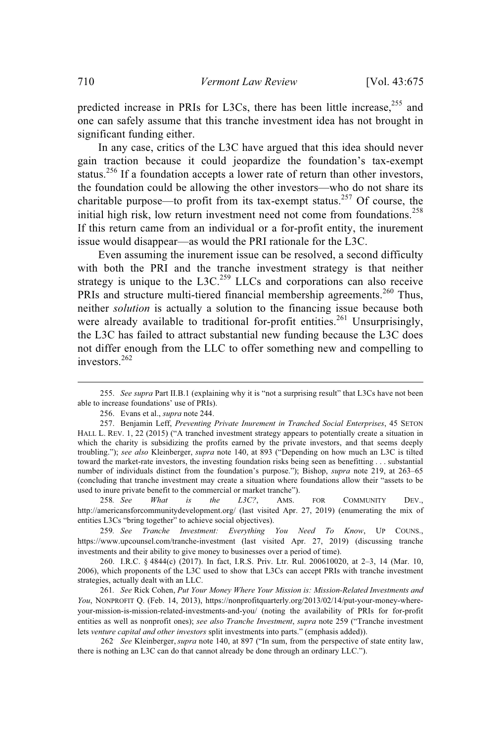predicted increase in PRIs for L3Cs, there has been little increase,<sup>255</sup> and one can safely assume that this tranche investment idea has not brought in significant funding either.

In any case, critics of the L3C have argued that this idea should never gain traction because it could jeopardize the foundation's tax-exempt status.<sup>256</sup> If a foundation accepts a lower rate of return than other investors, the foundation could be allowing the other investors—who do not share its charitable purpose—to profit from its tax-exempt status.<sup>257</sup> Of course, the initial high risk, low return investment need not come from foundations.<sup>258</sup> If this return came from an individual or a for-profit entity, the inurement issue would disappear—as would the PRI rationale for the L3C.

Even assuming the inurement issue can be resolved, a second difficulty with both the PRI and the tranche investment strategy is that neither strategy is unique to the  $L3C<sup>259</sup>$  LLCs and corporations can also receive PRIs and structure multi-tiered financial membership agreements.<sup>260</sup> Thus, neither *solution* is actually a solution to the financing issue because both were already available to traditional for-profit entities.<sup>261</sup> Unsurprisingly, the L3C has failed to attract substantial new funding because the L3C does not differ enough from the LLC to offer something new and compelling to investors.<sup>262</sup>

258*. See What is the L3C?*, AMS. FOR COMMUNITY DEV., http://americansforcommunitydevelopment.org/ (last visited Apr. 27, 2019) (enumerating the mix of entities L3Cs "bring together" to achieve social objectives).

259*. See Tranche Investment: Everything You Need To Know*, UP COUNS., https://www.upcounsel.com/tranche-investment (last visited Apr. 27, 2019) (discussing tranche investments and their ability to give money to businesses over a period of time).

260. I.R.C. § 4844(c) (2017). In fact, I.R.S. Priv. Ltr. Rul. 200610020, at 2–3, 14 (Mar. 10, 2006), which proponents of the L3C used to show that L3Cs can accept PRIs with tranche investment strategies, actually dealt with an LLC.

261*. See* Rick Cohen, *Put Your Money Where Your Mission is: Mission-Related Investments and You*, NONPROFIT Q. (Feb. 14, 2013), https://nonprofitquarterly.org/2013/02/14/put-your-money-whereyour-mission-is-mission-related-investments-and-you/ (noting the availability of PRIs for for-profit entities as well as nonprofit ones); *see also Tranche Investment*, *supra* note 259 ("Tranche investment lets *venture capital and other investors* split investments into parts." (emphasis added)).

262. *See* Kleinberger, *supra* note 140, at 897 ("In sum, from the perspective of state entity law, there is nothing an L3C can do that cannot already be done through an ordinary LLC.").

<sup>255.</sup> *See supra* Part II.B.1 (explaining why it is "not a surprising result" that L3Cs have not been able to increase foundations' use of PRIs).

<sup>256.</sup> Evans et al., *supra* note 244.

<sup>257.</sup> Benjamin Leff, *Preventing Private Inurement in Tranched Social Enterprises*, 45 SETON HALL L. REV. 1, 22 (2015) ("A tranched investment strategy appears to potentially create a situation in which the charity is subsidizing the profits earned by the private investors, and that seems deeply troubling."); *see also* Kleinberger, *supra* note 140, at 893 ("Depending on how much an L3C is tilted toward the market-rate investors, the investing foundation risks being seen as benefitting . . . substantial number of individuals distinct from the foundation's purpose."); Bishop, *supra* note 219, at 263–65 (concluding that tranche investment may create a situation where foundations allow their "assets to be used to inure private benefit to the commercial or market tranche").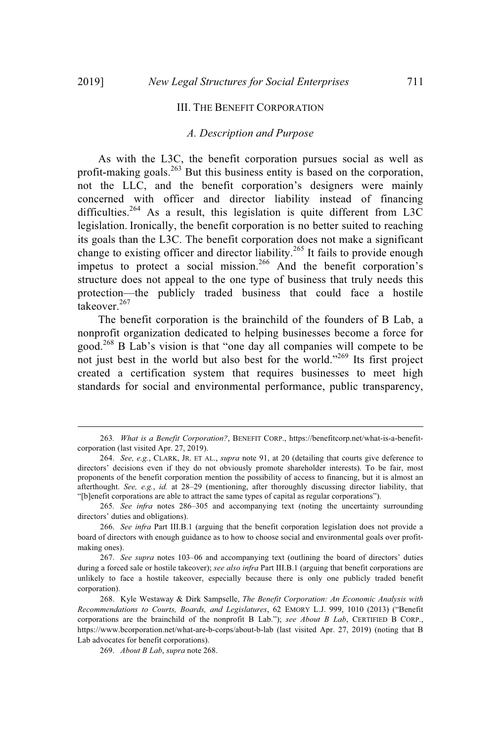#### III. THE BENEFIT CORPORATION

#### *A. Description and Purpose*

As with the L3C, the benefit corporation pursues social as well as profit-making goals.<sup>263</sup> But this business entity is based on the corporation, not the LLC, and the benefit corporation's designers were mainly concerned with officer and director liability instead of financing difficulties.<sup>264</sup> As a result, this legislation is quite different from L3C legislation. Ironically, the benefit corporation is no better suited to reaching its goals than the L3C. The benefit corporation does not make a significant change to existing officer and director liability.<sup>265</sup> It fails to provide enough impetus to protect a social mission. <sup>266</sup> And the benefit corporation's structure does not appeal to the one type of business that truly needs this protection—the publicly traded business that could face a hostile takeover. 267

The benefit corporation is the brainchild of the founders of B Lab, a nonprofit organization dedicated to helping businesses become a force for good.<sup>268</sup> B Lab's vision is that "one day all companies will compete to be not just best in the world but also best for the world."<sup>269</sup> Its first project created a certification system that requires businesses to meet high standards for social and environmental performance, public transparency,

<sup>263</sup>*. What is a Benefit Corporation?*, BENEFIT CORP., https://benefitcorp.net/what-is-a-benefitcorporation (last visited Apr. 27, 2019).

<sup>264.</sup> *See, e.g.*, CLARK, JR. ET AL., *supra* note 91, at 20 (detailing that courts give deference to directors' decisions even if they do not obviously promote shareholder interests). To be fair, most proponents of the benefit corporation mention the possibility of access to financing, but it is almost an afterthought. *See, e.g.*, *id.* at 28–29 (mentioning, after thoroughly discussing director liability, that "[b]enefit corporations are able to attract the same types of capital as regular corporations").

<sup>265</sup>*. See infra* notes 286–305 and accompanying text (noting the uncertainty surrounding directors' duties and obligations).

<sup>266.</sup> *See infra* Part III.B.1 (arguing that the benefit corporation legislation does not provide a board of directors with enough guidance as to how to choose social and environmental goals over profitmaking ones).

<sup>267.</sup> *See supra* notes 103–06 and accompanying text (outlining the board of directors' duties during a forced sale or hostile takeover); *see also infra* Part III.B.1 (arguing that benefit corporations are unlikely to face a hostile takeover, especially because there is only one publicly traded benefit corporation).

<sup>268.</sup> Kyle Westaway & Dirk Sampselle, *The Benefit Corporation: An Economic Analysis with Recommendations to Courts, Boards, and Legislatures*, 62 EMORY L.J. 999, 1010 (2013) ("Benefit corporations are the brainchild of the nonprofit B Lab."); *see About B Lab*, CERTIFIED B CORP., https://www.bcorporation.net/what-are-b-corps/about-b-lab (last visited Apr. 27, 2019) (noting that B Lab advocates for benefit corporations).

<sup>269.</sup> *About B Lab*, *supra* note 268.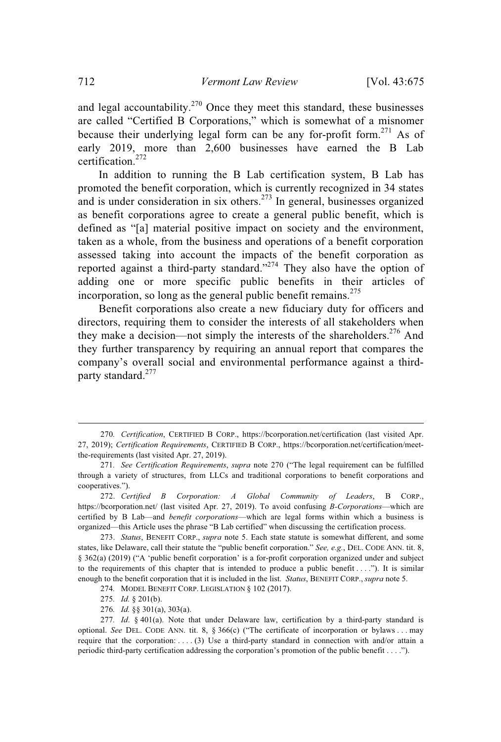and legal accountability.<sup>270</sup> Once they meet this standard, these businesses are called "Certified B Corporations," which is somewhat of a misnomer because their underlying legal form can be any for-profit form.<sup>271</sup> As of early 2019, more than 2,600 businesses have earned the B Lab certification. 272

In addition to running the B Lab certification system, B Lab has promoted the benefit corporation, which is currently recognized in 34 states and is under consideration in six others.<sup>273</sup> In general, businesses organized as benefit corporations agree to create a general public benefit, which is defined as "[a] material positive impact on society and the environment, taken as a whole, from the business and operations of a benefit corporation assessed taking into account the impacts of the benefit corporation as reported against a third-party standard."<sup>274</sup> They also have the option of adding one or more specific public benefits in their articles of incorporation, so long as the general public benefit remains.<sup>275</sup>

Benefit corporations also create a new fiduciary duty for officers and directors, requiring them to consider the interests of all stakeholders when they make a decision—not simply the interests of the shareholders.<sup>276</sup> And they further transparency by requiring an annual report that compares the company's overall social and environmental performance against a thirdparty standard.<sup>277</sup>

274*.* MODEL BENEFIT CORP. LEGISLATION § 102 (2017).

<sup>270</sup>*. Certification*, CERTIFIED B CORP., https://bcorporation.net/certification (last visited Apr. 27, 2019); *Certification Requirements*, CERTIFIED B CORP., https://bcorporation.net/certification/meetthe-requirements (last visited Apr. 27, 2019).

<sup>271</sup>*. See Certification Requirements*, *supra* note 270 ("The legal requirement can be fulfilled through a variety of structures, from LLCs and traditional corporations to benefit corporations and cooperatives.").

<sup>272.</sup> *Certified B Corporation: A Global Community of Leaders*, B CORP., https://bcorporation.net/ (last visited Apr. 27, 2019). To avoid confusing *B-Corporations*—which are certified by B Lab—and *benefit corporations*—which are legal forms within which a business is organized—this Article uses the phrase "B Lab certified" when discussing the certification process.

<sup>273.</sup> *Status*, BENEFIT CORP., *supra* note 5. Each state statute is somewhat different, and some states, like Delaware, call their statute the "public benefit corporation." *See, e.g.*, DEL. CODE ANN. tit. 8, § 362(a) (2019) ("A 'public benefit corporation' is a for-profit corporation organized under and subject to the requirements of this chapter that is intended to produce a public benefit  $\dots$ ..."). It is similar enough to the benefit corporation that it is included in the list. *Status*, BENEFIT CORP., *supra* note 5.

<sup>275</sup>*. Id.* § 201(b).

<sup>276</sup>*. Id.* §§ 301(a), 303(a).

<sup>277</sup>*. Id*. § 401(a). Note that under Delaware law, certification by a third-party standard is optional. *See* DEL. CODE ANN. tit. 8, § 366(c) ("The certificate of incorporation or bylaws . . . may require that the corporation: . . . . (3) Use a third-party standard in connection with and/or attain a periodic third-party certification addressing the corporation's promotion of the public benefit . . . .").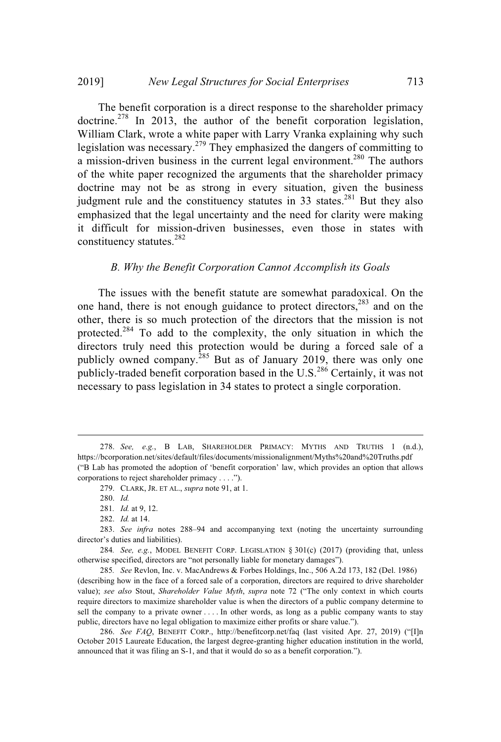The benefit corporation is a direct response to the shareholder primacy doctrine. <sup>278</sup> In 2013, the author of the benefit corporation legislation, William Clark, wrote a white paper with Larry Vranka explaining why such legislation was necessary.<sup>279</sup> They emphasized the dangers of committing to a mission-driven business in the current legal environment.<sup>280</sup> The authors of the white paper recognized the arguments that the shareholder primacy doctrine may not be as strong in every situation, given the business judgment rule and the constituency statutes in 33 states.<sup>281</sup> But they also emphasized that the legal uncertainty and the need for clarity were making it difficult for mission-driven businesses, even those in states with constituency statutes. 282

#### *B. Why the Benefit Corporation Cannot Accomplish its Goals*

The issues with the benefit statute are somewhat paradoxical. On the one hand, there is not enough guidance to protect directors,<sup>283</sup> and on the other, there is so much protection of the directors that the mission is not protected.<sup>284</sup> To add to the complexity, the only situation in which the directors truly need this protection would be during a forced sale of a publicly owned company.<sup>285</sup> But as of January 2019, there was only one publicly-traded benefit corporation based in the U.S.<sup>286</sup> Certainly, it was not necessary to pass legislation in 34 states to protect a single corporation.

284*. See, e.g.*, MODEL BENEFIT CORP. LEGISLATION § 301(c) (2017) (providing that, unless otherwise specified, directors are "not personally liable for monetary damages").

285*. See* Revlon, Inc. v. MacAndrews & Forbes Holdings, Inc., 506 A.2d 173, 182 (Del. 1986) (describing how in the face of a forced sale of a corporation, directors are required to drive shareholder value); *see also* Stout, *Shareholder Value Myth*, *supra* note 72 ("The only context in which courts require directors to maximize shareholder value is when the directors of a public company determine to sell the company to a private owner . . . . In other words, as long as a public company wants to stay public, directors have no legal obligation to maximize either profits or share value.").

286. *See FAQ*, BENEFIT CORP., http://benefitcorp.net/faq (last visited Apr. 27, 2019) ("[I]n October 2015 Laureate Education, the largest degree-granting higher education institution in the world, announced that it was filing an S-1, and that it would do so as a benefit corporation.").

<sup>278.</sup> *See, e.g.*, B LAB, SHAREHOLDER PRIMACY: MYTHS AND TRUTHS 1 (n.d.), https://bcorporation.net/sites/default/files/documents/missionalignment/Myths%20and%20Truths.pdf ("B Lab has promoted the adoption of 'benefit corporation' law, which provides an option that allows corporations to reject shareholder primacy . . . .").

<sup>279.</sup> CLARK, JR. ET AL., *supra* note 91, at 1.

<sup>280.</sup> *Id.*

<sup>281</sup>*. Id.* at 9, 12.

<sup>282.</sup> *Id.* at 14.

<sup>283.</sup> *See infra* notes 288–94 and accompanying text (noting the uncertainty surrounding director's duties and liabilities).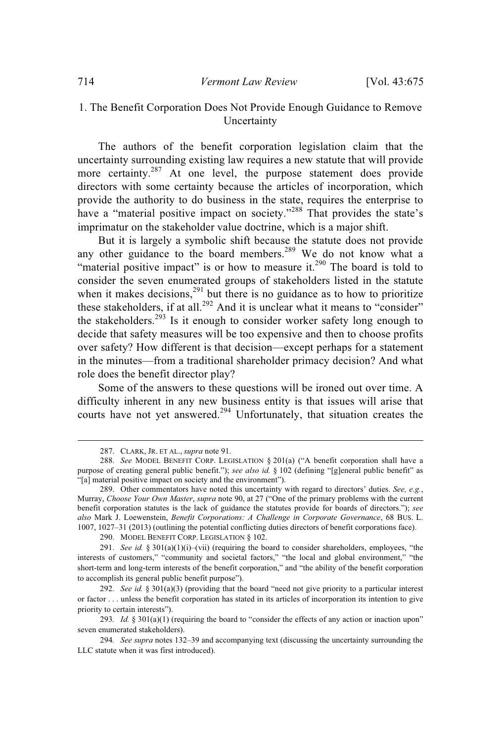## 1. The Benefit Corporation Does Not Provide Enough Guidance to Remove Uncertainty

The authors of the benefit corporation legislation claim that the uncertainty surrounding existing law requires a new statute that will provide more certainty.<sup>287</sup> At one level, the purpose statement does provide directors with some certainty because the articles of incorporation, which provide the authority to do business in the state, requires the enterprise to have a "material positive impact on society."<sup>288</sup> That provides the state's imprimatur on the stakeholder value doctrine, which is a major shift.

But it is largely a symbolic shift because the statute does not provide any other guidance to the board members.<sup>289</sup> We do not know what a "material positive impact" is or how to measure it.<sup>290</sup> The board is told to consider the seven enumerated groups of stakeholders listed in the statute when it makes decisions,  $291$  but there is no guidance as to how to prioritize these stakeholders, if at all.<sup>292</sup> And it is unclear what it means to "consider" the stakeholders.<sup>293</sup> Is it enough to consider worker safety long enough to decide that safety measures will be too expensive and then to choose profits over safety? How different is that decision—except perhaps for a statement in the minutes—from a traditional shareholder primacy decision? And what role does the benefit director play?

Some of the answers to these questions will be ironed out over time. A difficulty inherent in any new business entity is that issues will arise that courts have not yet answered.<sup>294</sup> Unfortunately, that situation creates the

<sup>287.</sup> CLARK, JR. ET AL., *supra* note 91.

<sup>288.</sup> *See* MODEL BENEFIT CORP. LEGISLATION § 201(a) ("A benefit corporation shall have a purpose of creating general public benefit."); *see also id.* § 102 (defining "[g]eneral public benefit" as "[a] material positive impact on society and the environment").

<sup>289.</sup> Other commentators have noted this uncertainty with regard to directors' duties. *See, e.g.*, Murray, *Choose Your Own Master*, *supra* note 90, at 27 ("One of the primary problems with the current benefit corporation statutes is the lack of guidance the statutes provide for boards of directors."); *see also* Mark J. Loewenstein, *Benefit Corporations: A Challenge in Corporate Governance*, 68 BUS. L. 1007, 1027–31 (2013) (outlining the potential conflicting duties directors of benefit corporations face).

<sup>290.</sup> MODEL BENEFIT CORP. LEGISLATION § 102.

<sup>291.</sup> *See id.* § 301(a)(1)(i)–(vii) (requiring the board to consider shareholders, employees, "the interests of customers," "community and societal factors," "the local and global environment," "the short-term and long-term interests of the benefit corporation," and "the ability of the benefit corporation to accomplish its general public benefit purpose").

<sup>292</sup>*. See id.* § 301(a)(3) (providing that the board "need not give priority to a particular interest or factor . . . unless the benefit corporation has stated in its articles of incorporation its intention to give priority to certain interests").

<sup>293</sup>*. Id.* § 301(a)(1) (requiring the board to "consider the effects of any action or inaction upon" seven enumerated stakeholders).

<sup>294</sup>*. See supra* notes 132–39 and accompanying text (discussing the uncertainty surrounding the LLC statute when it was first introduced).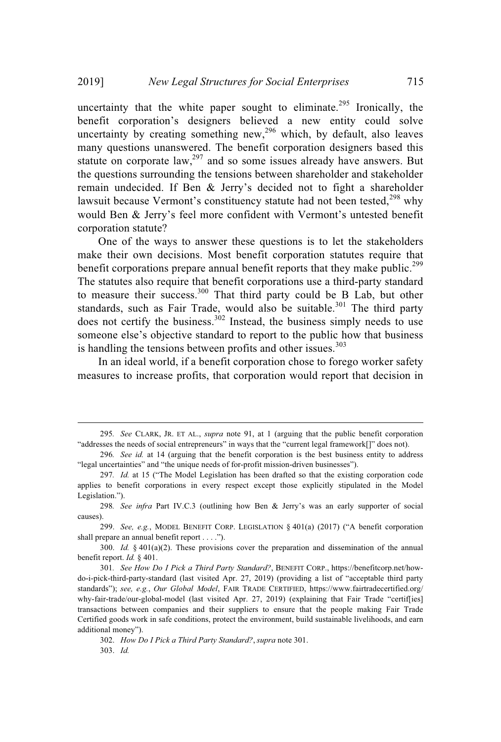uncertainty that the white paper sought to eliminate.<sup>295</sup> Ironically, the benefit corporation's designers believed a new entity could solve uncertainty by creating something new,<sup>296</sup> which, by default, also leaves many questions unanswered. The benefit corporation designers based this statute on corporate  $law<sub>1</sub><sup>297</sup>$  and so some issues already have answers. But the questions surrounding the tensions between shareholder and stakeholder remain undecided. If Ben & Jerry's decided not to fight a shareholder lawsuit because Vermont's constituency statute had not been tested,<sup>298</sup> why would Ben & Jerry's feel more confident with Vermont's untested benefit corporation statute?

One of the ways to answer these questions is to let the stakeholders make their own decisions. Most benefit corporation statutes require that benefit corporations prepare annual benefit reports that they make public.<sup>299</sup> The statutes also require that benefit corporations use a third-party standard to measure their success. <sup>300</sup> That third party could be B Lab, but other standards, such as Fair Trade, would also be suitable.<sup>301</sup> The third party does not certify the business.<sup>302</sup> Instead, the business simply needs to use someone else's objective standard to report to the public how that business is handling the tensions between profits and other issues.<sup>303</sup>

In an ideal world, if a benefit corporation chose to forego worker safety measures to increase profits, that corporation would report that decision in

<sup>295</sup>*. See* CLARK, JR. ET AL., *supra* note 91, at 1 (arguing that the public benefit corporation "addresses the needs of social entrepreneurs" in ways that the "current legal framework[]" does not).

<sup>296</sup>*. See id.* at 14 (arguing that the benefit corporation is the best business entity to address "legal uncertainties" and "the unique needs of for-profit mission-driven businesses").

<sup>297</sup>*. Id.* at 15 ("The Model Legislation has been drafted so that the existing corporation code applies to benefit corporations in every respect except those explicitly stipulated in the Model Legislation.").

<sup>298</sup>*. See infra* Part IV.C.3 (outlining how Ben & Jerry's was an early supporter of social causes).

<sup>299.</sup> *See, e.g.*, MODEL BENEFIT CORP. LEGISLATION § 401(a) (2017) ("A benefit corporation shall prepare an annual benefit report . . . .").

<sup>300.</sup> *Id.* § 401(a)(2). These provisions cover the preparation and dissemination of the annual benefit report. *Id.* § 401.

<sup>301</sup>*. See How Do I Pick a Third Party Standard?*, BENEFIT CORP., https://benefitcorp.net/howdo-i-pick-third-party-standard (last visited Apr. 27, 2019) (providing a list of "acceptable third party standards"); *see, e.g.*, *Our Global Model*, FAIR TRADE CERTIFIED, https://www.fairtradecertified.org/ why-fair-trade/our-global-model (last visited Apr. 27, 2019) (explaining that Fair Trade "certif[ies] transactions between companies and their suppliers to ensure that the people making Fair Trade Certified goods work in safe conditions, protect the environment, build sustainable livelihoods, and earn additional money").

<sup>302.</sup> *How Do I Pick a Third Party Standard?*, *supra* note 301. 303. *Id.*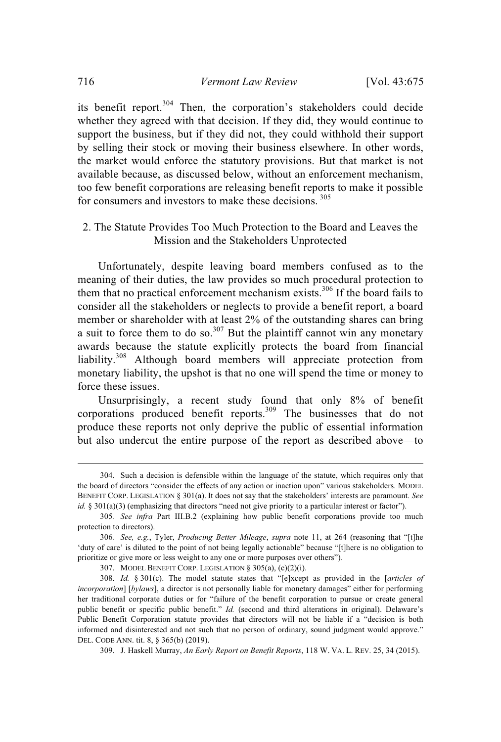its benefit report.<sup>304</sup> Then, the corporation's stakeholders could decide whether they agreed with that decision. If they did, they would continue to support the business, but if they did not, they could withhold their support by selling their stock or moving their business elsewhere. In other words, the market would enforce the statutory provisions. But that market is not available because, as discussed below, without an enforcement mechanism, too few benefit corporations are releasing benefit reports to make it possible for consumers and investors to make these decisions. 305

## 2. The Statute Provides Too Much Protection to the Board and Leaves the Mission and the Stakeholders Unprotected

Unfortunately, despite leaving board members confused as to the meaning of their duties, the law provides so much procedural protection to them that no practical enforcement mechanism exists.<sup>306</sup> If the board fails to consider all the stakeholders or neglects to provide a benefit report, a board member or shareholder with at least 2% of the outstanding shares can bring a suit to force them to do so.<sup>307</sup> But the plaintiff cannot win any monetary awards because the statute explicitly protects the board from financial liability.<sup>308</sup> Although board members will appreciate protection from monetary liability, the upshot is that no one will spend the time or money to force these issues.

Unsurprisingly, a recent study found that only 8% of benefit corporations produced benefit reports.<sup>309</sup> The businesses that do not produce these reports not only deprive the public of essential information but also undercut the entire purpose of the report as described above—to

<sup>304.</sup> Such a decision is defensible within the language of the statute, which requires only that the board of directors "consider the effects of any action or inaction upon" various stakeholders. MODEL BENEFIT CORP. LEGISLATION § 301(a). It does not say that the stakeholders' interests are paramount. *See id.* § 301(a)(3) (emphasizing that directors "need not give priority to a particular interest or factor").

<sup>305</sup>*. See infra* Part III.B.2 (explaining how public benefit corporations provide too much protection to directors).

<sup>306</sup>*. See, e.g.*, Tyler, *Producing Better Mileage*, *supra* note 11, at 264 (reasoning that "[t]he 'duty of care' is diluted to the point of not being legally actionable" because "[t]here is no obligation to prioritize or give more or less weight to any one or more purposes over others").

<sup>307.</sup> MODEL BENEFIT CORP. LEGISLATION § 305(a), (c)(2)(i).

<sup>308.</sup> *Id.* § 301(c). The model statute states that "[e]xcept as provided in the [*articles of incorporation*] [*bylaws*], a director is not personally liable for monetary damages" either for performing her traditional corporate duties or for "failure of the benefit corporation to pursue or create general public benefit or specific public benefit." *Id.* (second and third alterations in original). Delaware's Public Benefit Corporation statute provides that directors will not be liable if a "decision is both informed and disinterested and not such that no person of ordinary, sound judgment would approve." DEL. CODE ANN. tit. 8, § 365(b) (2019).

<sup>309.</sup> J. Haskell Murray, *An Early Report on Benefit Reports*, 118 W. VA. L. REV. 25, 34 (2015).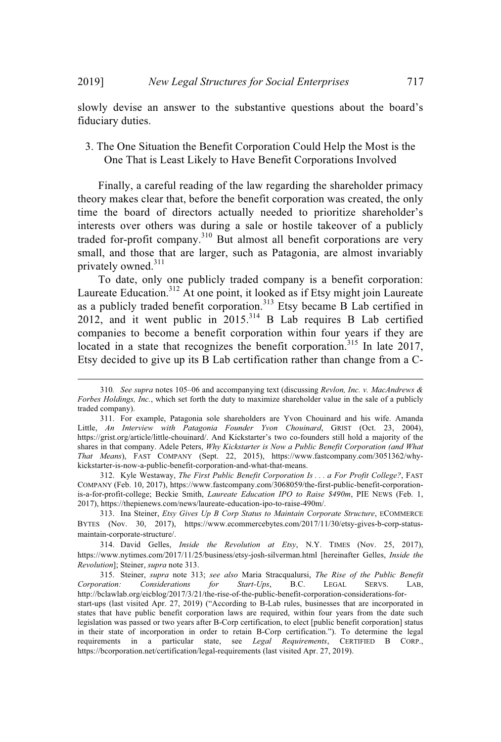slowly devise an answer to the substantive questions about the board's fiduciary duties.

## 3. The One Situation the Benefit Corporation Could Help the Most is the One That is Least Likely to Have Benefit Corporations Involved

Finally, a careful reading of the law regarding the shareholder primacy theory makes clear that, before the benefit corporation was created, the only time the board of directors actually needed to prioritize shareholder's interests over others was during a sale or hostile takeover of a publicly traded for-profit company.<sup>310</sup> But almost all benefit corporations are very small, and those that are larger, such as Patagonia, are almost invariably privately owned.<sup>311</sup>

To date, only one publicly traded company is a benefit corporation: Laureate Education.<sup>312</sup> At one point, it looked as if Etsy might join Laureate as a publicly traded benefit corporation. <sup>313</sup> Etsy became B Lab certified in 2012, and it went public in  $2015$ <sup>314</sup> B Lab requires B Lab certified companies to become a benefit corporation within four years if they are located in a state that recognizes the benefit corporation.<sup>315</sup> In late 2017, Etsy decided to give up its B Lab certification rather than change from a C-

312. Kyle Westaway, *The First Public Benefit Corporation Is . . . a For Profit College?*, FAST COMPANY (Feb. 10, 2017), https://www.fastcompany.com/3068059/the-first-public-benefit-corporationis-a-for-profit-college; Beckie Smith, *Laureate Education IPO to Raise \$490m*, PIE NEWS (Feb. 1, 2017), https://thepienews.com/news/laureate-education-ipo-to-raise-490m/.

313. Ina Steiner, *Etsy Gives Up B Corp Status to Maintain Corporate Structure*, ECOMMERCE BYTES (Nov. 30, 2017), https://www.ecommercebytes.com/2017/11/30/etsy-gives-b-corp-statusmaintain-corporate-structure/.

314. David Gelles, *Inside the Revolution at Etsy*, N.Y. TIMES (Nov. 25, 2017), https://www.nytimes.com/2017/11/25/business/etsy-josh-silverman.html [hereinafter Gelles, *Inside the Revolution*]; Steiner, *supra* note 313.

315. Steiner, *supra* note 313; *see also* Maria Stracqualursi, *The Rise of the Public Benefit Corporation: Considerations for Start-Ups*, B.C. LEGAL SERVS. LAB, http://bclawlab.org/eicblog/2017/3/21/the-rise-of-the-public-benefit-corporation-considerations-for-

start-ups (last visited Apr. 27, 2019) ("According to B-Lab rules, businesses that are incorporated in states that have public benefit corporation laws are required, within four years from the date such legislation was passed or two years after B-Corp certification, to elect [public benefit corporation] status in their state of incorporation in order to retain B-Corp certification."). To determine the legal requirements in a particular state, see *Legal Requirements*, CERTIFIED B CORP., https://bcorporation.net/certification/legal-requirements (last visited Apr. 27, 2019).

<sup>310</sup>*. See supra* notes 105–06 and accompanying text (discussing *Revlon, Inc. v. MacAndrews & Forbes Holdings, Inc.*, which set forth the duty to maximize shareholder value in the sale of a publicly traded company).

<sup>311.</sup> For example, Patagonia sole shareholders are Yvon Chouinard and his wife. Amanda Little, *An Interview with Patagonia Founder Yvon Chouinard*, GRIST (Oct. 23, 2004), https://grist.org/article/little-chouinard/. And Kickstarter's two co-founders still hold a majority of the shares in that company. Adele Peters, *Why Kickstarter is Now a Public Benefit Corporation (and What That Means*), FAST COMPANY (Sept. 22, 2015), https://www.fastcompany.com/3051362/whykickstarter-is-now-a-public-benefit-corporation-and-what-that-means.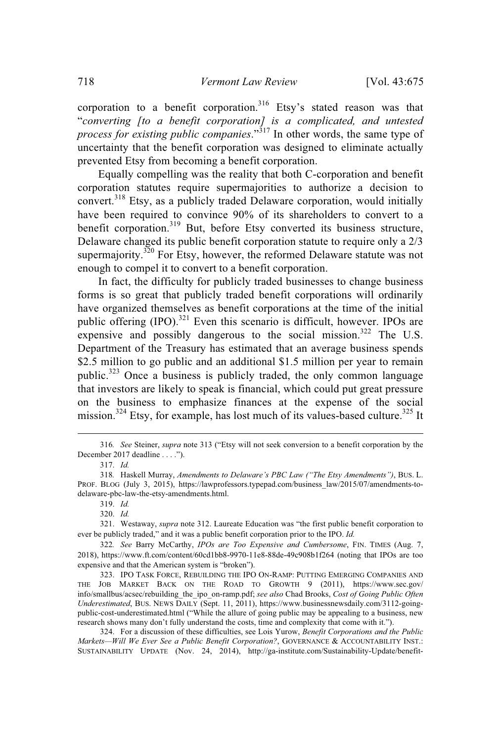corporation to a benefit corporation.<sup>316</sup> Etsy's stated reason was that "*converting [to a benefit corporation] is a complicated, and untested process for existing public companies*."<sup>317</sup> In other words, the same type of uncertainty that the benefit corporation was designed to eliminate actually prevented Etsy from becoming a benefit corporation.

Equally compelling was the reality that both C-corporation and benefit corporation statutes require supermajorities to authorize a decision to convert.<sup>318</sup> Etsy, as a publicly traded Delaware corporation, would initially have been required to convince 90% of its shareholders to convert to a benefit corporation.<sup>319</sup> But, before Etsy converted its business structure, Delaware changed its public benefit corporation statute to require only a 2/3 supermajority.<sup>320</sup> For Etsy, however, the reformed Delaware statute was not enough to compel it to convert to a benefit corporation.

In fact, the difficulty for publicly traded businesses to change business forms is so great that publicly traded benefit corporations will ordinarily have organized themselves as benefit corporations at the time of the initial public offering (IPO).<sup>321</sup> Even this scenario is difficult, however. IPOs are expensive and possibly dangerous to the social mission.<sup>322</sup> The U.S. Department of the Treasury has estimated that an average business spends \$2.5 million to go public and an additional \$1.5 million per year to remain public. $323$  Once a business is publicly traded, the only common language that investors are likely to speak is financial, which could put great pressure on the business to emphasize finances at the expense of the social mission.<sup>324</sup> Etsy, for example, has lost much of its values-based culture.<sup>325</sup> It

<sup>316</sup>*. See* Steiner, *supra* note 313 ("Etsy will not seek conversion to a benefit corporation by the December 2017 deadline . . . .").

<sup>317.</sup> *Id.*

<sup>318</sup>*.* Haskell Murray, *Amendments to Delaware's PBC Law ("The Etsy Amendments")*, BUS. L. PROF. BLOG (July 3, 2015), https://lawprofessors.typepad.com/business\_law/2015/07/amendments-todelaware-pbc-law-the-etsy-amendments.html.

<sup>319.</sup> *Id.*

<sup>320.</sup> *Id.*

<sup>321.</sup> Westaway, *supra* note 312. Laureate Education was "the first public benefit corporation to ever be publicly traded," and it was a public benefit corporation prior to the IPO. *Id.*

<sup>322</sup>*. See* Barry McCarthy, *IPOs are Too Expensive and Cumbersome*, FIN. TIMES (Aug. 7, 2018), https://www.ft.com/content/60cd1bb8-9970-11e8-88de-49c908b1f264 (noting that IPOs are too expensive and that the American system is "broken").

<sup>323.</sup> IPO TASK FORCE, REBUILDING THE IPO ON-RAMP: PUTTING EMERGING COMPANIES AND THE JOB MARKET BACK ON THE ROAD TO GROWTH 9 (2011), https://www.sec.gov/ info/smallbus/acsec/rebuilding\_the\_ipo\_on-ramp.pdf; *see also* Chad Brooks, *Cost of Going Public Often Underestimated*, BUS. NEWS DAILY (Sept. 11, 2011), https://www.businessnewsdaily.com/3112-goingpublic-cost-underestimated.html ("While the allure of going public may be appealing to a business, new research shows many don't fully understand the costs, time and complexity that come with it.").

<sup>324.</sup> For a discussion of these difficulties, see Lois Yurow, *Benefit Corporations and the Public Markets—Will We Ever See a Public Benefit Corporation?*, GOVERNANCE & ACCOUNTABILITY INST.: SUSTAINABILITY UPDATE (Nov. 24, 2014), http://ga-institute.com/Sustainability-Update/benefit-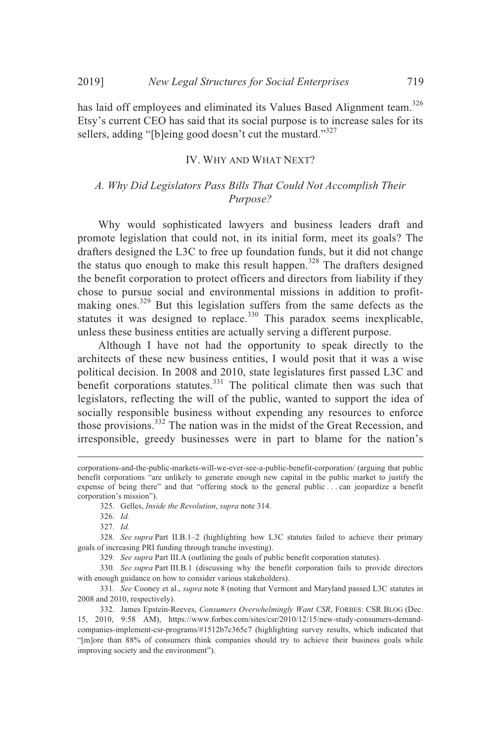has laid off employees and eliminated its Values Based Alignment team.<sup>326</sup> Etsy's current CEO has said that its social purpose is to increase sales for its sellers, adding "[b]eing good doesn't cut the mustard."<sup>327</sup>

## IV. WHY AND WHAT NEXT?

## *A. Why Did Legislators Pass Bills That Could Not Accomplish Their Purpose?*

Why would sophisticated lawyers and business leaders draft and promote legislation that could not, in its initial form, meet its goals? The drafters designed the L3C to free up foundation funds, but it did not change the status quo enough to make this result happen.<sup>328</sup> The drafters designed the benefit corporation to protect officers and directors from liability if they chose to pursue social and environmental missions in addition to profitmaking ones.<sup>329</sup> But this legislation suffers from the same defects as the statutes it was designed to replace.<sup>330</sup> This paradox seems inexplicable, unless these business entities are actually serving a different purpose.

Although I have not had the opportunity to speak directly to the architects of these new business entities, I would posit that it was a wise political decision. In 2008 and 2010, state legislatures first passed L3C and benefit corporations statutes. $331$  The political climate then was such that legislators, reflecting the will of the public, wanted to support the idea of socially responsible business without expending any resources to enforce those provisions.<sup>332</sup> The nation was in the midst of the Great Recession, and irresponsible, greedy businesses were in part to blame for the nation's

corporations-and-the-public-markets-will-we-ever-see-a-public-benefit-corporation/ (arguing that public benefit corporations "are unlikely to generate enough new capital in the public market to justify the expense of being there" and that "offering stock to the general public . . . can jeopardize a benefit corporation's mission").

<sup>325.</sup> Gelles, *Inside the Revolution*, *supra* note 314.

<sup>326.</sup> *Id.*

<sup>327.</sup> *Id.*

<sup>328</sup>*. See supra* Part II.B.1–2 (highlighting how L3C statutes failed to achieve their primary goals of increasing PRI funding through tranche investing).

<sup>329</sup>*. See supra* Part III.A (outlining the goals of public benefit corporation statutes).

<sup>330</sup>*. See supra* Part III.B.1 (discussing why the benefit corporation fails to provide directors with enough guidance on how to consider various stakeholders).

<sup>331</sup>*. See* Cooney et al., *supra* note 8 (noting that Vermont and Maryland passed L3C statutes in 2008 and 2010, respectively).

<sup>332.</sup> James Epstein-Reeves, *Consumers Overwhelmingly Want CSR*, FORBES: CSR BLOG (Dec. 15, 2010, 9:58 AM), https://www.forbes.com/sites/csr/2010/12/15/new-study-consumers-demandcompanies-implement-csr-programs/#1512b7c365c7 (highlighting survey results, which indicated that "[m]ore than 88% of consumers think companies should try to achieve their business goals while improving society and the environment").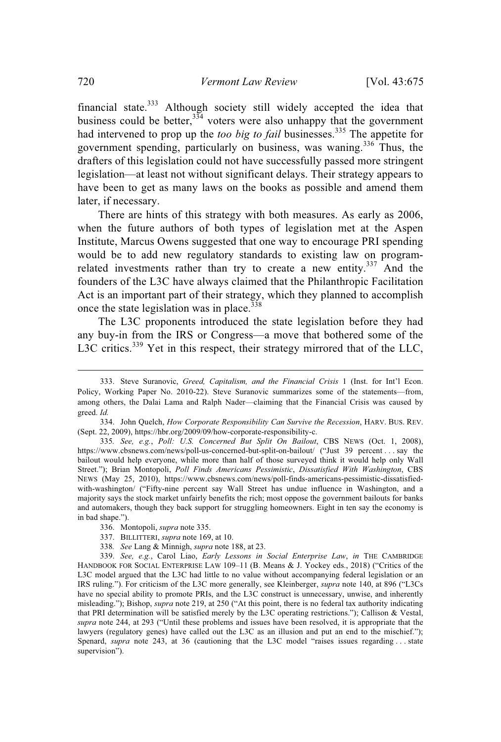financial state. $333$  Although society still widely accepted the idea that business could be better,  $334$  voters were also unhappy that the government had intervened to prop up the *too big to fail* businesses. <sup>335</sup> The appetite for government spending, particularly on business, was waning.<sup>336</sup> Thus, the drafters of this legislation could not have successfully passed more stringent legislation—at least not without significant delays. Their strategy appears to have been to get as many laws on the books as possible and amend them later, if necessary.

There are hints of this strategy with both measures. As early as 2006, when the future authors of both types of legislation met at the Aspen Institute, Marcus Owens suggested that one way to encourage PRI spending would be to add new regulatory standards to existing law on programrelated investments rather than try to create a new entity.<sup>337</sup> And the founders of the L3C have always claimed that the Philanthropic Facilitation Act is an important part of their strategy, which they planned to accomplish once the state legislation was in place. $338$ 

The L3C proponents introduced the state legislation before they had any buy-in from the IRS or Congress—a move that bothered some of the L3C critics.<sup>339</sup> Yet in this respect, their strategy mirrored that of the LLC,

- 337. BILLITTERI, *supra* note 169, at 10.
- 338*. See* Lang & Minnigh, *supra* note 188, at 23.

339. *See, e.g.*, Carol Liao, *Early Lessons in Social Enterprise Law*, *in* THE CAMBRIDGE HANDBOOK FOR SOCIAL ENTERPRISE LAW 109–11 (B. Means & J. Yockey eds., 2018) ("Critics of the L3C model argued that the L3C had little to no value without accompanying federal legislation or an IRS ruling."). For criticism of the L3C more generally, see Kleinberger, *supra* note 140, at 896 ("L3Cs have no special ability to promote PRIs, and the L3C construct is unnecessary, unwise, and inherently misleading."); Bishop, *supra* note 219, at 250 ("At this point, there is no federal tax authority indicating that PRI determination will be satisfied merely by the L3C operating restrictions."); Callison & Vestal, *supra* note 244, at 293 ("Until these problems and issues have been resolved, it is appropriate that the lawyers (regulatory genes) have called out the L3C as an illusion and put an end to the mischief."); Spenard, *supra* note 243, at 36 (cautioning that the L3C model "raises issues regarding ... state supervision").

<sup>333.</sup> Steve Suranovic, *Greed, Capitalism, and the Financial Crisis* 1 (Inst. for Int'l Econ. Policy, Working Paper No. 2010-22). Steve Suranovic summarizes some of the statements—from, among others, the Dalai Lama and Ralph Nader—claiming that the Financial Crisis was caused by greed. *Id.*

<sup>334.</sup> John Quelch, *How Corporate Responsibility Can Survive the Recession*, HARV. BUS. REV. (Sept. 22, 2009), https://hbr.org/2009/09/how-corporate-responsibility-c.

<sup>335</sup>*. See, e.g.*, *Poll: U.S. Concerned But Split On Bailout*, CBS NEWS (Oct. 1, 2008), https://www.cbsnews.com/news/poll-us-concerned-but-split-on-bailout/ ("Just 39 percent . . . say the bailout would help everyone, while more than half of those surveyed think it would help only Wall Street."); Brian Montopoli, *Poll Finds Americans Pessimistic*, *Dissatisfied With Washington*, CBS NEWS (May 25, 2010), https://www.cbsnews.com/news/poll-finds-americans-pessimistic-dissatisfiedwith-washington/ ("Fifty-nine percent say Wall Street has undue influence in Washington, and a majority says the stock market unfairly benefits the rich; most oppose the government bailouts for banks and automakers, though they back support for struggling homeowners. Eight in ten say the economy is in bad shape.").

<sup>336.</sup> Montopoli, *supra* note 335.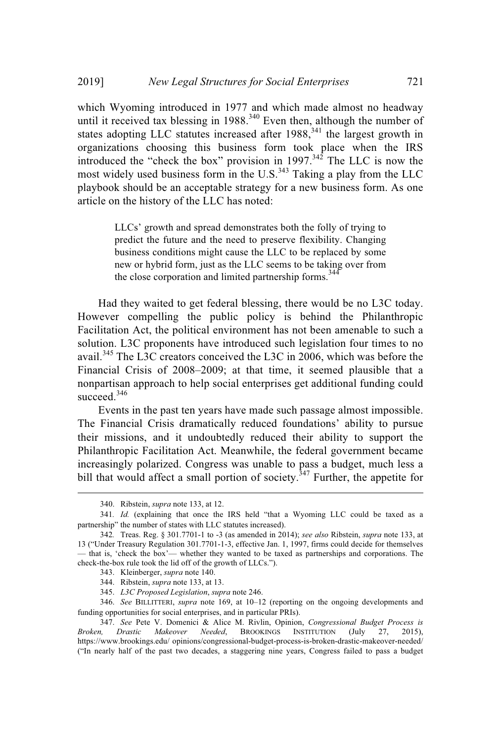which Wyoming introduced in 1977 and which made almost no headway until it received tax blessing in 1988.<sup>340</sup> Even then, although the number of states adopting LLC statutes increased after  $1988$ ,<sup>341</sup> the largest growth in organizations choosing this business form took place when the IRS introduced the "check the box" provision in 1997.<sup>342</sup> The LLC is now the most widely used business form in the U.S. $343$  Taking a play from the LLC playbook should be an acceptable strategy for a new business form. As one article on the history of the LLC has noted:

> LLCs' growth and spread demonstrates both the folly of trying to predict the future and the need to preserve flexibility. Changing business conditions might cause the LLC to be replaced by some new or hybrid form, just as the LLC seems to be taking over from the close corporation and limited partnership forms.<sup>344</sup>

Had they waited to get federal blessing, there would be no L3C today. However compelling the public policy is behind the Philanthropic Facilitation Act, the political environment has not been amenable to such a solution. L3C proponents have introduced such legislation four times to no avail.<sup>345</sup> The L3C creators conceived the L3C in 2006, which was before the Financial Crisis of 2008–2009; at that time, it seemed plausible that a nonpartisan approach to help social enterprises get additional funding could succeed.<sup>346</sup>

Events in the past ten years have made such passage almost impossible. The Financial Crisis dramatically reduced foundations' ability to pursue their missions, and it undoubtedly reduced their ability to support the Philanthropic Facilitation Act. Meanwhile, the federal government became increasingly polarized. Congress was unable to pass a budget, much less a bill that would affect a small portion of society.<sup> $347$ </sup> Further, the appetite for

- 343. Kleinberger, *supra* note 140.
- 344. Ribstein, *supra* note 133, at 13.
- 345. *L3C Proposed Legislation*, *supra* note 246.

346. *See* BILLITTERI, *supra* note 169, at 10–12 (reporting on the ongoing developments and funding opportunities for social enterprises, and in particular PRIs).

<sup>340.</sup> Ribstein, *supra* note 133, at 12.

<sup>341</sup>*. Id.* (explaining that once the IRS held "that a Wyoming LLC could be taxed as a partnership" the number of states with LLC statutes increased).

<sup>342</sup>*.* Treas. Reg. § 301.7701-1 to -3 (as amended in 2014); *see also* Ribstein, *supra* note 133, at 13 ("Under Treasury Regulation 301.7701-1-3, effective Jan. 1, 1997, firms could decide for themselves — that is, 'check the box'— whether they wanted to be taxed as partnerships and corporations. The check-the-box rule took the lid off of the growth of LLCs.").

<sup>347.</sup> *See* Pete V. Domenici & Alice M. Rivlin, Opinion, *Congressional Budget Process is Broken, Drastic Makeover Needed*, BROOKINGS INSTITUTION (July 27, 2015), https://www.brookings.edu/ opinions/congressional-budget-process-is-broken-drastic-makeover-needed/ ("In nearly half of the past two decades, a staggering nine years, Congress failed to pass a budget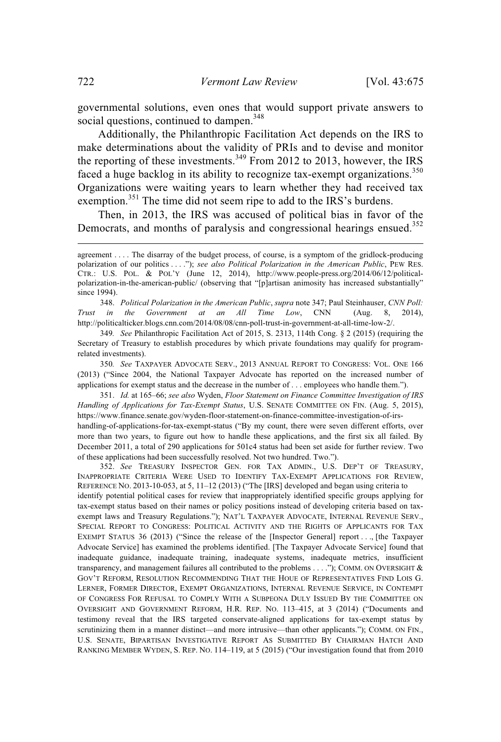governmental solutions, even ones that would support private answers to social questions, continued to dampen.<sup>348</sup>

Additionally, the Philanthropic Facilitation Act depends on the IRS to make determinations about the validity of PRIs and to devise and monitor the reporting of these investments.<sup>349</sup> From 2012 to 2013, however, the IRS faced a huge backlog in its ability to recognize tax-exempt organizations.<sup>350</sup> Organizations were waiting years to learn whether they had received tax exemption.<sup>351</sup> The time did not seem ripe to add to the IRS's burdens.

Then, in 2013, the IRS was accused of political bias in favor of the Democrats, and months of paralysis and congressional hearings ensued.<sup>352</sup>

348. *Political Polarization in the American Public*, *supra* note 347; Paul Steinhauser, *CNN Poll: Trust in the Government at an All Time Low*, CNN (Aug. 8, 2014), http://politicalticker.blogs.cnn.com/2014/08/08/cnn-poll-trust-in-government-at-all-time-low-2/.

349*. See* Philanthropic Facilitation Act of 2015, S. 2313, 114th Cong. § 2 (2015) (requiring the Secretary of Treasury to establish procedures by which private foundations may qualify for programrelated investments).

350*. See* TAXPAYER ADVOCATE SERV., 2013 ANNUAL REPORT TO CONGRESS: VOL. ONE 166 (2013) ("Since 2004, the National Taxpayer Advocate has reported on the increased number of applications for exempt status and the decrease in the number of . . . employees who handle them.").

351. *Id.* at 165–66; *see also* Wyden, *Floor Statement on Finance Committee Investigation of IRS Handling of Applications for Tax-Exempt Status*, U.S. SENATE COMMITTEE ON FIN. (Aug. 5, 2015), https://www.finance.senate.gov/wyden-floor-statement-on-finance-committee-investigation-of-irshandling-of-applications-for-tax-exempt-status ("By my count, there were seven different efforts, over more than two years, to figure out how to handle these applications, and the first six all failed. By December 2011, a total of 290 applications for 501c4 status had been set aside for further review. Two of these applications had been successfully resolved. Not two hundred. Two.").

352. *See* TREASURY INSPECTOR GEN. FOR TAX ADMIN., U.S. DEP'T OF TREASURY, INAPPROPRIATE CRITERIA WERE USED TO IDENTIFY TAX-EXEMPT APPLICATIONS FOR REVIEW, REFERENCE NO. 2013-10-053, at 5, 11–12 (2013) ("The [IRS] developed and began using criteria to identify potential political cases for review that inappropriately identified specific groups applying for tax-exempt status based on their names or policy positions instead of developing criteria based on taxexempt laws and Treasury Regulations."); NAT'L TAXPAYER ADVOCATE, INTERNAL REVENUE SERV., SPECIAL REPORT TO CONGRESS: POLITICAL ACTIVITY AND THE RIGHTS OF APPLICANTS FOR TAX EXEMPT STATUS 36 (2013) ("Since the release of the [Inspector General] report . . ., [the Taxpayer Advocate Service] has examined the problems identified. [The Taxpayer Advocate Service] found that inadequate guidance, inadequate training, inadequate systems, inadequate metrics, insufficient transparency, and management failures all contributed to the problems . . . ."); COMM. ON OVERSIGHT & GOV'T REFORM, RESOLUTION RECOMMENDING THAT THE HOUE OF REPRESENTATIVES FIND LOIS G. LERNER, FORMER DIRECTOR, EXEMPT ORGANIZATIONS, INTERNAL REVENUE SERVICE, IN CONTEMPT OF CONGRESS FOR REFUSAL TO COMPLY WITH A SUBPEONA DULY ISSUED BY THE COMMITTEE ON OVERSIGHT AND GOVERNMENT REFORM, H.R. REP. NO. 113–415, at 3 (2014) ("Documents and testimony reveal that the IRS targeted conservate-aligned applications for tax-exempt status by scrutinizing them in a manner distinct—and more intrusive—than other applicants."); COMM. ON FIN., U.S. SENATE, BIPARTISAN INVESTIGATIVE REPORT AS SUBMITTED BY CHAIRMAN HATCH AND RANKING MEMBER WYDEN, S. REP. NO. 114–119, at 5 (2015) ("Our investigation found that from 2010

agreement . . . . The disarray of the budget process, of course, is a symptom of the gridlock-producing polarization of our politics . . . ."); *see also Political Polarization in the American Public*, PEW RES. CTR.: U.S. POL. & POL'Y (June 12, 2014), http://www.people-press.org/2014/06/12/politicalpolarization-in-the-american-public/ (observing that "[p]artisan animosity has increased substantially" since 1994).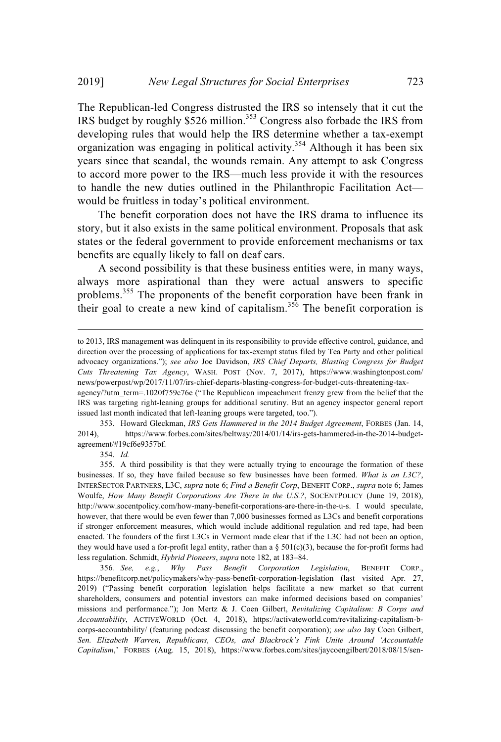The Republican-led Congress distrusted the IRS so intensely that it cut the IRS budget by roughly \$526 million.<sup>353</sup> Congress also forbade the IRS from developing rules that would help the IRS determine whether a tax-exempt organization was engaging in political activity.<sup>354</sup> Although it has been six years since that scandal, the wounds remain. Any attempt to ask Congress to accord more power to the IRS—much less provide it with the resources to handle the new duties outlined in the Philanthropic Facilitation Act would be fruitless in today's political environment.

The benefit corporation does not have the IRS drama to influence its story, but it also exists in the same political environment. Proposals that ask states or the federal government to provide enforcement mechanisms or tax benefits are equally likely to fall on deaf ears.

A second possibility is that these business entities were, in many ways, always more aspirational than they were actual answers to specific problems.<sup>355</sup> The proponents of the benefit corporation have been frank in their goal to create a new kind of capitalism.<sup>356</sup> The benefit corporation is

353. Howard Gleckman, *IRS Gets Hammered in the 2014 Budget Agreement*, FORBES (Jan. 14, 2014), https://www.forbes.com/sites/beltway/2014/01/14/irs-gets-hammered-in-the-2014-budgetagreement/#19cf6e9357bf.

354. *Id.*

to 2013, IRS management was delinquent in its responsibility to provide effective control, guidance, and direction over the processing of applications for tax-exempt status filed by Tea Party and other political advocacy organizations."); *see also* Joe Davidson, *IRS Chief Departs, Blasting Congress for Budget Cuts Threatening Tax Agency*, WASH. POST (Nov. 7, 2017), https://www.washingtonpost.com/ news/powerpost/wp/2017/11/07/irs-chief-departs-blasting-congress-for-budget-cuts-threatening-tax-

agency/?utm\_term=.1020f759c76e ("The Republican impeachment frenzy grew from the belief that the IRS was targeting right-leaning groups for additional scrutiny. But an agency inspector general report issued last month indicated that left-leaning groups were targeted, too.").

<sup>355.</sup> A third possibility is that they were actually trying to encourage the formation of these businesses. If so, they have failed because so few businesses have been formed. *What is an L3C?*, INTERSECTOR PARTNERS, L3C, *supra* note 6; *Find a Benefit Corp*, BENEFIT CORP., *supra* note 6; James Woulfe, *How Many Benefit Corporations Are There in the U.S.?*, SOCENTPOLICY (June 19, 2018), http://www.socentpolicy.com/how-many-benefit-corporations-are-there-in-the-u-s. I would speculate, however, that there would be even fewer than 7,000 businesses formed as L3Cs and benefit corporations if stronger enforcement measures, which would include additional regulation and red tape, had been enacted. The founders of the first L3Cs in Vermont made clear that if the L3C had not been an option, they would have used a for-profit legal entity, rather than a  $\S 501(c)(3)$ , because the for-profit forms had less regulation. Schmidt, *Hybrid Pioneers*, *supra* note 182, at 183–84.

<sup>356</sup>*. See, e.g.*, *Why Pass Benefit Corporation Legislation*, BENEFIT CORP., https://benefitcorp.net/policymakers/why-pass-benefit-corporation-legislation (last visited Apr. 27, 2019) ("Passing benefit corporation legislation helps facilitate a new market so that current shareholders, consumers and potential investors can make informed decisions based on companies' missions and performance."); Jon Mertz & J. Coen Gilbert, *Revitalizing Capitalism: B Corps and Accountability*, ACTIVEWORLD (Oct. 4, 2018), https://activateworld.com/revitalizing-capitalism-bcorps-accountability/ (featuring podcast discussing the benefit corporation); *see also* Jay Coen Gilbert, *Sen. Elizabeth Warren, Republicans, CEOs, and Blackrock's Fink Unite Around 'Accountable Capitalism*,' FORBES (Aug. 15, 2018), https://www.forbes.com/sites/jaycoengilbert/2018/08/15/sen-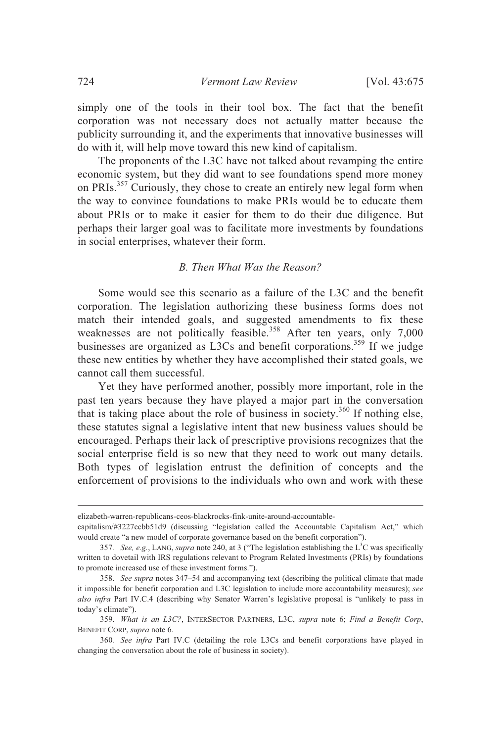simply one of the tools in their tool box. The fact that the benefit corporation was not necessary does not actually matter because the publicity surrounding it, and the experiments that innovative businesses will do with it, will help move toward this new kind of capitalism.

The proponents of the L3C have not talked about revamping the entire economic system, but they did want to see foundations spend more money on PRIs.<sup>357</sup> Curiously, they chose to create an entirely new legal form when the way to convince foundations to make PRIs would be to educate them about PRIs or to make it easier for them to do their due diligence. But perhaps their larger goal was to facilitate more investments by foundations in social enterprises, whatever their form.

## *B. Then What Was the Reason?*

Some would see this scenario as a failure of the L3C and the benefit corporation. The legislation authorizing these business forms does not match their intended goals, and suggested amendments to fix these weaknesses are not politically feasible.<sup>358</sup> After ten years, only 7,000 businesses are organized as L3Cs and benefit corporations.<sup>359</sup> If we judge these new entities by whether they have accomplished their stated goals, we cannot call them successful.

Yet they have performed another, possibly more important, role in the past ten years because they have played a major part in the conversation that is taking place about the role of business in society.<sup>360</sup> If nothing else, these statutes signal a legislative intent that new business values should be encouraged. Perhaps their lack of prescriptive provisions recognizes that the social enterprise field is so new that they need to work out many details. Both types of legislation entrust the definition of concepts and the enforcement of provisions to the individuals who own and work with these

elizabeth-warren-republicans-ceos-blackrocks-fink-unite-around-accountable-

capitalism/#3227ccbb51d9 (discussing "legislation called the Accountable Capitalism Act," which would create "a new model of corporate governance based on the benefit corporation").

<sup>357.</sup> *See, e.g.*, LANG, *supra* note 240, at 3 ("The legislation establishing the L<sup>3</sup>C was specifically written to dovetail with IRS regulations relevant to Program Related Investments (PRIs) by foundations to promote increased use of these investment forms.").

<sup>358.</sup> *See supra* notes 347–54 and accompanying text (describing the political climate that made it impossible for benefit corporation and L3C legislation to include more accountability measures); *see also infra* Part IV.C.4 (describing why Senator Warren's legislative proposal is "unlikely to pass in today's climate").

<sup>359.</sup> *What is an L3C?*, INTERSECTOR PARTNERS, L3C, *supra* note 6; *Find a Benefit Corp*, BENEFIT CORP, *supra* note 6.

<sup>360</sup>*. See infra* Part IV.C (detailing the role L3Cs and benefit corporations have played in changing the conversation about the role of business in society).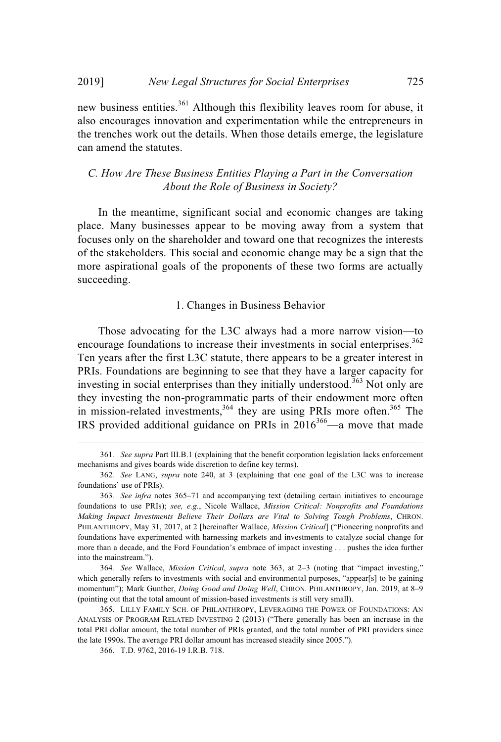new business entities.<sup>361</sup> Although this flexibility leaves room for abuse, it also encourages innovation and experimentation while the entrepreneurs in the trenches work out the details. When those details emerge, the legislature can amend the statutes.

*C. How Are These Business Entities Playing a Part in the Conversation About the Role of Business in Society?*

In the meantime, significant social and economic changes are taking place. Many businesses appear to be moving away from a system that focuses only on the shareholder and toward one that recognizes the interests of the stakeholders. This social and economic change may be a sign that the more aspirational goals of the proponents of these two forms are actually succeeding.

#### 1. Changes in Business Behavior

Those advocating for the L3C always had a more narrow vision—to encourage foundations to increase their investments in social enterprises.<sup>362</sup> Ten years after the first L3C statute, there appears to be a greater interest in PRIs. Foundations are beginning to see that they have a larger capacity for investing in social enterprises than they initially understood.<sup>363</sup> Not only are they investing the non-programmatic parts of their endowment more often in mission-related investments,  $364$  they are using PRIs more often.  $365$  The IRS provided additional guidance on PRIs in  $2016^{366}$ —a move that made

<sup>361</sup>*. See supra* Part III.B.1 (explaining that the benefit corporation legislation lacks enforcement mechanisms and gives boards wide discretion to define key terms).

<sup>362</sup>*. See* LANG, *supra* note 240, at 3 (explaining that one goal of the L3C was to increase foundations' use of PRIs).

<sup>363</sup>*. See infra* notes 365–71 and accompanying text (detailing certain initiatives to encourage foundations to use PRIs); *see, e.g.*, Nicole Wallace, *Mission Critical: Nonprofits and Foundations Making Impact Investments Believe Their Dollars are Vital to Solving Tough Problems*, CHRON. PHILANTHROPY, May 31, 2017, at 2 [hereinafter Wallace, *Mission Critical*] ("Pioneering nonprofits and foundations have experimented with harnessing markets and investments to catalyze social change for more than a decade, and the Ford Foundation's embrace of impact investing . . . pushes the idea further into the mainstream.").

<sup>364</sup>*. See* Wallace, *Mission Critical*, *supra* note 363, at 2–3 (noting that "impact investing," which generally refers to investments with social and environmental purposes, "appear[s] to be gaining momentum"); Mark Gunther, *Doing Good and Doing Well*, CHRON. PHILANTHROPY, Jan. 2019, at 8–9 (pointing out that the total amount of mission-based investments is still very small).

<sup>365.</sup> LILLY FAMILY SCH. OF PHILANTHROPY, LEVERAGING THE POWER OF FOUNDATIONS: AN ANALYSIS OF PROGRAM RELATED INVESTING 2 (2013) ("There generally has been an increase in the total PRI dollar amount, the total number of PRIs granted, and the total number of PRI providers since the late 1990s. The average PRI dollar amount has increased steadily since 2005.").

<sup>366.</sup> T.D. 9762, 2016-19 I.R.B. 718.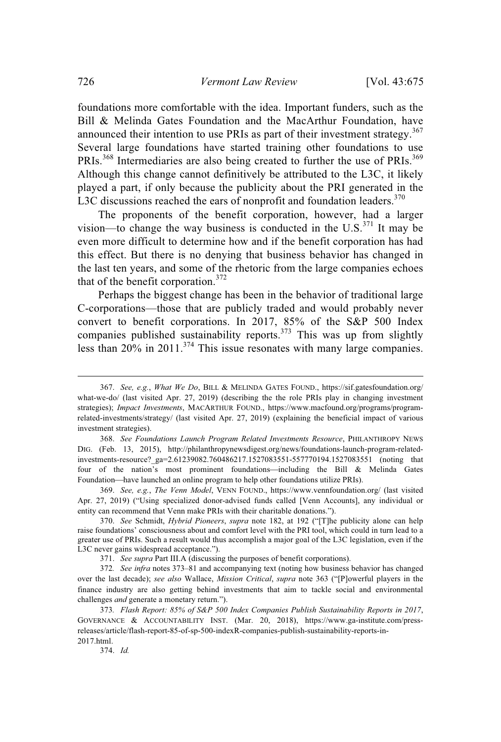foundations more comfortable with the idea. Important funders, such as the Bill & Melinda Gates Foundation and the MacArthur Foundation, have announced their intention to use PRIs as part of their investment strategy.<sup>367</sup> Several large foundations have started training other foundations to use PRIs.<sup>368</sup> Intermediaries are also being created to further the use of PRIs.<sup>369</sup> Although this change cannot definitively be attributed to the L3C, it likely played a part, if only because the publicity about the PRI generated in the L3C discussions reached the ears of nonprofit and foundation leaders.<sup>370</sup>

The proponents of the benefit corporation, however, had a larger vision—to change the way business is conducted in the U.S. $^{371}$  It may be even more difficult to determine how and if the benefit corporation has had this effect. But there is no denying that business behavior has changed in the last ten years, and some of the rhetoric from the large companies echoes that of the benefit corporation. 372

Perhaps the biggest change has been in the behavior of traditional large C-corporations—those that are publicly traded and would probably never convert to benefit corporations. In 2017, 85% of the S&P 500 Index companies published sustainability reports.<sup>373</sup> This was up from slightly less than  $20\%$  in  $2011$ .<sup>374</sup> This issue resonates with many large companies.

374. *Id.*

<sup>367.</sup> *See, e.g.*, *What We Do*, BILL & MELINDA GATES FOUND., https://sif.gatesfoundation.org/ what-we-do/ (last visited Apr. 27, 2019) (describing the the role PRIs play in changing investment strategies); *Impact Investments*, MACARTHUR FOUND., https://www.macfound.org/programs/programrelated-investments/strategy/ (last visited Apr. 27, 2019) (explaining the beneficial impact of various investment strategies).

<sup>368.</sup> *See Foundations Launch Program Related Investments Resource*, PHILANTHROPY NEWS DIG. (Feb. 13, 2015), http://philanthropynewsdigest.org/news/foundations-launch-program-relatedinvestments-resource?\_ga=2.61239082.760486217.1527083551-557770194.1527083551 (noting that four of the nation's most prominent foundations—including the Bill  $\&$  Melinda Gates Foundation—have launched an online program to help other foundations utilize PRIs).

<sup>369.</sup> *See, e.g.*, *The Venn Model*, VENN FOUND., https://www.vennfoundation.org/ (last visited Apr. 27, 2019) ("Using specialized donor-advised funds called [Venn Accounts], any individual or entity can recommend that Venn make PRIs with their charitable donations.").

<sup>370.</sup> *See* Schmidt, *Hybrid Pioneers*, *supra* note 182, at 192 ("[T]he publicity alone can help raise foundations' consciousness about and comfort level with the PRI tool, which could in turn lead to a greater use of PRIs. Such a result would thus accomplish a major goal of the L3C legislation, even if the L3C never gains widespread acceptance.").

<sup>371.</sup> *See supra* Part III.A (discussing the purposes of benefit corporations).

<sup>372</sup>*. See infra* notes 373–81 and accompanying text (noting how business behavior has changed over the last decade); *see also* Wallace, *Mission Critical*, *supra* note 363 ("[P]owerful players in the finance industry are also getting behind investments that aim to tackle social and environmental challenges *and* generate a monetary return.").

<sup>373</sup>*. Flash Report: 85% of S&P 500 Index Companies Publish Sustainability Reports in 2017*, GOVERNANCE & ACCOUNTABILITY INST. (Mar. 20, 2018), https://www.ga-institute.com/pressreleases/article/flash-report-85-of-sp-500-indexR-companies-publish-sustainability-reports-in-2017.html.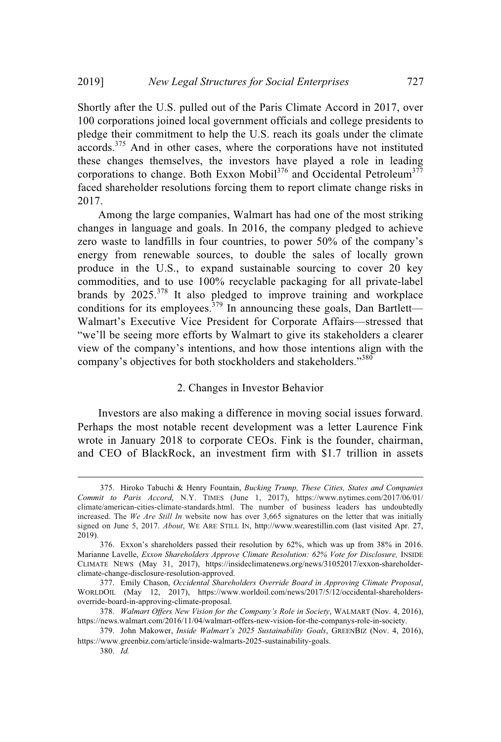Shortly after the U.S. pulled out of the Paris Climate Accord in 2017, over 100 corporations joined local government officials and college presidents to pledge their commitment to help the U.S. reach its goals under the climate accords.<sup>375</sup> And in other cases, where the corporations have not instituted these changes themselves, the investors have played a role in leading corporations to change. Both Exxon Mobil<sup>376</sup> and Occidental Petroleum<sup>377</sup> faced shareholder resolutions forcing them to report climate change risks in 2017.

Among the large companies, Walmart has had one of the most striking changes in language and goals. In 2016, the company pledged to achieve zero waste to landfills in four countries, to power 50% of the company's energy from renewable sources, to double the sales of locally grown produce in the U.S., to expand sustainable sourcing to cover 20 key commodities, and to use 100% recyclable packaging for all private-label brands by  $2025$ <sup>378</sup> It also pledged to improve training and workplace conditions for its employees.<sup>379</sup> In announcing these goals, Dan Bartlett— Walmart's Executive Vice President for Corporate Affairs—stressed that "we'll be seeing more efforts by Walmart to give its stakeholders a clearer view of the company's intentions, and how those intentions align with the company's objectives for both stockholders and stakeholders."<sup>380</sup>

#### 2. Changes in Investor Behavior

Investors are also making a difference in moving social issues forward. Perhaps the most notable recent development was a letter Laurence Fink wrote in January 2018 to corporate CEOs. Fink is the founder, chairman, and CEO of BlackRock, an investment firm with \$1.7 trillion in assets

<sup>375.</sup> Hiroko Tabuchi & Henry Fountain, *Bucking Trump, These Cities, States and Companies Commit to Paris Accord*, N.Y. TIMES (June 1, 2017), https://www.nytimes.com/2017/06/01/ climate/american-cities-climate-standards.html. The number of business leaders has undoubtedly increased. The *We Are Still In* website now has over 3,665 signatures on the letter that was initially signed on June 5, 2017. *About*, WE ARE STILL IN, http://www.wearestillin.com (last visited Apr. 27, 2019).

<sup>376.</sup> Exxon's shareholders passed their resolution by 62%, which was up from 38% in 2016. Marianne Lavelle, *Exxon Shareholders Approve Climate Resolution: 62% Vote for Disclosure,* INSIDE CLIMATE NEWS (May 31, 2017), https://insideclimatenews.org/news/31052017/exxon-shareholderclimate-change-disclosure-resolution-approved.

<sup>377.</sup> Emily Chason, *Occidental Shareholders Override Board in Approving Climate Proposal*, WORLDOIL (May 12, 2017), https://www.worldoil.com/news/2017/5/12/occidental-shareholdersoverride-board-in-approving-climate-proposal.

<sup>378.</sup> *Walmart Offers New Vision for the Company's Role in Society*, WALMART (Nov. 4, 2016), https://news.walmart.com/2016/11/04/walmart-offers-new-vision-for-the-companys-role-in-society.

<sup>379.</sup> John Makower, *Inside Walmart's 2025 Sustainability Goals*, GREENBIZ (Nov. 4, 2016), https://www.greenbiz.com/article/inside-walmarts-2025-sustainability-goals.

<sup>380.</sup> *Id.*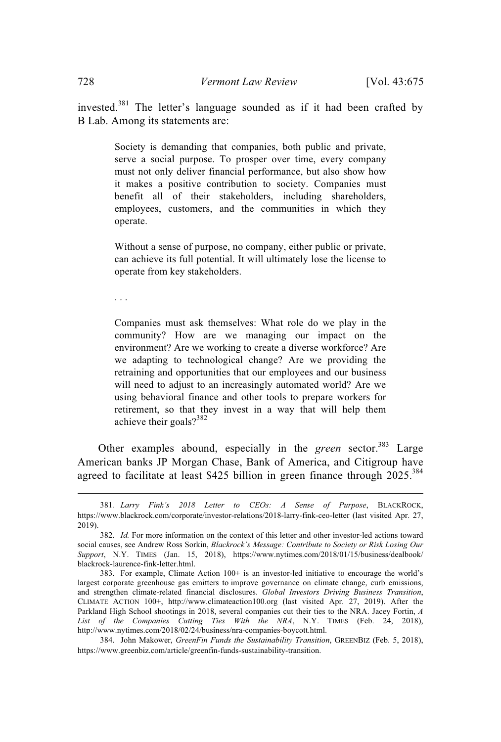invested.<sup>381</sup> The letter's language sounded as if it had been crafted by B Lab. Among its statements are:

> Society is demanding that companies, both public and private, serve a social purpose. To prosper over time, every company must not only deliver financial performance, but also show how it makes a positive contribution to society. Companies must benefit all of their stakeholders, including shareholders, employees, customers, and the communities in which they operate.

> Without a sense of purpose, no company, either public or private, can achieve its full potential. It will ultimately lose the license to operate from key stakeholders.

. . .

Companies must ask themselves: What role do we play in the community? How are we managing our impact on the environment? Are we working to create a diverse workforce? Are we adapting to technological change? Are we providing the retraining and opportunities that our employees and our business will need to adjust to an increasingly automated world? Are we using behavioral finance and other tools to prepare workers for retirement, so that they invest in a way that will help them achieve their goals?<sup>382</sup>

Other examples abound, especially in the *green* sector.<sup>383</sup> Large American banks JP Morgan Chase, Bank of America, and Citigroup have agreed to facilitate at least \$425 billion in green finance through 2025.<sup>384</sup>

<sup>381</sup>*. Larry Fink's 2018 Letter to CEOs: A Sense of Purpose*, BLACKROCK, https://www.blackrock.com/corporate/investor-relations/2018-larry-fink-ceo-letter (last visited Apr. 27, 2019).

<sup>382.</sup> *Id.* For more information on the context of this letter and other investor-led actions toward social causes, see Andrew Ross Sorkin, *Blackrock's Message: Contribute to Society or Risk Losing Our Support*, N.Y. TIMES (Jan. 15, 2018), https://www.nytimes.com/2018/01/15/business/dealbook/ blackrock-laurence-fink-letter.html.

<sup>383.</sup> For example, Climate Action 100+ is an investor-led initiative to encourage the world's largest corporate greenhouse gas emitters to improve governance on climate change, curb emissions, and strengthen climate-related financial disclosures. *Global Investors Driving Business Transition*, CLIMATE ACTION 100+, http://www.climateaction100.org (last visited Apr. 27, 2019). After the Parkland High School shootings in 2018, several companies cut their ties to the NRA. Jacey Fortin, *A List of the Companies Cutting Ties With the NRA*, N.Y. TIMES (Feb. 24, 2018), http://www.nytimes.com/2018/02/24/business/nra-companies-boycott.html.

<sup>384.</sup> John Makower, *GreenFin Funds the Sustainability Transition*, GREENBIZ (Feb. 5, 2018), https://www.greenbiz.com/article/greenfin-funds-sustainability-transition.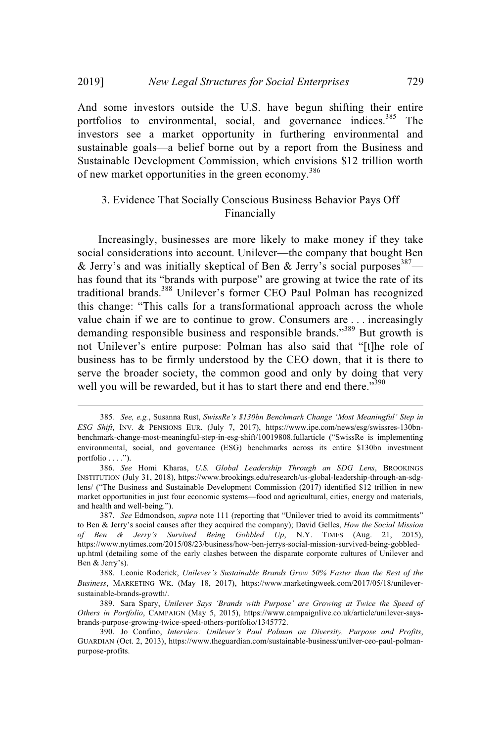And some investors outside the U.S. have begun shifting their entire portfolios to environmental, social, and governance indices.<sup>385</sup> The investors see a market opportunity in furthering environmental and sustainable goals—a belief borne out by a report from the Business and Sustainable Development Commission, which envisions \$12 trillion worth of new market opportunities in the green economy.<sup>386</sup>

## 3. Evidence That Socially Conscious Business Behavior Pays Off Financially

Increasingly, businesses are more likely to make money if they take social considerations into account. Unilever—the company that bought Ben & Jerry's and was initially skeptical of Ben & Jerry's social purposes  $387$  has found that its "brands with purpose" are growing at twice the rate of its traditional brands.<sup>388</sup> Unilever's former CEO Paul Polman has recognized this change: "This calls for a transformational approach across the whole value chain if we are to continue to grow. Consumers are . . . increasingly demanding responsible business and responsible brands."<sup>389</sup> But growth is not Unilever's entire purpose: Polman has also said that "[t]he role of business has to be firmly understood by the CEO down, that it is there to serve the broader society, the common good and only by doing that very well you will be rewarded, but it has to start there and end there."<sup>390</sup>

<sup>385</sup>*. See, e.g.*, Susanna Rust, *SwissRe's \$130bn Benchmark Change 'Most Meaningful' Step in ESG Shift*, INV. & PENSIONS EUR. (July 7, 2017), https://www.ipe.com/news/esg/swissres-130bnbenchmark-change-most-meaningful-step-in-esg-shift/10019808.fullarticle ("SwissRe is implementing environmental, social, and governance (ESG) benchmarks across its entire \$130bn investment portfolio . . . .").

<sup>386.</sup> *See* Homi Kharas, *U.S. Global Leadership Through an SDG Lens*, BROOKINGS INSTITUTION (July 31, 2018), https://www.brookings.edu/research/us-global-leadership-through-an-sdglens/ ("The Business and Sustainable Development Commission (2017) identified \$12 trillion in new market opportunities in just four economic systems—food and agricultural, cities, energy and materials, and health and well-being.").

<sup>387.</sup> *See* Edmondson, *supra* note 111 (reporting that "Unilever tried to avoid its commitments" to Ben & Jerry's social causes after they acquired the company); David Gelles, *How the Social Mission of Ben & Jerry's Survived Being Gobbled Up*, N.Y. TIMES (Aug. 21, 2015), https://www.nytimes.com/2015/08/23/business/how-ben-jerrys-social-mission-survived-being-gobbledup.html (detailing some of the early clashes between the disparate corporate cultures of Unilever and Ben & Jerry's).

<sup>388.</sup> Leonie Roderick, *Unilever's Sustainable Brands Grow 50% Faster than the Rest of the Business*, MARKETING WK. (May 18, 2017), https://www.marketingweek.com/2017/05/18/unileversustainable-brands-growth/.

<sup>389.</sup> Sara Spary, *Unilever Says 'Brands with Purpose' are Growing at Twice the Speed of Others in Portfolio*, CAMPAIGN (May 5, 2015), https://www.campaignlive.co.uk/article/unilever-saysbrands-purpose-growing-twice-speed-others-portfolio/1345772.

<sup>390.</sup> Jo Confino, *Interview: Unilever's Paul Polman on Diversity, Purpose and Profits*, GUARDIAN (Oct. 2, 2013), https://www.theguardian.com/sustainable-business/unilver-ceo-paul-polmanpurpose-profits.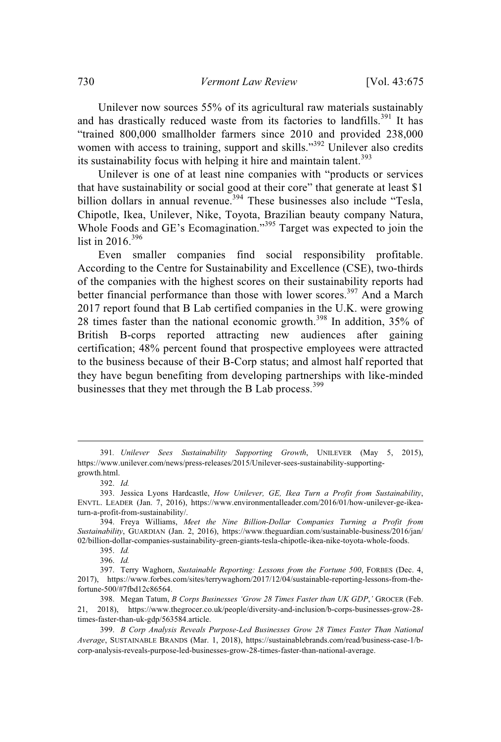Unilever now sources 55% of its agricultural raw materials sustainably and has drastically reduced waste from its factories to landfills.<sup>391</sup> It has "trained 800,000 smallholder farmers since 2010 and provided 238,000 women with access to training, support and skills."<sup>392</sup> Unilever also credits its sustainability focus with helping it hire and maintain talent.<sup>393</sup>

Unilever is one of at least nine companies with "products or services that have sustainability or social good at their core" that generate at least \$1 billion dollars in annual revenue.<sup>394</sup> These businesses also include "Tesla, Chipotle, Ikea, Unilever, Nike, Toyota, Brazilian beauty company Natura, Whole Foods and GE's Ecomagination."<sup>395</sup> Target was expected to join the list in 2016. $396$ 

Even smaller companies find social responsibility profitable. According to the Centre for Sustainability and Excellence (CSE), two-thirds of the companies with the highest scores on their sustainability reports had better financial performance than those with lower scores.<sup>397</sup> And a March 2017 report found that B Lab certified companies in the U.K. were growing 28 times faster than the national economic growth.<sup>398</sup> In addition, 35% of British B-corps reported attracting new audiences after gaining certification; 48% percent found that prospective employees were attracted to the business because of their B-Corp status; and almost half reported that they have begun benefiting from developing partnerships with like-minded businesses that they met through the B Lab process.<sup>399</sup>

395. *Id.*

<sup>391</sup>*. Unilever Sees Sustainability Supporting Growth*, UNILEVER (May 5, 2015), https://www.unilever.com/news/press-releases/2015/Unilever-sees-sustainability-supportinggrowth.html.

<sup>392.</sup> *Id.*

<sup>393.</sup> Jessica Lyons Hardcastle, *How Unilever, GE, Ikea Turn a Profit from Sustainability*, ENVTL. LEADER (Jan. 7, 2016), https://www.environmentalleader.com/2016/01/how-unilever-ge-ikeaturn-a-profit-from-sustainability/.

<sup>394.</sup> Freya Williams, *Meet the Nine Billion-Dollar Companies Turning a Profit from Sustainability*, GUARDIAN (Jan. 2, 2016), https://www.theguardian.com/sustainable-business/2016/jan/ 02/billion-dollar-companies-sustainability-green-giants-tesla-chipotle-ikea-nike-toyota-whole-foods.

<sup>396.</sup> *Id.*

<sup>397.</sup> Terry Waghorn, *Sustainable Reporting: Lessons from the Fortune 500*, FORBES (Dec. 4, 2017), https://www.forbes.com/sites/terrywaghorn/2017/12/04/sustainable-reporting-lessons-from-thefortune-500/#7fbd12c86564.

<sup>398.</sup> Megan Tatum, *B Corps Businesses 'Grow 28 Times Faster than UK GDP*,*'* GROCER (Feb. 21, 2018), https://www.thegrocer.co.uk/people/diversity-and-inclusion/b-corps-businesses-grow-28 times-faster-than-uk-gdp/563584.article.

<sup>399.</sup> *B Corp Analysis Reveals Purpose-Led Businesses Grow 28 Times Faster Than National Average*, SUSTAINABLE BRANDS (Mar. 1, 2018), https://sustainablebrands.com/read/business-case-1/bcorp-analysis-reveals-purpose-led-businesses-grow-28-times-faster-than-national-average.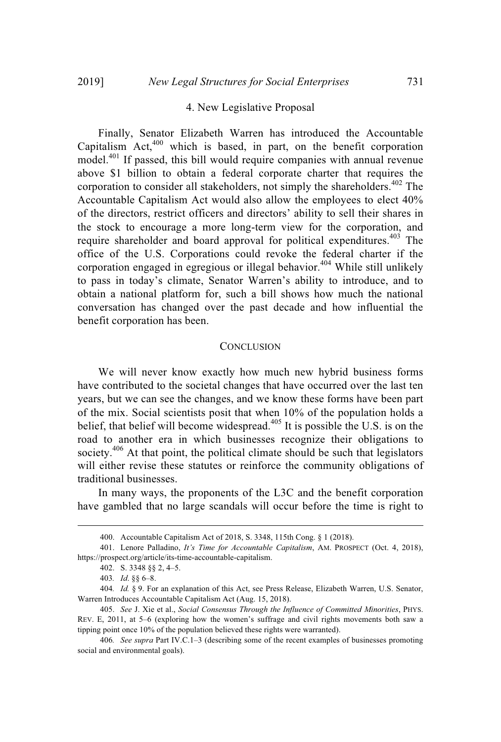#### 4. New Legislative Proposal

Finally, Senator Elizabeth Warren has introduced the Accountable Capitalism Act, $400$  which is based, in part, on the benefit corporation model.<sup>401</sup> If passed, this bill would require companies with annual revenue above \$1 billion to obtain a federal corporate charter that requires the corporation to consider all stakeholders, not simply the shareholders. <sup>402</sup> The Accountable Capitalism Act would also allow the employees to elect 40% of the directors, restrict officers and directors' ability to sell their shares in the stock to encourage a more long-term view for the corporation, and require shareholder and board approval for political expenditures.<sup>403</sup> The office of the U.S. Corporations could revoke the federal charter if the corporation engaged in egregious or illegal behavior.<sup>404</sup> While still unlikely to pass in today's climate, Senator Warren's ability to introduce, and to obtain a national platform for, such a bill shows how much the national conversation has changed over the past decade and how influential the benefit corporation has been.

#### **CONCLUSION**

We will never know exactly how much new hybrid business forms have contributed to the societal changes that have occurred over the last ten years, but we can see the changes, and we know these forms have been part of the mix. Social scientists posit that when 10% of the population holds a belief, that belief will become widespread.<sup>405</sup> It is possible the U.S. is on the road to another era in which businesses recognize their obligations to society. $406$  At that point, the political climate should be such that legislators will either revise these statutes or reinforce the community obligations of traditional businesses.

In many ways, the proponents of the L3C and the benefit corporation have gambled that no large scandals will occur before the time is right to

<sup>400.</sup> Accountable Capitalism Act of 2018, S. 3348, 115th Cong. § 1 (2018).

<sup>401.</sup> Lenore Palladino, *It's Time for Accountable Capitalism*, AM. PROSPECT (Oct. 4, 2018), https://prospect.org/article/its-time-accountable-capitalism.

<sup>402.</sup> S. 3348 §§ 2, 4–5.

<sup>403</sup>*. Id*. §§ 6–8.

<sup>404</sup>*. Id.* § 9. For an explanation of this Act, see Press Release, Elizabeth Warren, U.S. Senator, Warren Introduces Accountable Capitalism Act (Aug. 15, 2018).

<sup>405.</sup> *See* J. Xie et al., *Social Consensus Through the Influence of Committed Minorities*, PHYS. REV. E, 2011, at 5–6 (exploring how the women's suffrage and civil rights movements both saw a tipping point once 10% of the population believed these rights were warranted).

<sup>406</sup>*. See supra* Part IV.C.1–3 (describing some of the recent examples of businesses promoting social and environmental goals).